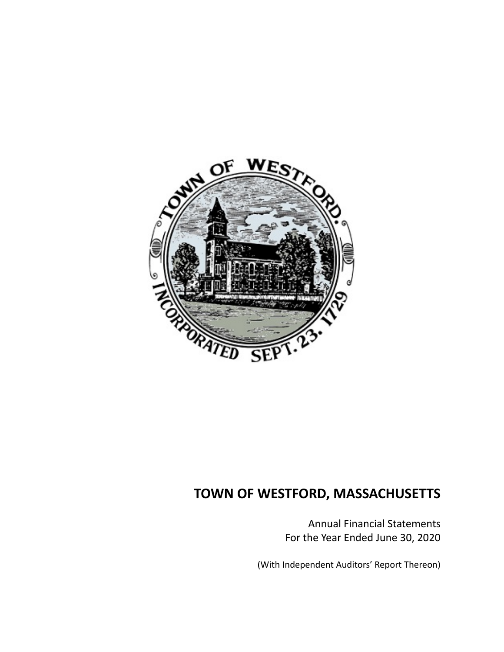

Annual Financial Statements For the Year Ended June 30, 2020

(With Independent Auditors' Report Thereon)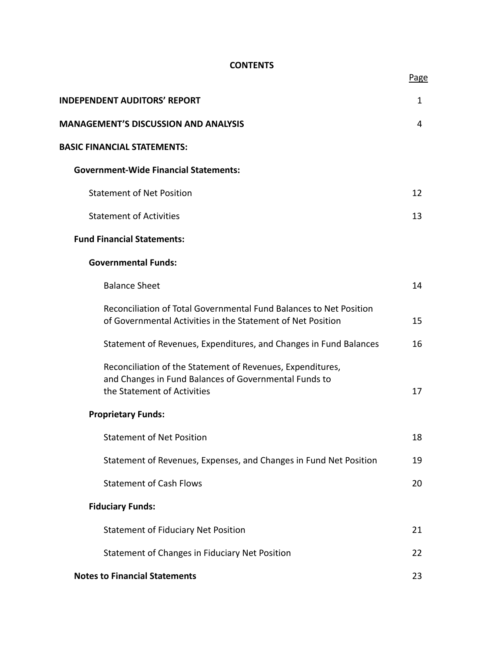# **CONTENTS**

| <b>INDEPENDENT AUDITORS' REPORT</b>                                                                                                                | $\mathbf{1}$ |
|----------------------------------------------------------------------------------------------------------------------------------------------------|--------------|
| <b>MANAGEMENT'S DISCUSSION AND ANALYSIS</b>                                                                                                        | 4            |
| <b>BASIC FINANCIAL STATEMENTS:</b>                                                                                                                 |              |
| <b>Government-Wide Financial Statements:</b>                                                                                                       |              |
| <b>Statement of Net Position</b>                                                                                                                   | 12           |
| <b>Statement of Activities</b>                                                                                                                     | 13           |
| <b>Fund Financial Statements:</b>                                                                                                                  |              |
| <b>Governmental Funds:</b>                                                                                                                         |              |
| <b>Balance Sheet</b>                                                                                                                               | 14           |
| Reconciliation of Total Governmental Fund Balances to Net Position<br>of Governmental Activities in the Statement of Net Position                  | 15           |
| Statement of Revenues, Expenditures, and Changes in Fund Balances                                                                                  | 16           |
| Reconciliation of the Statement of Revenues, Expenditures,<br>and Changes in Fund Balances of Governmental Funds to<br>the Statement of Activities | 17           |
| <b>Proprietary Funds:</b>                                                                                                                          |              |
| <b>Statement of Net Position</b>                                                                                                                   | 18           |
| Statement of Revenues, Expenses, and Changes in Fund Net Position                                                                                  | 19           |
| <b>Statement of Cash Flows</b>                                                                                                                     | 20           |
| <b>Fiduciary Funds:</b>                                                                                                                            |              |
| <b>Statement of Fiduciary Net Position</b>                                                                                                         | 21           |
| Statement of Changes in Fiduciary Net Position                                                                                                     | 22           |
| <b>Notes to Financial Statements</b>                                                                                                               | 23           |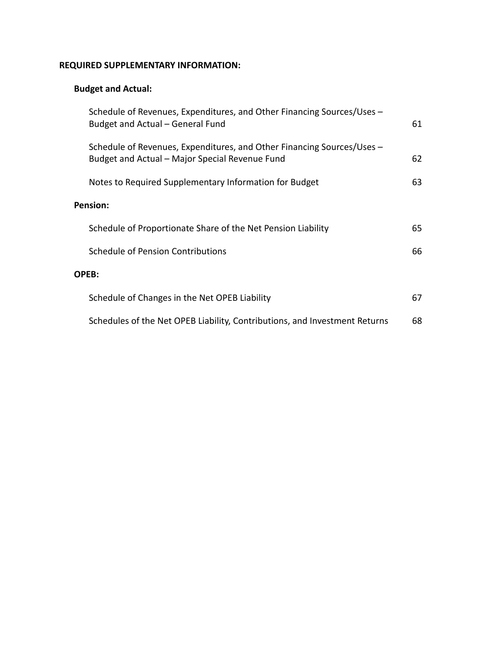# **REQUIRED SUPPLEMENTARY INFORMATION:**

# **Budget and Actual:**

| Schedule of Revenues, Expenditures, and Other Financing Sources/Uses -<br>Budget and Actual - General Fund               | 61 |
|--------------------------------------------------------------------------------------------------------------------------|----|
| Schedule of Revenues, Expenditures, and Other Financing Sources/Uses -<br>Budget and Actual - Major Special Revenue Fund | 62 |
| Notes to Required Supplementary Information for Budget                                                                   | 63 |
| Pension:                                                                                                                 |    |
| Schedule of Proportionate Share of the Net Pension Liability                                                             | 65 |
| Schedule of Pension Contributions                                                                                        | 66 |
| <b>OPEB:</b>                                                                                                             |    |
| Schedule of Changes in the Net OPEB Liability                                                                            | 67 |
| Schedules of the Net OPEB Liability, Contributions, and Investment Returns                                               | 68 |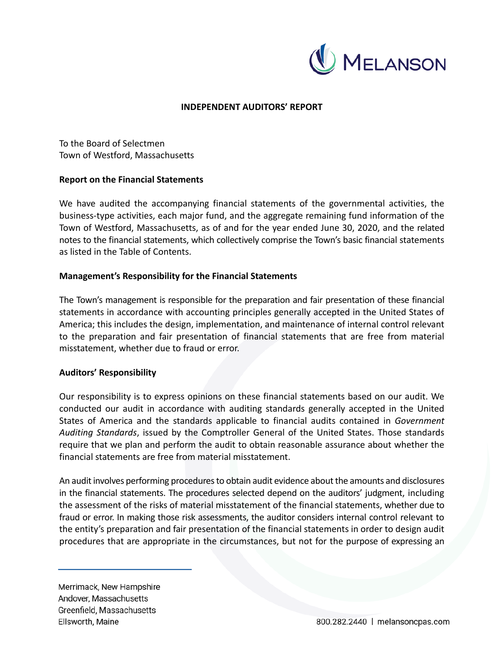

### **INDEPENDENT AUDITORS' REPORT**

To the Board of Selectmen Town of Westford, Massachusetts

### **Report on the Financial Statements**

We have audited the accompanying financial statements of the governmental activities, the business‐type activities, each major fund, and the aggregate remaining fund information of the Town of Westford, Massachusetts, as of and for the year ended June 30, 2020, and the related notes to the financial statements, which collectively comprise the Town's basic financial statements as listed in the Table of Contents.

### **Management's Responsibility for the Financial Statements**

The Town's management is responsible for the preparation and fair presentation of these financial statements in accordance with accounting principles generally accepted in the United States of America; this includes the design, implementation, and maintenance of internal control relevant to the preparation and fair presentation of financial statements that are free from material misstatement, whether due to fraud or error.

### **Auditors' Responsibility**

Our responsibility is to express opinions on these financial statements based on our audit. We conducted our audit in accordance with auditing standards generally accepted in the United States of America and the standards applicable to financial audits contained in *Government Auditing Standards*, issued by the Comptroller General of the United States. Those standards require that we plan and perform the audit to obtain reasonable assurance about whether the financial statements are free from material misstatement.

An audit involves performing procedures to obtain audit evidence about the amounts and disclosures in the financial statements. The procedures selected depend on the auditors' judgment, including the assessment of the risks of material misstatement of the financial statements, whether due to fraud or error. In making those risk assessments, the auditor considers internal control relevant to the entity's preparation and fair presentation of the financial statements in order to design audit procedures that are appropriate in the circumstances, but not for the purpose of expressing an

Merrimack, New Hampshire Andover, Massachusetts Greenfield, Massachusetts Ellsworth, Maine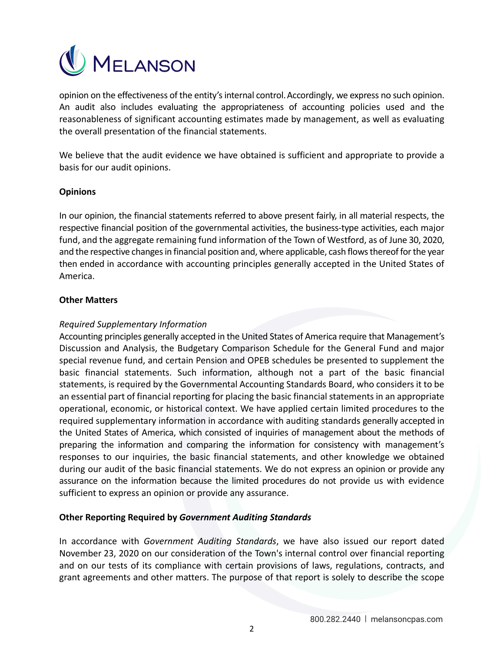

opinion on the effectiveness of the entity's internal control.Accordingly, we express no such opinion. An audit also includes evaluating the appropriateness of accounting policies used and the reasonableness of significant accounting estimates made by management, as well as evaluating the overall presentation of the financial statements.

We believe that the audit evidence we have obtained is sufficient and appropriate to provide a basis for our audit opinions.

### **Opinions**

In our opinion, the financial statements referred to above present fairly, in all material respects, the respective financial position of the governmental activities, the business‐type activities, each major fund, and the aggregate remaining fund information of the Town of Westford, as of June 30, 2020, and the respective changes in financial position and, where applicable, cash flows thereof for the year then ended in accordance with accounting principles generally accepted in the United States of America.

### **Other Matters**

### *Required Supplementary Information*

Accounting principles generally accepted in the United States of America require that Management's Discussion and Analysis, the Budgetary Comparison Schedule for the General Fund and major special revenue fund, and certain Pension and OPEB schedules be presented to supplement the basic financial statements. Such information, although not a part of the basic financial statements, is required by the Governmental Accounting Standards Board, who considers it to be an essential part of financial reporting for placing the basic financial statements in an appropriate operational, economic, or historical context. We have applied certain limited procedures to the required supplementary information in accordance with auditing standards generally accepted in the United States of America, which consisted of inquiries of management about the methods of preparing the information and comparing the information for consistency with management's responses to our inquiries, the basic financial statements, and other knowledge we obtained during our audit of the basic financial statements. We do not express an opinion or provide any assurance on the information because the limited procedures do not provide us with evidence sufficient to express an opinion or provide any assurance.

### **Other Reporting Required by** *Government Auditing Standards*

In accordance with *Government Auditing Standards*, we have also issued our report dated November 23, 2020 on our consideration of the Town's internal control over financial reporting and on our tests of its compliance with certain provisions of laws, regulations, contracts, and grant agreements and other matters. The purpose of that report is solely to describe the scope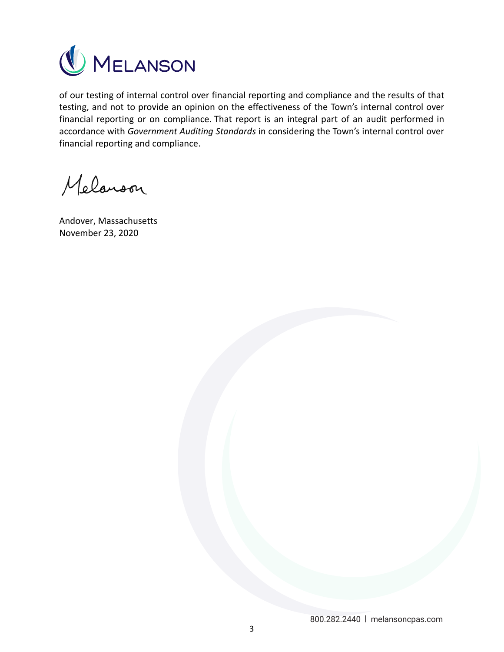

of our testing of internal control over financial reporting and compliance and the results of that testing, and not to provide an opinion on the effectiveness of the Town's internal control over financial reporting or on compliance. That report is an integral part of an audit performed in accordance with *Government Auditing Standards* in considering the Town's internal control over financial reporting and compliance.

Melanoon

Andover, Massachusetts November 23, 2020

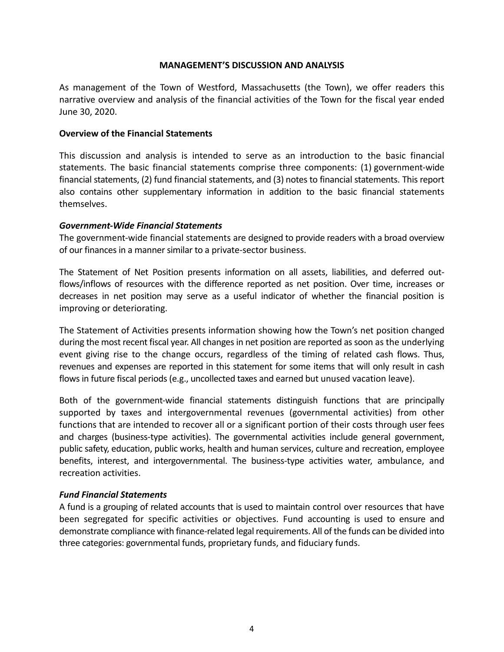### **MANAGEMENT'S DISCUSSION AND ANALYSIS**

As management of the Town of Westford, Massachusetts (the Town), we offer readers this narrative overview and analysis of the financial activities of the Town for the fiscal year ended June 30, 2020.

### **Overview of the Financial Statements**

This discussion and analysis is intended to serve as an introduction to the basic financial statements. The basic financial statements comprise three components: (1) government-wide financial statements, (2) fund financial statements, and (3) notes to financial statements. This report also contains other supplementary information in addition to the basic financial statements themselves.

### *Government‐Wide Financial Statements*

The government‐wide financial statements are designed to provide readers with a broad overview of our finances in a manner similar to a private‐sector business.

The Statement of Net Position presents information on all assets, liabilities, and deferred outflows/inflows of resources with the difference reported as net position. Over time, increases or decreases in net position may serve as a useful indicator of whether the financial position is improving or deteriorating.

The Statement of Activities presents information showing how the Town's net position changed during the most recent fiscal year. All changes in net position are reported as soon as the underlying event giving rise to the change occurs, regardless of the timing of related cash flows. Thus, revenues and expenses are reported in this statement for some items that will only result in cash flows in future fiscal periods (e.g., uncollected taxes and earned but unused vacation leave).

Both of the government-wide financial statements distinguish functions that are principally supported by taxes and intergovernmental revenues (governmental activities) from other functions that are intended to recover all or a significant portion of their costs through user fees and charges (business‐type activities). The governmental activities include general government, public safety, education, public works, health and human services, culture and recreation, employee benefits, interest, and intergovernmental. The business-type activities water, ambulance, and recreation activities.

### *Fund Financial Statements*

A fund is a grouping of related accounts that is used to maintain control over resources that have been segregated for specific activities or objectives. Fund accounting is used to ensure and demonstrate compliance with finance‐related legal requirements. All of the funds can be divided into three categories: governmental funds, proprietary funds, and fiduciary funds.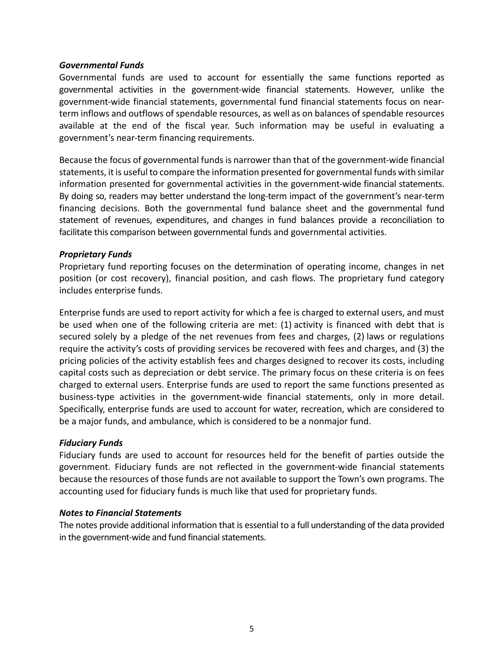### *Governmental Funds*

Governmental funds are used to account for essentially the same functions reported as governmental activities in the government-wide financial statements. However, unlike the government‐wide financial statements, governmental fund financial statements focus on near‐ term inflows and outflows of spendable resources, as well as on balances of spendable resources available at the end of the fiscal year. Such information may be useful in evaluating a government's near‐term financing requirements.

Because the focus of governmental funds is narrower than that of the government‐wide financial statements, it is useful to compare the information presented for governmental funds with similar information presented for governmental activities in the government‐wide financial statements. By doing so, readers may better understand the long-term impact of the government's near-term financing decisions. Both the governmental fund balance sheet and the governmental fund statement of revenues, expenditures, and changes in fund balances provide a reconciliation to facilitate this comparison between governmental funds and governmental activities.

### *Proprietary Funds*

Proprietary fund reporting focuses on the determination of operating income, changes in net position (or cost recovery), financial position, and cash flows. The proprietary fund category includes enterprise funds.

Enterprise funds are used to report activity for which a fee is charged to external users, and must be used when one of the following criteria are met: (1) activity is financed with debt that is secured solely by a pledge of the net revenues from fees and charges, (2) laws or regulations require the activity's costs of providing services be recovered with fees and charges, and (3) the pricing policies of the activity establish fees and charges designed to recover its costs, including capital costs such as depreciation or debt service. The primary focus on these criteria is on fees charged to external users. Enterprise funds are used to report the same functions presented as business-type activities in the government-wide financial statements, only in more detail. Specifically, enterprise funds are used to account for water, recreation, which are considered to be a major funds, and ambulance, which is considered to be a nonmajor fund.

### *Fiduciary Funds*

Fiduciary funds are used to account for resources held for the benefit of parties outside the government. Fiduciary funds are not reflected in the government-wide financial statements because the resources of those funds are not available to support the Town's own programs. The accounting used for fiduciary funds is much like that used for proprietary funds.

### *Notes to Financial Statements*

The notes provide additional information that is essential to a full understanding of the data provided in the government‐wide and fund financial statements.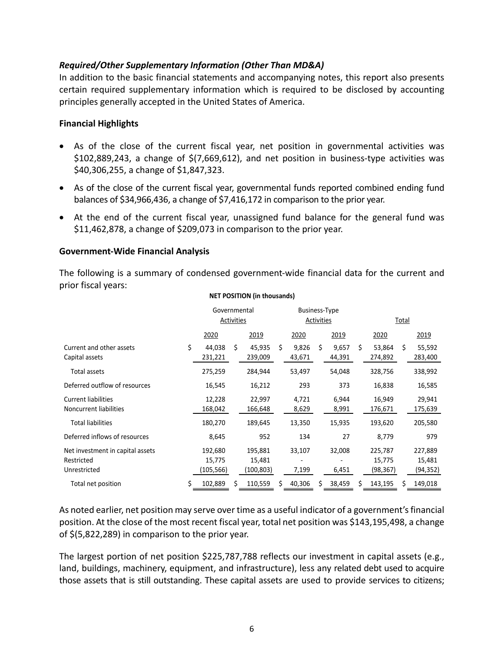## *Required/Other Supplementary Information (Other Than MD&A)*

In addition to the basic financial statements and accompanying notes, this report also presents certain required supplementary information which is required to be disclosed by accounting principles generally accepted in the United States of America.

### **Financial Highlights**

- As of the close of the current fiscal year, net position in governmental activities was \$102,889,243, a change of \$(7,669,612), and net position in business-type activities was \$40,306,255, a change of \$1,847,323.
- As of the close of the current fiscal year, governmental funds reported combined ending fund balances of \$34,966,436, a change of \$7,416,172 in comparison to the prior year.
- At the end of the current fiscal year, unassigned fund balance for the general fund was \$11,462,878, a change of \$209,073 in comparison to the prior year.

### **Government‐Wide Financial Analysis**

The following is a summary of condensed government‐wide financial data for the current and prior fiscal years:

|                                                                | Governmental<br>Activities      |    |                                | <b>Business-Type</b><br><b>Activities</b> |                 |    |                 | Total |                               |    |                                |
|----------------------------------------------------------------|---------------------------------|----|--------------------------------|-------------------------------------------|-----------------|----|-----------------|-------|-------------------------------|----|--------------------------------|
|                                                                | 2020                            |    | 2019                           |                                           | 2020            |    | 2019            |       | 2020                          |    | 2019                           |
| Current and other assets<br>Capital assets                     | \$<br>44,038<br>231,221         | \$ | 45,935<br>239,009              | Ś.                                        | 9,826<br>43,671 | Ś. | 9,657<br>44,391 | Ŝ.    | 53,864<br>274,892             | \$ | 55,592<br>283,400              |
| Total assets                                                   | 275,259                         |    | 284,944                        |                                           | 53,497          |    | 54,048          |       | 328,756                       |    | 338,992                        |
| Deferred outflow of resources                                  | 16,545                          |    | 16,212                         |                                           | 293             |    | 373             |       | 16,838                        |    | 16,585                         |
| <b>Current liabilities</b><br>Noncurrent liabilities           | 12,228<br>168,042               |    | 22,997<br>166,648              |                                           | 4,721<br>8,629  |    | 6,944<br>8,991  |       | 16,949<br>176,671             |    | 29,941<br>175,639              |
| <b>Total liabilities</b>                                       | 180,270                         |    | 189,645                        |                                           | 13,350          |    | 15,935          |       | 193,620                       |    | 205,580                        |
| Deferred inflows of resources                                  | 8,645                           |    | 952                            |                                           | 134             |    | 27              |       | 8,779                         |    | 979                            |
| Net investment in capital assets<br>Restricted<br>Unrestricted | 192,680<br>15,775<br>(105, 566) |    | 195,881<br>15,481<br>(100,803) |                                           | 33,107<br>7,199 |    | 32,008<br>6,451 |       | 225,787<br>15,775<br>(98,367) |    | 227,889<br>15,481<br>(94, 352) |
| Total net position                                             | 102,889                         | Ś  | 110,559                        | S                                         | 40,306          | S  | 38,459          | S     | 143,195                       | S  | 149,018                        |

#### **NET POSITION (in thousands)**

As noted earlier, net position may serve over time as a useful indicator of a government's financial position. At the close of the most recent fiscal year, total net position was \$143,195,498, a change of \$(5,822,289) in comparison to the prior year.

The largest portion of net position \$225,787,788 reflects our investment in capital assets (e.g., land, buildings, machinery, equipment, and infrastructure), less any related debt used to acquire those assets that is still outstanding. These capital assets are used to provide services to citizens;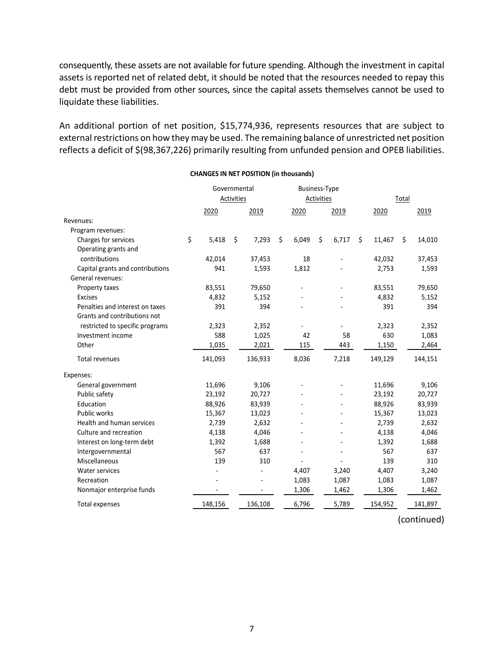consequently, these assets are not available for future spending. Although the investment in capital assets is reported net of related debt, it should be noted that the resources needed to repay this debt must be provided from other sources, since the capital assets themselves cannot be used to liquidate these liabilities.

An additional portion of net position, \$15,774,936, represents resources that are subject to external restrictions on how they may be used. The remaining balance of unrestricted net position reflects a deficit of \$(98,367,226) primarily resulting from unfunded pension and OPEB liabilities.

|                                                                 | Governmental | Activities |                          | <b>Business-Type</b> | Activities |       |              | Total |         |
|-----------------------------------------------------------------|--------------|------------|--------------------------|----------------------|------------|-------|--------------|-------|---------|
|                                                                 | 2020         |            | 2019                     | 2020                 |            | 2019  | 2020         |       | 2019    |
| Revenues:                                                       |              |            |                          |                      |            |       |              |       |         |
| Program revenues:                                               |              |            |                          |                      |            |       |              |       |         |
| Charges for services<br>Operating grants and                    | \$<br>5,418  | \$         | 7,293                    | \$<br>6,049          | \$         | 6,717 | \$<br>11,467 | \$    | 14,010  |
| contributions                                                   | 42,014       |            | 37,453                   | 18                   |            |       | 42,032       |       | 37,453  |
| Capital grants and contributions                                | 941          |            | 1,593                    | 1,812                |            |       | 2,753        |       | 1,593   |
| General revenues:                                               |              |            |                          |                      |            |       |              |       |         |
| Property taxes                                                  | 83,551       |            | 79,650                   |                      |            |       | 83,551       |       | 79,650  |
| <b>Excises</b>                                                  | 4,832        |            | 5,152                    |                      |            |       | 4,832        |       | 5,152   |
| Penalties and interest on taxes<br>Grants and contributions not | 391          |            | 394                      |                      |            |       | 391          |       | 394     |
| restricted to specific programs                                 | 2,323        |            | 2,352                    |                      |            |       | 2,323        |       | 2,352   |
| Investment income                                               | 588          |            | 1,025                    | 42                   |            | 58    | 630          |       | 1,083   |
| Other                                                           | 1,035        |            | 2,021                    | 115                  |            | 443   | 1,150        |       | 2,464   |
| <b>Total revenues</b>                                           | 141,093      |            | 136,933                  | 8,036                |            | 7,218 | 149,129      |       | 144,151 |
| Expenses:                                                       |              |            |                          |                      |            |       |              |       |         |
| General government                                              | 11,696       |            | 9,106                    |                      |            |       | 11,696       |       | 9,106   |
| Public safety                                                   | 23,192       |            | 20,727                   |                      |            |       | 23,192       |       | 20,727  |
| Education                                                       | 88,926       |            | 83,939                   |                      |            |       | 88,926       |       | 83,939  |
| Public works                                                    | 15,367       |            | 13,023                   |                      |            |       | 15,367       |       | 13,023  |
| Health and human services                                       | 2,739        |            | 2,632                    |                      |            |       | 2,739        |       | 2,632   |
| Culture and recreation                                          | 4,138        |            | 4,046                    |                      |            |       | 4,138        |       | 4,046   |
| Interest on long-term debt                                      | 1,392        |            | 1,688                    |                      |            |       | 1,392        |       | 1,688   |
| Intergovernmental                                               | 567          |            | 637                      |                      |            |       | 567          |       | 637     |
| Miscellaneous                                                   | 139          |            | 310                      |                      |            |       | 139          |       | 310     |
| <b>Water services</b>                                           |              |            | $\overline{\phantom{a}}$ | 4,407                |            | 3,240 | 4,407        |       | 3,240   |
| Recreation                                                      |              |            |                          | 1,083                |            | 1,087 | 1,083        |       | 1,087   |
| Nonmajor enterprise funds                                       |              |            |                          | 1,306                |            | 1,462 | 1,306        |       | 1,462   |
| Total expenses                                                  | 148,156      |            | 136,108                  | 6,796                |            | 5,789 | 154,952      |       | 141,897 |

#### **CHANGES IN NET POSITION (in thousands)**

(continued)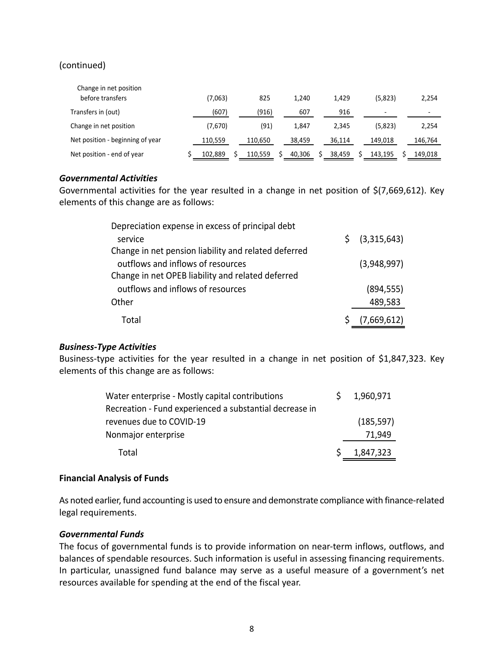# (continued)

| Change in net position           |         |         |        |        |         |         |
|----------------------------------|---------|---------|--------|--------|---------|---------|
| before transfers                 | (7,063) | 825     | 1.240  | 1.429  | (5,823) | 2,254   |
| Transfers in (out)               | (607)   | (916)   | 607    | 916    | ۰       | ٠       |
| Change in net position           | (7,670) | (91)    | 1.847  | 2,345  | (5,823) | 2,254   |
| Net position - beginning of year | 110.559 | 110.650 | 38,459 | 36,114 | 149.018 | 146,764 |
| Net position - end of year       | 102,889 | 110.559 | 40.306 | 38,459 | 143.195 | 149,018 |

### *Governmental Activities*

Governmental activities for the year resulted in a change in net position of \$(7,669,612). Key elements of this change are as follows:

| Depreciation expense in excess of principal debt     |                     |
|------------------------------------------------------|---------------------|
| service                                              | $\zeta$ (3,315,643) |
| Change in net pension liability and related deferred |                     |
| outflows and inflows of resources                    | (3,948,997)         |
| Change in net OPEB liability and related deferred    |                     |
| outflows and inflows of resources                    | (894, 555)          |
| Other                                                | 489,583             |
| Total                                                | (7,669,612)         |

### *Business‐Type Activities*

Business-type activities for the year resulted in a change in net position of \$1,847,323. Key elements of this change are as follows:

| Water enterprise - Mostly capital contributions         |    | 1,960,971  |
|---------------------------------------------------------|----|------------|
| Recreation - Fund experienced a substantial decrease in |    |            |
| revenues due to COVID-19                                |    | (185, 597) |
| Nonmajor enterprise                                     |    | 71,949     |
| Total                                                   | S. | 1,847,323  |

### **Financial Analysis of Funds**

As noted earlier, fund accounting is used to ensure and demonstrate compliance with finance‐related legal requirements.

### *Governmental Funds*

The focus of governmental funds is to provide information on near-term inflows, outflows, and balances of spendable resources. Such information is useful in assessing financing requirements. In particular, unassigned fund balance may serve as a useful measure of a government's net resources available for spending at the end of the fiscal year.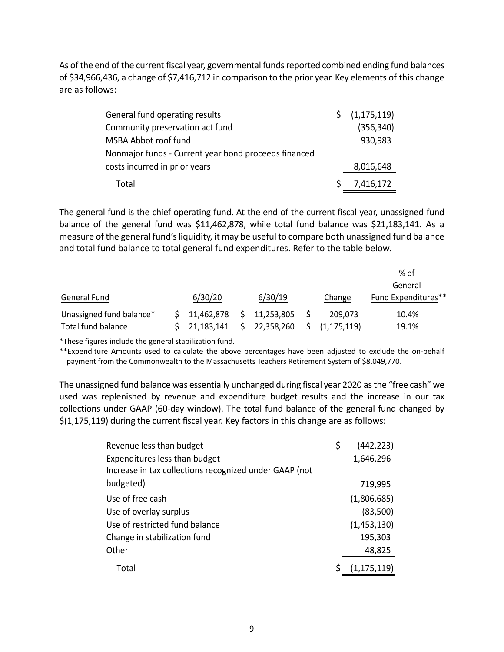As of the end of the current fiscal year, governmental funds reported combined ending fund balances of \$34,966,436, a change of \$7,416,712 in comparison to the prior year. Key elements of this change are as follows:

| General fund operating results                       |    | $\zeta$ (1,175,119) |
|------------------------------------------------------|----|---------------------|
| Community preservation act fund                      |    | (356, 340)          |
| MSBA Abbot roof fund                                 |    | 930,983             |
| Nonmajor funds - Current year bond proceeds financed |    |                     |
| costs incurred in prior years                        |    | 8,016,648           |
| Total                                                | S. | 7,416,172           |

The general fund is the chief operating fund. At the end of the current fiscal year, unassigned fund balance of the general fund was \$11,462,878, while total fund balance was \$21,183,141. As a measure of the general fund's liquidity, it may be useful to compare both unassigned fund balance and total fund balance to total general fund expenditures. Refer to the table below.

|                          |              |    |            |               | % of                |
|--------------------------|--------------|----|------------|---------------|---------------------|
|                          |              |    |            |               | General             |
| General Fund             | 6/30/20      |    | 6/30/19    | Change        | Fund Expenditures** |
| Unassigned fund balance* | 11,462,878   | ς. | 11,253,805 | 209.073       | 10.4%               |
| Total fund balance       | \$21,183,141 |    | 22,358,260 | (1, 175, 119) | 19.1%               |

\*These figures include the general stabilization fund.

\*\*Expenditure Amounts used to calculate the above percentages have been adjusted to exclude the on‐behalf payment from the Commonwealth to the Massachusetts Teachers Retirement System of \$8,049,770.

The unassigned fund balance was essentially unchanged during fiscal year 2020 as the "free cash" we used was replenished by revenue and expenditure budget results and the increase in our tax collections under GAAP (60-day window). The total fund balance of the general fund changed by \$(1,175,119) during the current fiscal year. Key factors in this change are as follows:

| Revenue less than budget                               | \$<br>(442, 223) |
|--------------------------------------------------------|------------------|
| Expenditures less than budget                          | 1,646,296        |
| Increase in tax collections recognized under GAAP (not |                  |
| budgeted)                                              | 719,995          |
| Use of free cash                                       | (1,806,685)      |
| Use of overlay surplus                                 | (83,500)         |
| Use of restricted fund balance                         | (1,453,130)      |
| Change in stabilization fund                           | 195,303          |
| Other                                                  | 48,825           |
| Total                                                  | (1, 175, 119)    |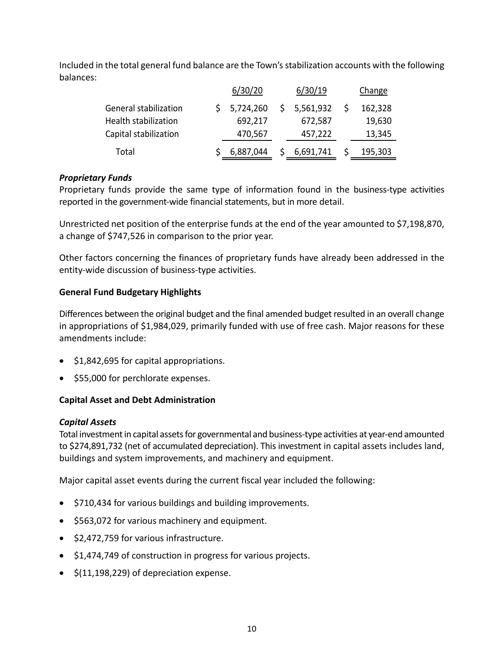Included in the total general fund balance are the Town's stabilization accounts with the following balances:

|                              | 6/30/20     |    | 6/30/19   | Change  |
|------------------------------|-------------|----|-----------|---------|
| <b>General stabilization</b> | \$5,724,260 | Ŝ. | 5,561,932 | 162,328 |
| <b>Health stabilization</b>  | 692,217     |    | 672,587   | 19,630  |
| Capital stabilization        | 470,567     |    | 457,222   | 13,345  |
| Total                        | 6,887,044   |    | 6,691,741 | 195,303 |

# *Proprietary Funds*

Proprietary funds provide the same type of information found in the business-type activities reported in the government‐wide financial statements, but in more detail.

Unrestricted net position of the enterprise funds at the end of the year amounted to \$7,198,870, a change of \$747,526 in comparison to the prior year.

Other factors concerning the finances of proprietary funds have already been addressed in the entity‐wide discussion of business‐type activities.

## **General Fund Budgetary Highlights**

Differences between the original budget and the final amended budget resulted in an overall change in appropriations of \$1,984,029, primarily funded with use of free cash. Major reasons for these amendments include:

- $\bullet$  \$1,842,695 for capital appropriations.
- \$55,000 for perchlorate expenses.

### **Capital Asset and Debt Administration**

### *Capital Assets*

Total investment in capital assets for governmental and business-type activities at year-end amounted to \$274,891,732 (net of accumulated depreciation). This investment in capital assets includes land, buildings and system improvements, and machinery and equipment.

Major capital asset events during the current fiscal year included the following:

- \$710,434 for various buildings and building improvements.
- \$563,072 for various machinery and equipment.
- \$2,472,759 for various infrastructure.
- \$1,474,749 of construction in progress for various projects.
- $\bullet$  \$(11,198,229) of depreciation expense.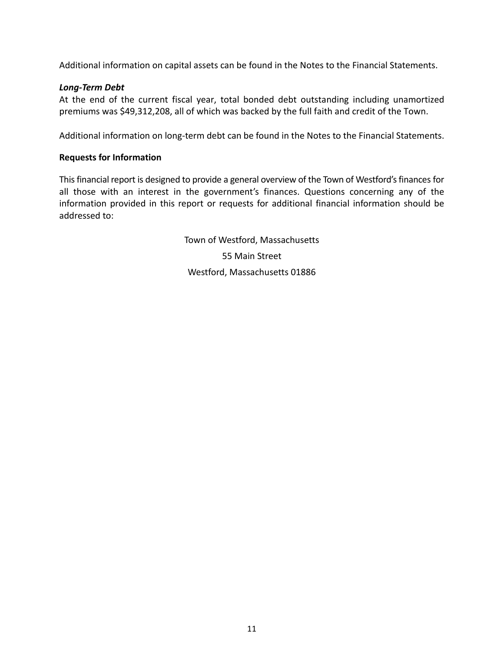Additional information on capital assets can be found in the Notes to the Financial Statements.

### *Long‐Term Debt*

At the end of the current fiscal year, total bonded debt outstanding including unamortized premiums was \$49,312,208, all of which was backed by the full faith and credit of the Town.

Additional information on long‐term debt can be found in the Notes to the Financial Statements.

### **Requests for Information**

This financial report is designed to provide a general overview of the Town of Westford's finances for all those with an interest in the government's finances. Questions concerning any of the information provided in this report or requests for additional financial information should be addressed to:

> Town of Westford, Massachusetts 55 Main Street Westford, Massachusetts 01886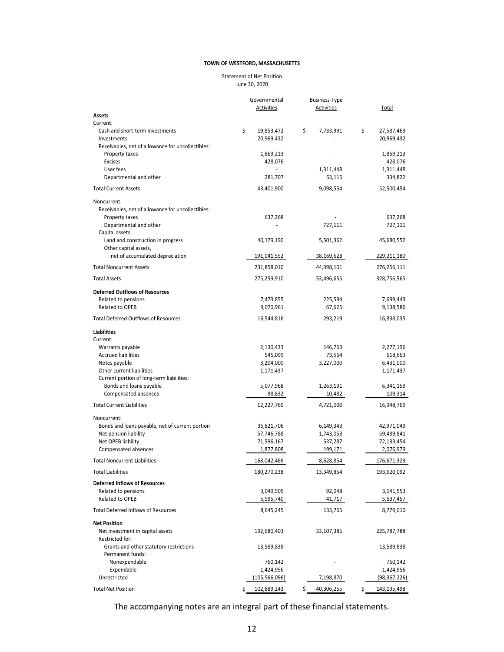#### Statement of Net Position June 30, 2020

|                                                                                               |    | Governmental<br>Activities | <b>Business-Type</b><br>Activities | Total                          |
|-----------------------------------------------------------------------------------------------|----|----------------------------|------------------------------------|--------------------------------|
| Assets                                                                                        |    |                            |                                    |                                |
| Current:                                                                                      |    |                            |                                    |                                |
| Cash and short-term investments<br>Investments                                                | \$ | 19,853,472<br>20,969,432   | \$<br>7,733,991                    | \$<br>27,587,463<br>20,969,432 |
| Receivables, net of allowance for uncollectibles:<br>Property taxes                           |    | 1,869,213                  |                                    | 1,869,213                      |
| <b>Excises</b><br>User fees                                                                   |    | 428,076                    | 1,311,448                          | 428,076<br>1,311,448           |
| Departmental and other                                                                        |    | 281,707                    | 53,115                             | 334,822                        |
| <b>Total Current Assets</b>                                                                   |    | 43,401,900                 | 9,098,554                          | 52,500,454                     |
| Noncurrent:                                                                                   |    |                            |                                    |                                |
| Receivables, net of allowance for uncollectibles:<br>Property taxes<br>Departmental and other |    | 637,268                    | 727,111                            | 637,268<br>727,111             |
| Capital assets                                                                                |    |                            |                                    |                                |
| Land and construction in progress<br>Other capital assets,                                    |    | 40,179,190                 | 5,501,362                          | 45,680,552                     |
| net of accumulated depreciation                                                               |    | 191,041,552                | 38,169,628                         | 229,211,180                    |
| <b>Total Noncurrent Assets</b>                                                                |    | 231,858,010                | 44,398,101                         | 276,256,111                    |
| <b>Total Assets</b>                                                                           |    | 275,259,910                | 53,496,655                         | 328,756,565                    |
| <b>Deferred Outflows of Resources</b>                                                         |    |                            |                                    |                                |
| Related to pensions                                                                           |    | 7,473,855                  | 225,594                            | 7,699,449                      |
| <b>Related to OPEB</b>                                                                        |    | 9,070,961                  | 67,625                             | 9,138,586                      |
| <b>Total Deferred Outflows of Resources</b>                                                   |    | 16,544,816                 | 293,219                            | 16,838,035                     |
| <b>Liabilities</b><br>Current:                                                                |    |                            |                                    |                                |
| Warrants payable                                                                              |    | 2,130,433                  | 146,763                            | 2,277,196                      |
| <b>Accrued liabilities</b>                                                                    |    | 545,099                    | 73,564                             | 618,663                        |
| Notes payable<br>Other current liabilities                                                    |    | 3,204,000<br>1,171,437     | 3,227,000                          | 6,431,000<br>1,171,437         |
| Current portion of long-term liabilities:                                                     |    |                            |                                    |                                |
| Bonds and loans payable                                                                       |    | 5,077,968                  | 1,263,191                          | 6,341,159                      |
| Compensated absences                                                                          |    | 98,832                     | 10,482                             | 109,314                        |
| <b>Total Current Liabilities</b>                                                              |    | 12,227,769                 | 4,721,000                          | 16,948,769                     |
| Noncurrent:                                                                                   |    |                            |                                    |                                |
| Bonds and loans payable, net of current portion                                               |    | 36,821,706                 | 6,149,343                          | 42,971,049                     |
| Net pension liability                                                                         |    | 57,746,788                 | 1,743,053                          | 59,489,841                     |
| Net OPEB liability<br>Compensated absences                                                    |    | 71,596,167<br>1,877,808    | 537,287<br>199,171                 | 72,133,454<br>2,076,979        |
| <b>Total Noncurrent Liabilities</b>                                                           |    | 168,042,469                | 8,628,854                          | 176,671,323                    |
| <b>Total Liabilities</b>                                                                      |    | 180,270,238                | 13,349,854                         | 193,620,092                    |
| <b>Deferred Inflows of Resources</b>                                                          |    |                            |                                    |                                |
| Related to pensions                                                                           |    | 3,049,505                  | 92,048                             | 3,141,553                      |
| Related to OPEB                                                                               |    | 5,595,740                  | 41,717                             | 5,637,457                      |
| <b>Total Deferred Inflows of Resources</b>                                                    |    | 8,645,245                  | 133,765                            | 8,779,010                      |
| <b>Net Position</b>                                                                           |    |                            |                                    |                                |
| Net investment in capital assets                                                              |    | 192,680,403                | 33,107,385                         | 225,787,788                    |
| Restricted for:                                                                               |    |                            |                                    |                                |
| Grants and other statutory restrictions<br>Permanent funds:                                   |    | 13,589,838                 |                                    | 13,589,838                     |
| Nonexpendable                                                                                 |    | 760,142                    |                                    | 760,142                        |
| Expendable                                                                                    |    | 1,424,956                  |                                    | 1,424,956                      |
| Unrestricted                                                                                  |    | (105,566,096)              | 7,198,870                          | (98,367,226)                   |
| <b>Total Net Position</b>                                                                     | Ŝ  | 102,889,243                | \$<br>40,306,255                   | \$<br>143,195,498              |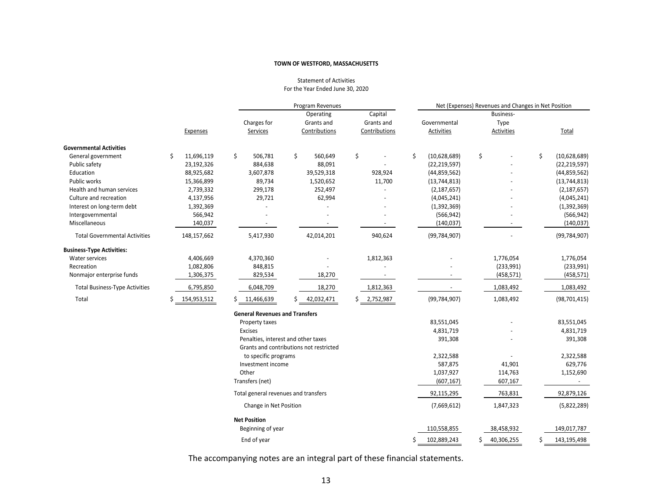#### Statement of Activities For the Year Ended June 30, 2020

|                                       |    |             | Program Revenues |                                                                                |    |               |                 |    | Net (Expenses) Revenues and Changes in Net Position |                  |    |                |
|---------------------------------------|----|-------------|------------------|--------------------------------------------------------------------------------|----|---------------|-----------------|----|-----------------------------------------------------|------------------|----|----------------|
|                                       |    |             |                  |                                                                                |    | Operating     | Capital         |    |                                                     | Business-        |    |                |
|                                       |    |             |                  | Charges for                                                                    |    | Grants and    | Grants and      |    | Governmental                                        | Type             |    |                |
|                                       |    | Expenses    |                  | Services                                                                       |    | Contributions | Contributions   |    | Activities                                          | Activities       |    | Total          |
| <b>Governmental Activities</b>        |    |             |                  |                                                                                |    |               |                 |    |                                                     |                  |    |                |
| General government                    | Ŝ. | 11,696,119  | \$               | 506,781                                                                        | \$ | 560,649       | \$              | \$ | (10,628,689)                                        | \$               | \$ | (10,628,689)   |
| Public safety                         |    | 23,192,326  |                  | 884,638                                                                        |    | 88,091        |                 |    | (22, 219, 597)                                      |                  |    | (22, 219, 597) |
| Education                             |    | 88,925,682  |                  | 3,607,878                                                                      |    | 39,529,318    | 928,924         |    | (44, 859, 562)                                      |                  |    | (44, 859, 562) |
| Public works                          |    | 15,366,899  |                  | 89,734                                                                         |    | 1,520,652     | 11,700          |    | (13, 744, 813)                                      |                  |    | (13, 744, 813) |
| Health and human services             |    | 2,739,332   |                  | 299,178                                                                        |    | 252,497       |                 |    | (2, 187, 657)                                       |                  |    | (2, 187, 657)  |
| Culture and recreation                |    | 4,137,956   |                  | 29,721                                                                         |    | 62,994        |                 |    | (4,045,241)                                         |                  |    | (4,045,241)    |
| Interest on long-term debt            |    | 1,392,369   |                  |                                                                                |    |               |                 |    | (1, 392, 369)                                       |                  |    | (1, 392, 369)  |
| Intergovernmental                     |    | 566,942     |                  | $\overline{\phantom{a}}$                                                       |    |               |                 |    | (566, 942)                                          |                  |    | (566, 942)     |
| Miscellaneous                         |    | 140,037     |                  |                                                                                |    |               |                 |    | (140, 037)                                          |                  |    | (140, 037)     |
| <b>Total Governmental Activities</b>  |    | 148,157,662 |                  | 5,417,930                                                                      |    | 42,014,201    | 940,624         |    | (99, 784, 907)                                      |                  |    | (99, 784, 907) |
| <b>Business-Type Activities:</b>      |    |             |                  |                                                                                |    |               |                 |    |                                                     |                  |    |                |
| Water services                        |    | 4,406,669   |                  | 4,370,360                                                                      |    |               | 1,812,363       |    |                                                     | 1,776,054        |    | 1,776,054      |
| Recreation                            |    | 1,082,806   |                  | 848,815                                                                        |    |               |                 |    |                                                     | (233,991)        |    | (233,991)      |
| Nonmajor enterprise funds             |    | 1,306,375   |                  | 829,534                                                                        |    | 18,270        |                 |    |                                                     | (458, 571)       |    | (458, 571)     |
| <b>Total Business-Type Activities</b> |    | 6,795,850   |                  | 6,048,709                                                                      |    | 18,270        | 1,812,363       |    |                                                     | 1,083,492        |    | 1,083,492      |
| Total                                 | Ś. | 154,953,512 | Ś.               | 11,466,639                                                                     | Ś. | 42,032,471    | \$<br>2,752,987 |    | (99, 784, 907)                                      | 1,083,492        |    | (98, 701, 415) |
|                                       |    |             |                  | <b>General Revenues and Transfers</b>                                          |    |               |                 |    |                                                     |                  |    |                |
|                                       |    |             |                  | Property taxes                                                                 |    |               |                 |    | 83,551,045                                          |                  |    | 83,551,045     |
|                                       |    |             |                  | <b>Excises</b>                                                                 |    |               |                 |    | 4,831,719                                           |                  |    | 4,831,719      |
|                                       |    |             |                  | Penalties, interest and other taxes<br>Grants and contributions not restricted |    |               |                 |    | 391,308                                             |                  |    | 391,308        |
|                                       |    |             |                  | to specific programs                                                           |    |               |                 |    | 2,322,588                                           |                  |    | 2,322,588      |
|                                       |    |             |                  | Investment income                                                              |    |               |                 |    | 587,875                                             | 41,901           |    | 629,776        |
|                                       |    |             |                  | Other                                                                          |    |               |                 |    | 1,037,927                                           | 114,763          |    | 1,152,690      |
|                                       |    |             |                  | Transfers (net)                                                                |    |               |                 |    | (607, 167)                                          | 607,167          |    |                |
|                                       |    |             |                  | Total general revenues and transfers                                           |    |               |                 |    | 92,115,295                                          | 763,831          |    | 92,879,126     |
|                                       |    |             |                  | Change in Net Position                                                         |    |               |                 |    | (7,669,612)                                         | 1,847,323        |    | (5,822,289)    |
|                                       |    |             |                  | <b>Net Position</b>                                                            |    |               |                 |    |                                                     |                  |    |                |
|                                       |    |             |                  | Beginning of year                                                              |    |               |                 |    | 110,558,855                                         | 38,458,932       |    | 149,017,787    |
|                                       |    |             |                  | End of year                                                                    |    |               |                 | Ś  | 102,889,243                                         | \$<br>40,306,255 | Ś  | 143,195,498    |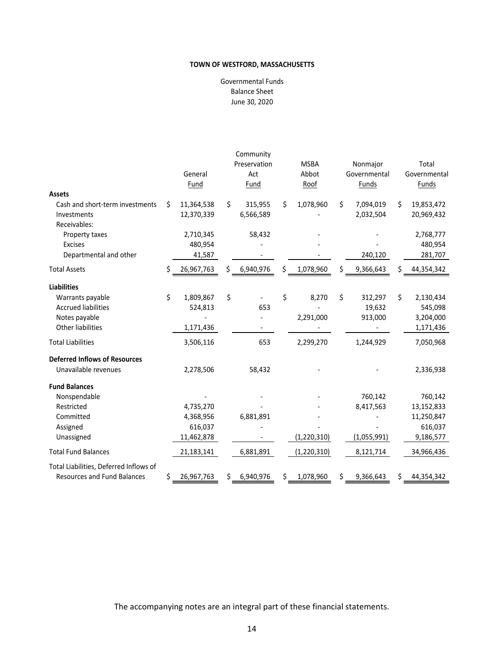Balance Sheet June 30, 2020 Governmental Funds

| <b>Assets</b>                                                                                              | General<br>Fund                                 | Community<br>Preservation<br>Act<br>Fund | <b>MSBA</b><br>Abbot<br>Roof | Nonmajor<br>Governmental<br>Funds   | Total<br>Governmental<br>Funds                              |
|------------------------------------------------------------------------------------------------------------|-------------------------------------------------|------------------------------------------|------------------------------|-------------------------------------|-------------------------------------------------------------|
| Cash and short-term investments<br>Investments<br>Receivables:                                             | \$<br>11,364,538<br>12,370,339                  | \$<br>315,955<br>6,566,589               | \$<br>1,078,960              | \$<br>7,094,019<br>2,032,504        | \$<br>19,853,472<br>20,969,432                              |
| Property taxes<br><b>Excises</b><br>Departmental and other                                                 | 2,710,345<br>480,954<br>41,587                  | 58,432                                   |                              | 240,120                             | 2,768,777<br>480,954<br>281,707                             |
| <b>Total Assets</b>                                                                                        | \$<br>26,967,763                                | \$<br>6,940,976                          | \$<br>1,078,960              | \$<br>9,366,643                     | \$<br>44,354,342                                            |
| <b>Liabilities</b><br>Warrants payable<br><b>Accrued liabilities</b><br>Notes payable<br>Other liabilities | \$<br>1,809,867<br>524,813<br>1,171,436         | \$<br>653                                | \$<br>8,270<br>2,291,000     | \$<br>312,297<br>19,632<br>913,000  | \$<br>2,130,434<br>545,098<br>3,204,000<br>1,171,436        |
| <b>Total Liabilities</b>                                                                                   | 3,506,116                                       | 653                                      | 2,299,270                    | 1,244,929                           | 7,050,968                                                   |
| <b>Deferred Inflows of Resources</b><br>Unavailable revenues                                               | 2,278,506                                       | 58,432                                   |                              |                                     | 2,336,938                                                   |
| <b>Fund Balances</b><br>Nonspendable<br>Restricted<br>Committed<br>Assigned<br>Unassigned                  | 4,735,270<br>4,368,956<br>616,037<br>11,462,878 | 6,881,891                                | (1,220,310)                  | 760,142<br>8,417,563<br>(1,055,991) | 760,142<br>13,152,833<br>11,250,847<br>616,037<br>9,186,577 |
| <b>Total Fund Balances</b>                                                                                 | 21,183,141                                      | 6,881,891                                | (1, 220, 310)                | 8,121,714                           | 34,966,436                                                  |
| Total Liabilities, Deferred Inflows of<br><b>Resources and Fund Balances</b>                               | \$<br>26,967,763                                | \$<br>6,940,976                          | \$<br>1,078,960              | \$<br>9,366,643                     | \$<br>44,354,342                                            |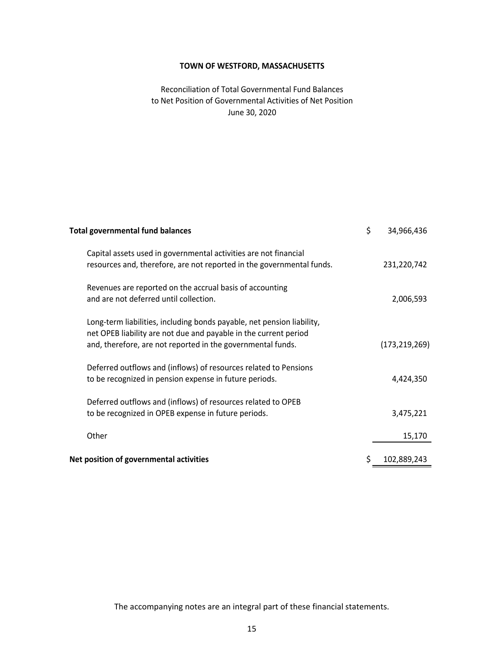### Reconciliation of Total Governmental Fund Balances June 30, 2020 to Net Position of Governmental Activities of Net Position

| <b>Total governmental fund balances</b>                                                                                                                                                                   | \$<br>34,966,436 |
|-----------------------------------------------------------------------------------------------------------------------------------------------------------------------------------------------------------|------------------|
| Capital assets used in governmental activities are not financial<br>resources and, therefore, are not reported in the governmental funds.                                                                 | 231,220,742      |
| Revenues are reported on the accrual basis of accounting<br>and are not deferred until collection.                                                                                                        | 2,006,593        |
| Long-term liabilities, including bonds payable, net pension liability,<br>net OPEB liability are not due and payable in the current period<br>and, therefore, are not reported in the governmental funds. | (173, 219, 269)  |
| Deferred outflows and (inflows) of resources related to Pensions<br>to be recognized in pension expense in future periods.                                                                                | 4,424,350        |
| Deferred outflows and (inflows) of resources related to OPEB<br>to be recognized in OPEB expense in future periods.                                                                                       | 3,475,221        |
| Other                                                                                                                                                                                                     | 15,170           |
| Net position of governmental activities                                                                                                                                                                   | 102,889,243      |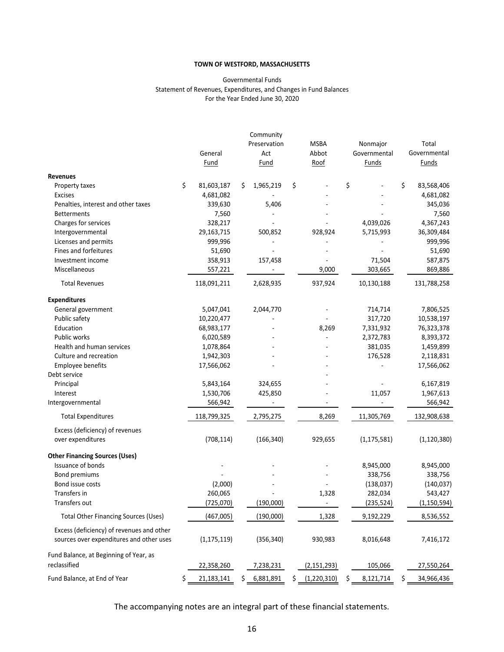#### Governmental Funds Statement of Revenues, Expenditures, and Changes in Fund Balances For the Year Ended June 30, 2020

|                                             |    |               |    | Community    |    |               |    |               |                  |
|---------------------------------------------|----|---------------|----|--------------|----|---------------|----|---------------|------------------|
|                                             |    |               |    | Preservation |    | <b>MSBA</b>   |    | Nonmajor      | Total            |
|                                             |    | General       |    | Act          |    | Abbot         |    | Governmental  | Governmental     |
|                                             |    | Fund          |    | Fund         |    | Roof          |    | Funds         | Funds            |
|                                             |    |               |    |              |    |               |    |               |                  |
| <b>Revenues</b>                             |    |               |    |              |    |               |    |               |                  |
| Property taxes                              | \$ | 81,603,187    | \$ | 1,965,219    | \$ |               | \$ |               | \$<br>83,568,406 |
| <b>Excises</b>                              |    | 4,681,082     |    |              |    |               |    |               | 4,681,082        |
| Penalties, interest and other taxes         |    | 339,630       |    | 5,406        |    |               |    |               | 345,036          |
| <b>Betterments</b>                          |    | 7,560         |    |              |    |               |    |               | 7,560            |
| Charges for services                        |    | 328,217       |    |              |    |               |    | 4,039,026     | 4,367,243        |
| Intergovernmental                           |    | 29,163,715    |    | 500,852      |    | 928,924       |    | 5,715,993     | 36,309,484       |
| Licenses and permits                        |    | 999,996       |    |              |    |               |    |               | 999,996          |
| Fines and forfeitures                       |    | 51,690        |    |              |    |               |    |               | 51,690           |
| Investment income                           |    | 358,913       |    | 157,458      |    |               |    | 71,504        | 587,875          |
| Miscellaneous                               |    | 557,221       |    |              |    | 9,000         |    | 303,665       | 869,886          |
| <b>Total Revenues</b>                       |    | 118,091,211   |    | 2,628,935    |    | 937,924       |    | 10,130,188    | 131,788,258      |
| <b>Expenditures</b>                         |    |               |    |              |    |               |    |               |                  |
| General government                          |    | 5,047,041     |    | 2,044,770    |    |               |    | 714,714       | 7,806,525        |
| Public safety                               |    | 10,220,477    |    |              |    |               |    | 317,720       | 10,538,197       |
| Education                                   |    | 68,983,177    |    |              |    | 8,269         |    | 7,331,932     | 76,323,378       |
| Public works                                |    | 6,020,589     |    |              |    |               |    | 2,372,783     | 8,393,372        |
| Health and human services                   |    | 1,078,864     |    |              |    |               |    | 381,035       | 1,459,899        |
| Culture and recreation                      |    | 1,942,303     |    |              |    |               |    | 176,528       | 2,118,831        |
| <b>Employee benefits</b>                    |    | 17,566,062    |    |              |    |               |    |               | 17,566,062       |
| Debt service                                |    |               |    |              |    |               |    |               |                  |
|                                             |    |               |    |              |    |               |    |               |                  |
| Principal                                   |    | 5,843,164     |    | 324,655      |    |               |    |               | 6,167,819        |
| Interest                                    |    | 1,530,706     |    | 425,850      |    |               |    | 11,057        | 1,967,613        |
| Intergovernmental                           |    | 566,942       |    |              |    |               |    |               | 566,942          |
| <b>Total Expenditures</b>                   |    | 118,799,325   |    | 2,795,275    |    | 8,269         |    | 11,305,769    | 132,908,638      |
| Excess (deficiency) of revenues             |    |               |    |              |    |               |    |               |                  |
| over expenditures                           |    | (708, 114)    |    | (166, 340)   |    | 929,655       |    | (1, 175, 581) | (1, 120, 380)    |
| <b>Other Financing Sources (Uses)</b>       |    |               |    |              |    |               |    |               |                  |
| Issuance of bonds                           |    |               |    |              |    |               |    | 8,945,000     | 8,945,000        |
| Bond premiums                               |    |               |    |              |    |               |    | 338,756       | 338,756          |
| Bond issue costs                            |    | (2,000)       |    |              |    |               |    | (138, 037)    | (140, 037)       |
| Transfers in                                |    | 260,065       |    |              |    | 1,328         |    | 282,034       | 543,427          |
| Transfers out                               |    | (725,070)     |    | (190,000)    |    |               |    | (235, 524)    | (1, 150, 594)    |
| <b>Total Other Financing Sources (Uses)</b> |    | (467,005)     |    | (190,000)    |    | 1,328         |    | 9,192,229     | 8,536,552        |
| Excess (deficiency) of revenues and other   |    |               |    |              |    |               |    |               |                  |
| sources over expenditures and other uses    |    | (1, 175, 119) |    | (356, 340)   |    | 930,983       |    | 8,016,648     | 7,416,172        |
| Fund Balance, at Beginning of Year, as      |    |               |    |              |    |               |    |               |                  |
| reclassified                                |    | 22,358,260    |    | 7,238,231    |    | (2, 151, 293) |    | 105,066       | 27,550,264       |
| Fund Balance, at End of Year                | Ş  | 21,183,141    | S  | 6,881,891    | Ş  | (1,220,310)   | Ş  | 8,121,714     | 34,966,436       |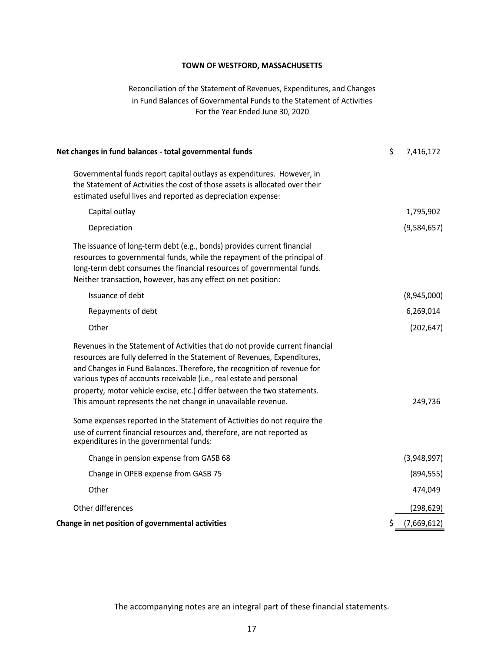# Reconciliation of the Statement of Revenues, Expenditures, and Changes For the Year Ended June 30, 2020 in Fund Balances of Governmental Funds to the Statement of Activities

| Net changes in fund balances - total governmental funds                                                                                                                                                                                                                                                                                                                                                                                                   | \$<br>7,416,172   |
|-----------------------------------------------------------------------------------------------------------------------------------------------------------------------------------------------------------------------------------------------------------------------------------------------------------------------------------------------------------------------------------------------------------------------------------------------------------|-------------------|
| Governmental funds report capital outlays as expenditures. However, in<br>the Statement of Activities the cost of those assets is allocated over their<br>estimated useful lives and reported as depreciation expense:                                                                                                                                                                                                                                    |                   |
| Capital outlay                                                                                                                                                                                                                                                                                                                                                                                                                                            | 1,795,902         |
| Depreciation                                                                                                                                                                                                                                                                                                                                                                                                                                              | (9,584,657)       |
| The issuance of long-term debt (e.g., bonds) provides current financial<br>resources to governmental funds, while the repayment of the principal of<br>long-term debt consumes the financial resources of governmental funds.<br>Neither transaction, however, has any effect on net position:                                                                                                                                                            |                   |
| Issuance of debt                                                                                                                                                                                                                                                                                                                                                                                                                                          | (8,945,000)       |
| Repayments of debt                                                                                                                                                                                                                                                                                                                                                                                                                                        | 6,269,014         |
| Other                                                                                                                                                                                                                                                                                                                                                                                                                                                     | (202, 647)        |
| Revenues in the Statement of Activities that do not provide current financial<br>resources are fully deferred in the Statement of Revenues, Expenditures,<br>and Changes in Fund Balances. Therefore, the recognition of revenue for<br>various types of accounts receivable (i.e., real estate and personal<br>property, motor vehicle excise, etc.) differ between the two statements.<br>This amount represents the net change in unavailable revenue. | 249,736           |
| Some expenses reported in the Statement of Activities do not require the                                                                                                                                                                                                                                                                                                                                                                                  |                   |
| use of current financial resources and, therefore, are not reported as<br>expenditures in the governmental funds:                                                                                                                                                                                                                                                                                                                                         |                   |
| Change in pension expense from GASB 68                                                                                                                                                                                                                                                                                                                                                                                                                    | (3,948,997)       |
| Change in OPEB expense from GASB 75                                                                                                                                                                                                                                                                                                                                                                                                                       | (894, 555)        |
| Other                                                                                                                                                                                                                                                                                                                                                                                                                                                     | 474,049           |
| Other differences                                                                                                                                                                                                                                                                                                                                                                                                                                         | (298, 629)        |
| Change in net position of governmental activities                                                                                                                                                                                                                                                                                                                                                                                                         | \$<br>(7,669,612) |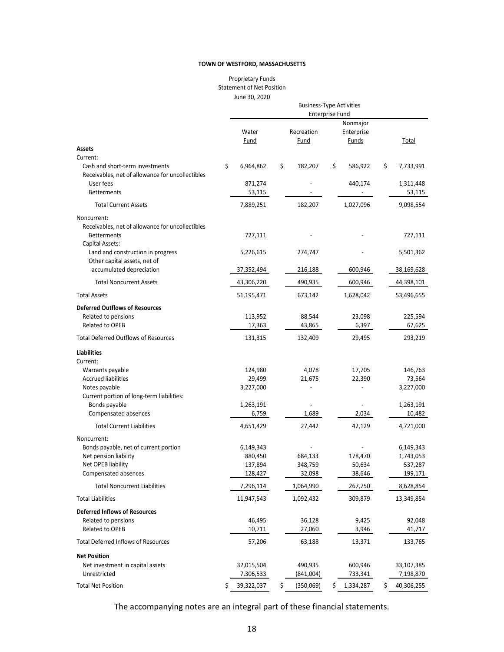#### Proprietary Funds Statement of Net Position June 30, 2020

|                                                          | <b>Business-Type Activities</b><br><b>Enterprise Fund</b> |    |                    |    |                                 |    |                   |  |
|----------------------------------------------------------|-----------------------------------------------------------|----|--------------------|----|---------------------------------|----|-------------------|--|
|                                                          | Water<br>Fund                                             |    | Recreation<br>Fund |    | Nonmajor<br>Enterprise<br>Funds |    | Total             |  |
| Assets                                                   |                                                           |    |                    |    |                                 |    |                   |  |
| Current:<br>Cash and short-term investments              | \$<br>6,964,862                                           | \$ | 182,207            | \$ | 586,922                         | \$ | 7,733,991         |  |
| Receivables, net of allowance for uncollectibles         |                                                           |    |                    |    |                                 |    |                   |  |
| User fees                                                | 871,274                                                   |    |                    |    | 440,174                         |    | 1,311,448         |  |
| <b>Betterments</b>                                       | 53,115                                                    |    |                    |    |                                 |    | 53,115            |  |
| <b>Total Current Assets</b>                              | 7,889,251                                                 |    | 182,207            |    | 1,027,096                       |    | 9,098,554         |  |
| Noncurrent:                                              |                                                           |    |                    |    |                                 |    |                   |  |
| Receivables, net of allowance for uncollectibles         |                                                           |    |                    |    |                                 |    |                   |  |
| <b>Betterments</b>                                       | 727,111                                                   |    |                    |    |                                 |    | 727,111           |  |
| Capital Assets:                                          |                                                           |    |                    |    |                                 |    |                   |  |
| Land and construction in progress                        | 5,226,615                                                 |    | 274,747            |    |                                 |    | 5,501,362         |  |
| Other capital assets, net of<br>accumulated depreciation | 37,352,494                                                |    | 216,188            |    | 600,946                         |    | 38,169,628        |  |
| <b>Total Noncurrent Assets</b>                           | 43,306,220                                                |    | 490,935            |    | 600,946                         |    | 44,398,101        |  |
| <b>Total Assets</b>                                      | 51,195,471                                                |    | 673,142            |    | 1,628,042                       |    | 53,496,655        |  |
|                                                          |                                                           |    |                    |    |                                 |    |                   |  |
| <b>Deferred Outflows of Resources</b>                    |                                                           |    |                    |    |                                 |    |                   |  |
| Related to pensions<br>Related to OPEB                   | 113,952<br>17,363                                         |    | 88,544<br>43,865   |    | 23,098<br>6,397                 |    | 225,594<br>67,625 |  |
| <b>Total Deferred Outflows of Resources</b>              | 131,315                                                   |    | 132,409            |    | 29,495                          |    | 293,219           |  |
|                                                          |                                                           |    |                    |    |                                 |    |                   |  |
| <b>Liabilities</b>                                       |                                                           |    |                    |    |                                 |    |                   |  |
| Current:                                                 |                                                           |    |                    |    |                                 |    |                   |  |
| Warrants payable<br><b>Accrued liabilities</b>           | 124,980<br>29,499                                         |    | 4,078<br>21,675    |    | 17,705<br>22,390                |    | 146,763<br>73,564 |  |
| Notes payable                                            | 3,227,000                                                 |    |                    |    |                                 |    | 3,227,000         |  |
| Current portion of long-term liabilities:                |                                                           |    |                    |    |                                 |    |                   |  |
| Bonds payable                                            | 1,263,191                                                 |    |                    |    |                                 |    | 1,263,191         |  |
| Compensated absences                                     | 6,759                                                     |    | 1,689              |    | 2,034                           |    | 10,482            |  |
| <b>Total Current Liabilities</b>                         | 4,651,429                                                 |    | 27,442             |    | 42,129                          |    | 4,721,000         |  |
| Noncurrent:                                              |                                                           |    |                    |    |                                 |    |                   |  |
| Bonds payable, net of current portion                    | 6,149,343                                                 |    |                    |    |                                 |    | 6,149,343         |  |
| Net pension liability                                    | 880,450                                                   |    | 684,133            |    | 178,470                         |    | 1,743,053         |  |
| Net OPEB liability                                       | 137,894                                                   |    | 348,759            |    | 50,634                          |    | 537,287           |  |
| Compensated absences                                     | 128,427                                                   |    | 32,098             |    | 38,646                          |    | 199,171           |  |
| <b>Total Noncurrent Liabilities</b>                      | 7,296,114                                                 |    | 1,064,990          |    | 267,750                         |    | 8,628,854         |  |
| <b>Total Liabilities</b>                                 | 11,947,543                                                |    | 1,092,432          |    | 309,879                         |    | 13,349,854        |  |
| <b>Deferred Inflows of Resources</b>                     |                                                           |    |                    |    |                                 |    |                   |  |
| Related to pensions                                      | 46,495                                                    |    | 36,128             |    | 9,425                           |    | 92,048            |  |
| <b>Related to OPEB</b>                                   | 10,711                                                    |    | 27,060             |    | 3,946                           |    | 41,717            |  |
| <b>Total Deferred Inflows of Resources</b>               | 57,206                                                    |    | 63,188             |    | 13,371                          |    | 133,765           |  |
| <b>Net Position</b>                                      |                                                           |    |                    |    |                                 |    |                   |  |
| Net investment in capital assets                         | 32,015,504                                                |    | 490,935            |    | 600,946                         |    | 33,107,385        |  |
| Unrestricted                                             | 7,306,533                                                 |    | (841,004)          |    | 733,341                         |    | 7,198,870         |  |
| <b>Total Net Position</b>                                | \$<br>39,322,037                                          | \$ | (350,069)          | \$ | 1,334,287                       | \$ | 40,306,255        |  |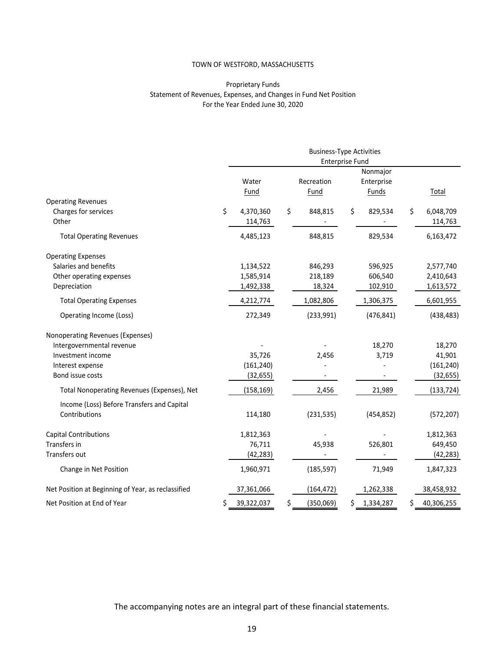### Proprietary Funds Statement of Revenues, Expenses, and Changes in Fund Net Position For the Year Ended June 30, 2020

|                                                    | <b>Business-Type Activities</b> |                        |    |            |    |              |    |            |  |
|----------------------------------------------------|---------------------------------|------------------------|----|------------|----|--------------|----|------------|--|
|                                                    |                                 | <b>Enterprise Fund</b> |    |            |    |              |    |            |  |
|                                                    |                                 |                        |    | Nonmajor   |    |              |    |            |  |
|                                                    |                                 | Water                  |    | Recreation |    | Enterprise   |    |            |  |
|                                                    |                                 | Fund                   |    | Fund       |    | <b>Funds</b> |    | Total      |  |
| <b>Operating Revenues</b>                          |                                 |                        |    |            |    |              |    |            |  |
| Charges for services                               | \$                              | 4,370,360              | \$ | 848,815    | \$ | 829,534      | \$ | 6,048,709  |  |
| Other                                              |                                 | 114,763                |    |            |    |              |    | 114,763    |  |
| <b>Total Operating Revenues</b>                    |                                 | 4,485,123              |    | 848,815    |    | 829,534      |    | 6,163,472  |  |
| <b>Operating Expenses</b>                          |                                 |                        |    |            |    |              |    |            |  |
| Salaries and benefits                              |                                 | 1,134,522              |    | 846,293    |    | 596,925      |    | 2,577,740  |  |
| Other operating expenses                           |                                 | 1,585,914              |    | 218,189    |    | 606,540      |    | 2,410,643  |  |
| Depreciation                                       |                                 | 1,492,338              |    | 18,324     |    | 102,910      |    | 1,613,572  |  |
| <b>Total Operating Expenses</b>                    |                                 | 4,212,774              |    | 1,082,806  |    | 1,306,375    |    | 6,601,955  |  |
| <b>Operating Income (Loss)</b>                     |                                 | 272,349                |    | (233,991)  |    | (476, 841)   |    | (438, 483) |  |
| Nonoperating Revenues (Expenses)                   |                                 |                        |    |            |    |              |    |            |  |
| Intergovernmental revenue                          |                                 |                        |    |            |    | 18,270       |    | 18,270     |  |
| Investment income                                  |                                 | 35,726                 |    | 2,456      |    | 3,719        |    | 41,901     |  |
| Interest expense                                   |                                 | (161, 240)             |    |            |    |              |    | (161, 240) |  |
| Bond issue costs                                   |                                 | (32, 655)              |    |            |    |              |    | (32, 655)  |  |
| Total Nonoperating Revenues (Expenses), Net        |                                 | (158, 169)             |    | 2,456      |    | 21,989       |    | (133, 724) |  |
| Income (Loss) Before Transfers and Capital         |                                 |                        |    |            |    |              |    |            |  |
| Contributions                                      |                                 | 114,180                |    | (231, 535) |    | (454, 852)   |    | (572, 207) |  |
| <b>Capital Contributions</b>                       |                                 | 1,812,363              |    |            |    |              |    | 1,812,363  |  |
| Transfers in                                       |                                 | 76,711                 |    | 45,938     |    | 526,801      |    | 649,450    |  |
| Transfers out                                      |                                 | (42, 283)              |    |            |    |              |    | (42, 283)  |  |
| Change in Net Position                             |                                 | 1,960,971              |    | (185, 597) |    | 71,949       |    | 1,847,323  |  |
| Net Position at Beginning of Year, as reclassified |                                 | 37,361,066             |    | (164, 472) |    | 1,262,338    |    | 38,458,932 |  |
| Net Position at End of Year                        | \$                              | 39,322,037             | \$ | (350,069)  | \$ | 1,334,287    | \$ | 40,306,255 |  |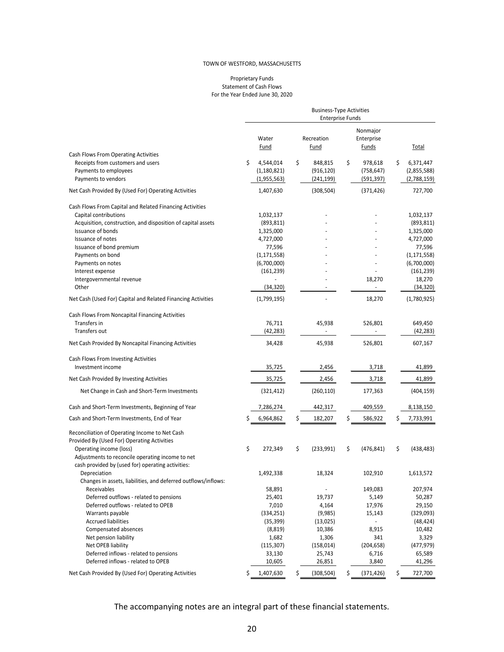#### Proprietary Funds Statement of Cash Flows For the Year Ended June 30, 2020

|                                                                                                                                                                                                                                                                                                        | <b>Business-Type Activities</b><br><b>Enterprise Funds</b> |                                                                                                             |    |                                                                                              |    |                                                                                      |    |                                                                                                           |
|--------------------------------------------------------------------------------------------------------------------------------------------------------------------------------------------------------------------------------------------------------------------------------------------------------|------------------------------------------------------------|-------------------------------------------------------------------------------------------------------------|----|----------------------------------------------------------------------------------------------|----|--------------------------------------------------------------------------------------|----|-----------------------------------------------------------------------------------------------------------|
|                                                                                                                                                                                                                                                                                                        |                                                            | Water<br>Fund                                                                                               |    | Recreation<br>Fund                                                                           |    | Nonmajor<br>Enterprise<br>Funds                                                      |    | <b>Total</b>                                                                                              |
| Cash Flows From Operating Activities<br>Receipts from customers and users<br>Payments to employees<br>Payments to vendors                                                                                                                                                                              | \$                                                         | 4,544,014<br>(1, 180, 821)<br>(1,955,563)                                                                   | \$ | 848,815<br>(916, 120)<br>(241,199)                                                           | \$ | 978,618<br>(758, 647)<br>(591, 397)                                                  | \$ | 6,371,447<br>(2,855,588)<br>(2,788,159)                                                                   |
| Net Cash Provided By (Used For) Operating Activities                                                                                                                                                                                                                                                   |                                                            | 1,407,630                                                                                                   |    | (308, 504)                                                                                   |    | (371, 426)                                                                           |    | 727,700                                                                                                   |
| Cash Flows From Capital and Related Financing Activities<br>Capital contributions<br>Acquisition, construction, and disposition of capital assets<br>Issuance of bonds                                                                                                                                 |                                                            | 1,032,137<br>(893, 811)<br>1,325,000                                                                        |    |                                                                                              |    |                                                                                      |    | 1,032,137<br>(893, 811)<br>1,325,000                                                                      |
| Issuance of notes<br>Issuance of bond premium<br>Payments on bond<br>Payments on notes                                                                                                                                                                                                                 |                                                            | 4,727,000<br>77,596<br>(1, 171, 558)<br>(6,700,000)                                                         |    |                                                                                              |    |                                                                                      |    | 4,727,000<br>77,596<br>(1, 171, 558)<br>(6,700,000)                                                       |
| Interest expense<br>Intergovernmental revenue<br>Other<br>Net Cash (Used For) Capital and Related Financing Activities                                                                                                                                                                                 |                                                            | (161, 239)<br>(34, 320)<br>(1,799,195)                                                                      |    |                                                                                              |    | 18,270<br>18,270                                                                     |    | (161, 239)<br>18,270<br>(34, 320)<br>(1,780,925)                                                          |
| Cash Flows From Noncapital Financing Activities<br>Transfers in<br>Transfers out                                                                                                                                                                                                                       |                                                            | 76,711<br>(42,283)                                                                                          |    | 45,938                                                                                       |    | 526,801                                                                              |    | 649,450<br>(42,283)                                                                                       |
| Net Cash Provided By Noncapital Financing Activities                                                                                                                                                                                                                                                   |                                                            | 34,428                                                                                                      |    | 45,938                                                                                       |    | 526,801                                                                              |    | 607,167                                                                                                   |
| Cash Flows From Investing Activities<br>Investment income                                                                                                                                                                                                                                              |                                                            | 35,725                                                                                                      |    | 2,456                                                                                        |    | 3,718                                                                                |    | 41,899                                                                                                    |
| Net Cash Provided By Investing Activities                                                                                                                                                                                                                                                              |                                                            | 35,725                                                                                                      |    | 2,456                                                                                        |    | 3,718                                                                                |    | 41,899                                                                                                    |
| Net Change in Cash and Short-Term Investments                                                                                                                                                                                                                                                          |                                                            | (321, 412)                                                                                                  |    | (260, 110)                                                                                   |    | 177,363                                                                              |    | (404, 159)                                                                                                |
| Cash and Short-Term Investments, Beginning of Year                                                                                                                                                                                                                                                     |                                                            | 7,286,274                                                                                                   |    | 442,317                                                                                      |    | 409,559                                                                              |    | 8,138,150                                                                                                 |
| Cash and Short-Term Investments, End of Year                                                                                                                                                                                                                                                           | Ś                                                          | 6,964,862                                                                                                   | \$ | 182,207                                                                                      | \$ | 586,922                                                                              | Ś  | 7,733,991                                                                                                 |
| Reconciliation of Operating Income to Net Cash<br>Provided By (Used For) Operating Activities<br>Operating income (loss)<br>Adjustments to reconcile operating income to net<br>cash provided by (used for) operating activities:                                                                      | \$                                                         | 272,349                                                                                                     | \$ | (233,991)                                                                                    | \$ | (476, 841)                                                                           | \$ | (438, 483)                                                                                                |
| Depreciation<br>Changes in assets, liabilities, and deferred outflows/inflows:                                                                                                                                                                                                                         |                                                            | 1,492,338                                                                                                   |    | 18,324                                                                                       |    | 102,910                                                                              |    | 1,613,572                                                                                                 |
| Receivables<br>Deferred outflows - related to pensions<br>Deferred outflows - related to OPEB<br>Warrants payable<br><b>Accrued liabilities</b><br>Compensated absences<br>Net pension liability<br>Net OPEB liability<br>Deferred inflows - related to pensions<br>Deferred inflows - related to OPEB |                                                            | 58,891<br>25,401<br>7,010<br>(334, 251)<br>(35, 399)<br>(8, 819)<br>1,682<br>(115, 307)<br>33,130<br>10,605 |    | 19,737<br>4,164<br>(9,985)<br>(13, 025)<br>10,386<br>1,306<br>(158, 014)<br>25,743<br>26,851 |    | 149,083<br>5,149<br>17,976<br>15,143<br>8,915<br>341<br>(204, 658)<br>6,716<br>3,840 |    | 207,974<br>50,287<br>29,150<br>(329,093)<br>(48, 424)<br>10,482<br>3,329<br>(477,979)<br>65,589<br>41,296 |
| Net Cash Provided By (Used For) Operating Activities                                                                                                                                                                                                                                                   | Ś                                                          | 1,407,630                                                                                                   | \$ | (308, 504)                                                                                   | \$ | (371, 426)                                                                           | \$ | 727,700                                                                                                   |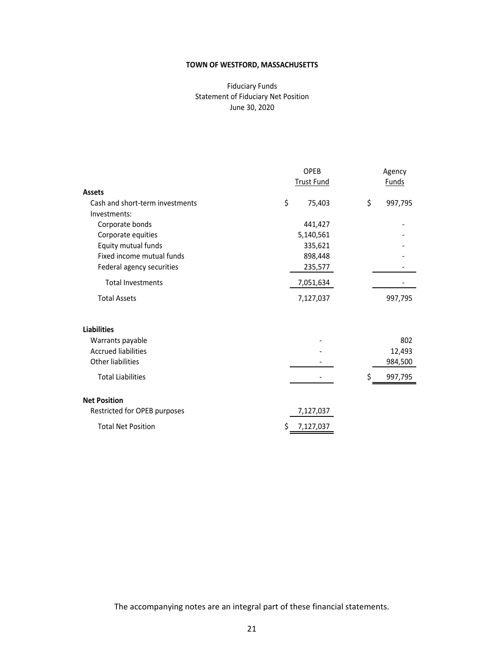### Fiduciary Funds Statement of Fiduciary Net Position June 30, 2020

|                                                 | <b>OPEB</b>       | Agency        |
|-------------------------------------------------|-------------------|---------------|
|                                                 | <b>Trust Fund</b> | <b>Funds</b>  |
| <b>Assets</b>                                   |                   |               |
| Cash and short-term investments<br>Investments: | \$<br>75,403      | \$<br>997,795 |
| Corporate bonds                                 | 441,427           |               |
| Corporate equities                              | 5,140,561         |               |
| Equity mutual funds                             | 335,621           |               |
| Fixed income mutual funds                       | 898,448           |               |
| Federal agency securities                       | 235,577           |               |
| <b>Total Investments</b>                        | 7,051,634         |               |
| <b>Total Assets</b>                             | 7,127,037         | 997,795       |
| <b>Liabilities</b>                              |                   |               |
| Warrants payable                                |                   | 802           |
| <b>Accrued liabilities</b>                      |                   | 12,493        |
| Other liabilities                               |                   | 984,500       |
| <b>Total Liabilities</b>                        |                   | \$<br>997,795 |
| <b>Net Position</b>                             |                   |               |
| Restricted for OPEB purposes                    | 7,127,037         |               |
| <b>Total Net Position</b>                       | 7,127,037<br>S    |               |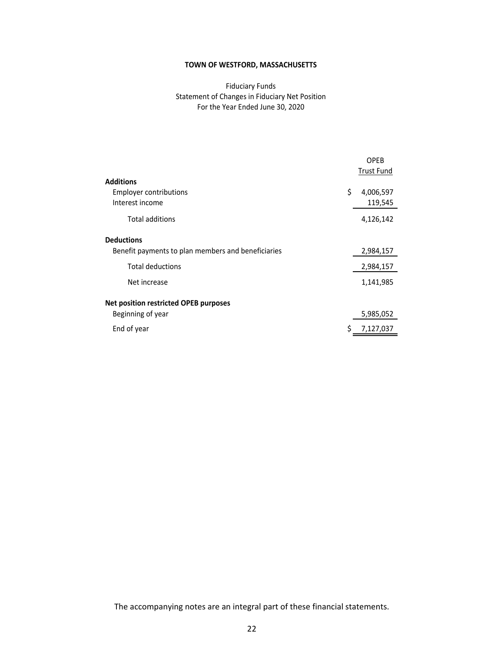### Fiduciary Funds Statement of Changes in Fiduciary Net Position For the Year Ended June 30, 2020

|                                                    |    | OPFB<br><b>Trust Fund</b> |
|----------------------------------------------------|----|---------------------------|
| <b>Additions</b>                                   |    |                           |
| <b>Employer contributions</b>                      | \$ | 4,006,597                 |
| Interest income                                    |    | 119,545                   |
| <b>Total additions</b>                             |    | 4,126,142                 |
| <b>Deductions</b>                                  |    |                           |
| Benefit payments to plan members and beneficiaries |    | 2,984,157                 |
| <b>Total deductions</b>                            |    | 2,984,157                 |
| Net increase                                       |    | 1,141,985                 |
| Net position restricted OPEB purposes              |    |                           |
| Beginning of year                                  |    | 5,985,052                 |
| End of year                                        | S  | 7,127,037                 |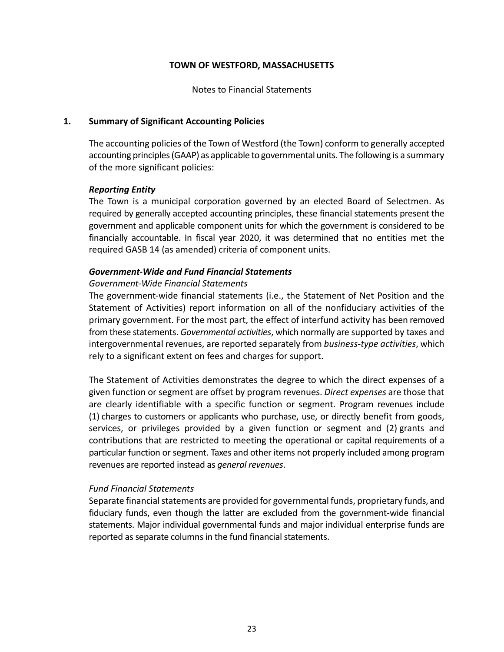Notes to Financial Statements

### **1. Summary of Significant Accounting Policies**

The accounting policies of the Town of Westford (the Town) conform to generally accepted accounting principles (GAAP) as applicable to governmental units. The following is a summary of the more significant policies:

### *Reporting Entity*

The Town is a municipal corporation governed by an elected Board of Selectmen. As required by generally accepted accounting principles, these financial statements present the government and applicable component units for which the government is considered to be financially accountable. In fiscal year 2020, it was determined that no entities met the required GASB 14 (as amended) criteria of component units.

### *Government‐Wide and Fund Financial Statements*

### *Government‐Wide Financial Statements*

The government-wide financial statements (i.e., the Statement of Net Position and the Statement of Activities) report information on all of the nonfiduciary activities of the primary government. For the most part, the effect of interfund activity has been removed from these statements. *Governmental activities*, which normally are supported by taxes and intergovernmental revenues, are reported separately from *business‐type activities*, which rely to a significant extent on fees and charges for support.

The Statement of Activities demonstrates the degree to which the direct expenses of a given function or segment are offset by program revenues. *Direct expenses* are those that are clearly identifiable with a specific function or segment. Program revenues include (1) charges to customers or applicants who purchase, use, or directly benefit from goods, services, or privileges provided by a given function or segment and (2) grants and contributions that are restricted to meeting the operational or capital requirements of a particular function or segment. Taxes and other items not properly included among program revenues are reported instead as *general revenues*.

### *Fund Financial Statements*

Separate financial statements are provided for governmental funds, proprietary funds, and fiduciary funds, even though the latter are excluded from the government-wide financial statements. Major individual governmental funds and major individual enterprise funds are reported as separate columns in the fund financial statements.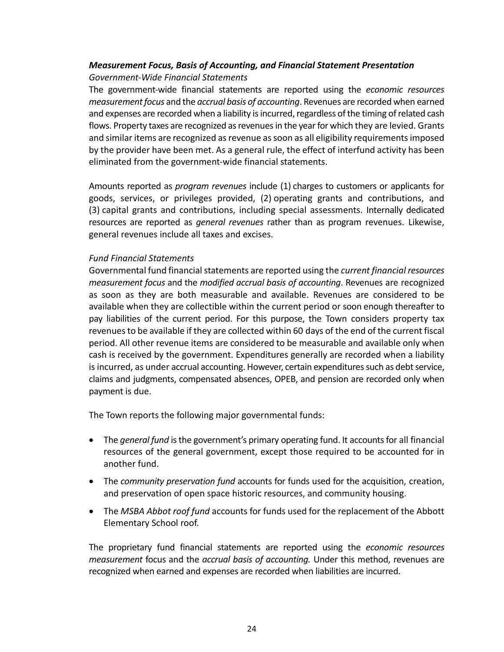# *Measurement Focus, Basis of Accounting, and Financial Statement Presentation Government‐Wide Financial Statements*

The government‐wide financial statements are reported using the *economic resources measurement focus* and the *accrual basis of accounting*. Revenues are recorded when earned and expenses are recorded when a liability is incurred, regardless of the timing of related cash flows. Property taxes are recognized as revenues in the year for which they are levied. Grants and similar items are recognized as revenue as soon as all eligibility requirements imposed by the provider have been met. As a general rule, the effect of interfund activity has been eliminated from the government‐wide financial statements.

Amounts reported as *program revenues* include (1) charges to customers or applicants for goods, services, or privileges provided, (2) operating grants and contributions, and (3) capital grants and contributions, including special assessments. Internally dedicated resources are reported as *general revenues* rather than as program revenues. Likewise, general revenues include all taxes and excises.

### *Fund Financial Statements*

Governmental fund financial statements are reported using the *current financial resources measurement focus* and the *modified accrual basis of accounting*. Revenues are recognized as soon as they are both measurable and available. Revenues are considered to be available when they are collectible within the current period or soon enough thereafter to pay liabilities of the current period. For this purpose, the Town considers property tax revenues to be available if they are collected within 60 days of the end of the current fiscal period. All other revenue items are considered to be measurable and available only when cash is received by the government. Expenditures generally are recorded when a liability is incurred, as under accrual accounting. However, certain expenditures such as debt service, claims and judgments, compensated absences, OPEB, and pension are recorded only when payment is due.

The Town reports the following major governmental funds:

- The *general fund* is the government's primary operating fund. It accounts for all financial resources of the general government, except those required to be accounted for in another fund.
- The *community preservation fund* accounts for funds used for the acquisition, creation, and preservation of open space historic resources, and community housing.
- The *MSBA Abbot roof fund* accounts for funds used for the replacement of the Abbott Elementary School roof.

The proprietary fund financial statements are reported using the *economic resources measurement* focus and the *accrual basis of accounting.* Under this method, revenues are recognized when earned and expenses are recorded when liabilities are incurred.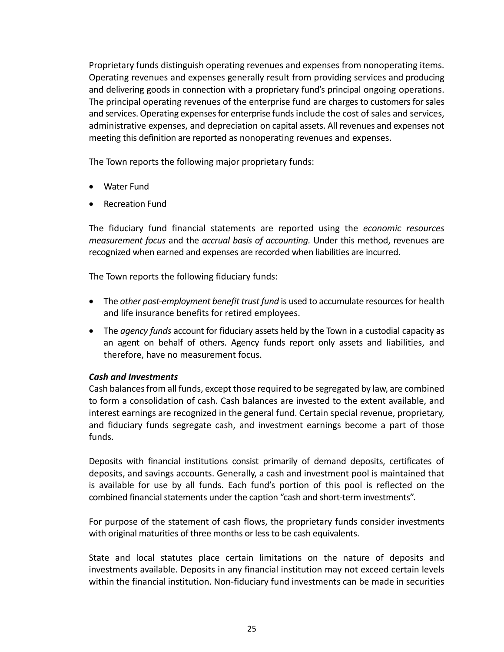Proprietary funds distinguish operating revenues and expenses from nonoperating items. Operating revenues and expenses generally result from providing services and producing and delivering goods in connection with a proprietary fund's principal ongoing operations. The principal operating revenues of the enterprise fund are charges to customers for sales and services. Operating expenses for enterprise funds include the cost of sales and services, administrative expenses, and depreciation on capital assets. All revenues and expenses not meeting this definition are reported as nonoperating revenues and expenses.

The Town reports the following major proprietary funds:

- Water Fund
- Recreation Fund

The fiduciary fund financial statements are reported using the *economic resources measurement focus* and the *accrual basis of accounting.* Under this method, revenues are recognized when earned and expenses are recorded when liabilities are incurred.

The Town reports the following fiduciary funds:

- The *other post-employment benefit trust fund* is used to accumulate resources for health and life insurance benefits for retired employees.
- The *agency funds* account for fiduciary assets held by the Town in a custodial capacity as an agent on behalf of others. Agency funds report only assets and liabilities, and therefore, have no measurement focus.

### *Cash and Investments*

Cash balances from all funds, except those required to be segregated by law, are combined to form a consolidation of cash. Cash balances are invested to the extent available, and interest earnings are recognized in the general fund. Certain special revenue, proprietary, and fiduciary funds segregate cash, and investment earnings become a part of those funds.

Deposits with financial institutions consist primarily of demand deposits, certificates of deposits, and savings accounts. Generally, a cash and investment pool is maintained that is available for use by all funds. Each fund's portion of this pool is reflected on the combined financial statements under the caption "cash and short‐term investments".

For purpose of the statement of cash flows, the proprietary funds consider investments with original maturities of three months or less to be cash equivalents.

State and local statutes place certain limitations on the nature of deposits and investments available. Deposits in any financial institution may not exceed certain levels within the financial institution. Non-fiduciary fund investments can be made in securities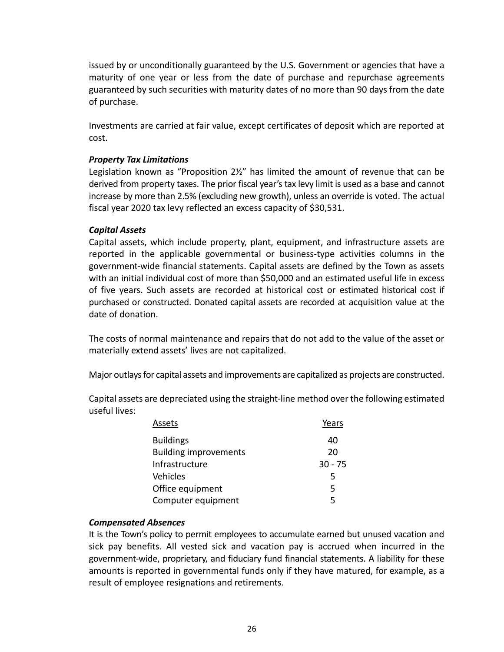issued by or unconditionally guaranteed by the U.S. Government or agencies that have a maturity of one year or less from the date of purchase and repurchase agreements guaranteed by such securities with maturity dates of no more than 90 days from the date of purchase.

Investments are carried at fair value, except certificates of deposit which are reported at cost.

### *Property Tax Limitations*

Legislation known as "Proposition 2½" has limited the amount of revenue that can be derived from property taxes. The prior fiscal year's tax levy limit is used as a base and cannot increase by more than 2.5% (excluding new growth), unless an override is voted. The actual fiscal year 2020 tax levy reflected an excess capacity of \$30,531.

### *Capital Assets*

Capital assets, which include property, plant, equipment, and infrastructure assets are reported in the applicable governmental or business-type activities columns in the government‐wide financial statements. Capital assets are defined by the Town as assets with an initial individual cost of more than \$50,000 and an estimated useful life in excess of five years. Such assets are recorded at historical cost or estimated historical cost if purchased or constructed. Donated capital assets are recorded at acquisition value at the date of donation.

The costs of normal maintenance and repairs that do not add to the value of the asset or materially extend assets' lives are not capitalized.

Major outlays for capital assets and improvements are capitalized as projects are constructed.

Capital assets are depreciated using the straight‐line method over the following estimated useful lives:

| Assets                       | Years     |
|------------------------------|-----------|
| <b>Buildings</b>             | 40        |
| <b>Building improvements</b> | 20        |
| Infrastructure               | $30 - 75$ |
| Vehicles                     | 5         |
| Office equipment             | 5         |
| Computer equipment           | 5         |

### *Compensated Absences*

It is the Town's policy to permit employees to accumulate earned but unused vacation and sick pay benefits. All vested sick and vacation pay is accrued when incurred in the government‐wide, proprietary, and fiduciary fund financial statements. A liability for these amounts is reported in governmental funds only if they have matured, for example, as a result of employee resignations and retirements.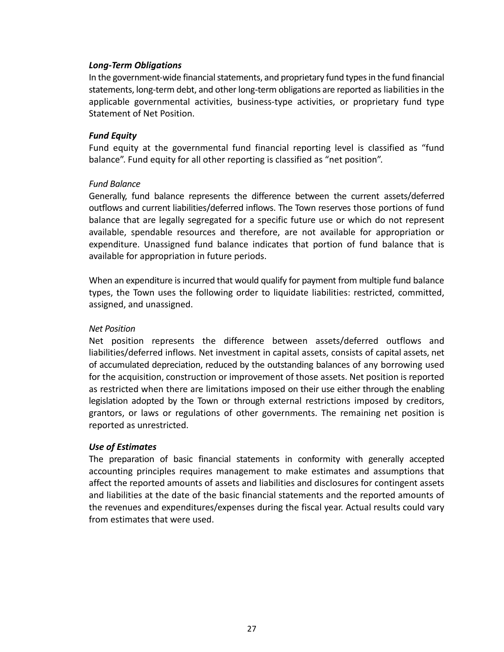### *Long‐Term Obligations*

In the government‐wide financial statements, and proprietary fund types in the fund financial statements, long‐term debt, and other long‐term obligations are reported as liabilities in the applicable governmental activities, business‐type activities, or proprietary fund type Statement of Net Position.

### *Fund Equity*

Fund equity at the governmental fund financial reporting level is classified as "fund balance". Fund equity for all other reporting is classified as "net position".

### *Fund Balance*

Generally, fund balance represents the difference between the current assets/deferred outflows and current liabilities/deferred inflows. The Town reserves those portions of fund balance that are legally segregated for a specific future use or which do not represent available, spendable resources and therefore, are not available for appropriation or expenditure. Unassigned fund balance indicates that portion of fund balance that is available for appropriation in future periods.

When an expenditure is incurred that would qualify for payment from multiple fund balance types, the Town uses the following order to liquidate liabilities: restricted, committed, assigned, and unassigned.

### *Net Position*

Net position represents the difference between assets/deferred outflows and liabilities/deferred inflows. Net investment in capital assets, consists of capital assets, net of accumulated depreciation, reduced by the outstanding balances of any borrowing used for the acquisition, construction or improvement of those assets. Net position is reported as restricted when there are limitations imposed on their use either through the enabling legislation adopted by the Town or through external restrictions imposed by creditors, grantors, or laws or regulations of other governments. The remaining net position is reported as unrestricted.

### *Use of Estimates*

The preparation of basic financial statements in conformity with generally accepted accounting principles requires management to make estimates and assumptions that affect the reported amounts of assets and liabilities and disclosures for contingent assets and liabilities at the date of the basic financial statements and the reported amounts of the revenues and expenditures/expenses during the fiscal year. Actual results could vary from estimates that were used.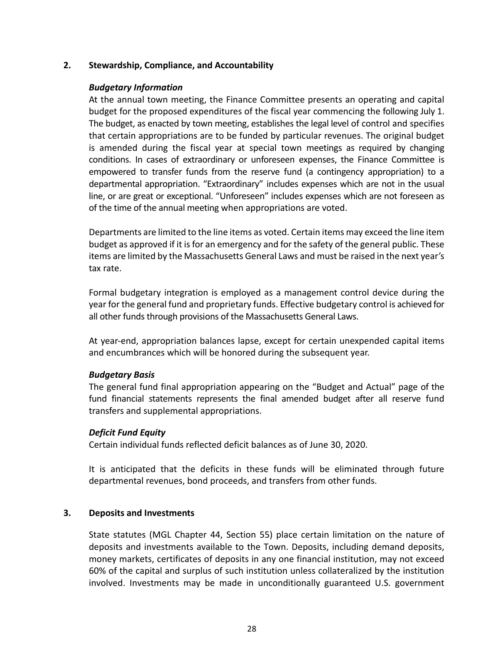### **2. Stewardship, Compliance, and Accountability**

### *Budgetary Information*

At the annual town meeting, the Finance Committee presents an operating and capital budget for the proposed expenditures of the fiscal year commencing the following July 1. The budget, as enacted by town meeting, establishes the legal level of control and specifies that certain appropriations are to be funded by particular revenues. The original budget is amended during the fiscal year at special town meetings as required by changing conditions. In cases of extraordinary or unforeseen expenses, the Finance Committee is empowered to transfer funds from the reserve fund (a contingency appropriation) to a departmental appropriation. "Extraordinary" includes expenses which are not in the usual line, or are great or exceptional. "Unforeseen" includes expenses which are not foreseen as of the time of the annual meeting when appropriations are voted.

Departments are limited to the line items as voted. Certain items may exceed the line item budget as approved if it is for an emergency and for the safety of the general public. These items are limited by the Massachusetts General Laws and must be raised in the next year's tax rate.

Formal budgetary integration is employed as a management control device during the year for the general fund and proprietary funds. Effective budgetary control is achieved for all other funds through provisions of the Massachusetts General Laws.

At year‐end, appropriation balances lapse, except for certain unexpended capital items and encumbrances which will be honored during the subsequent year.

### *Budgetary Basis*

The general fund final appropriation appearing on the "Budget and Actual" page of the fund financial statements represents the final amended budget after all reserve fund transfers and supplemental appropriations.

### *Deficit Fund Equity*

Certain individual funds reflected deficit balances as of June 30, 2020.

It is anticipated that the deficits in these funds will be eliminated through future departmental revenues, bond proceeds, and transfers from other funds.

### **3. Deposits and Investments**

State statutes (MGL Chapter 44, Section 55) place certain limitation on the nature of deposits and investments available to the Town. Deposits, including demand deposits, money markets, certificates of deposits in any one financial institution, may not exceed 60% of the capital and surplus of such institution unless collateralized by the institution involved. Investments may be made in unconditionally guaranteed U.S. government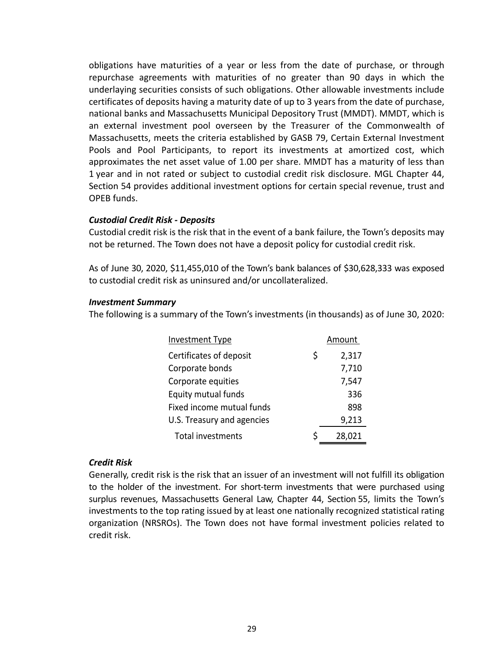obligations have maturities of a year or less from the date of purchase, or through repurchase agreements with maturities of no greater than 90 days in which the underlaying securities consists of such obligations. Other allowable investments include certificates of deposits having a maturity date of up to 3 years from the date of purchase, national banks and Massachusetts Municipal Depository Trust (MMDT). MMDT, which is an external investment pool overseen by the Treasurer of the Commonwealth of Massachusetts, meets the criteria established by GASB 79, Certain External Investment Pools and Pool Participants, to report its investments at amortized cost, which approximates the net asset value of 1.00 per share. MMDT has a maturity of less than 1 year and in not rated or subject to custodial credit risk disclosure. MGL Chapter 44, Section 54 provides additional investment options for certain special revenue, trust and OPEB funds.

### *Custodial Credit Risk ‐ Deposits*

Custodial credit risk is the risk that in the event of a bank failure, the Town's deposits may not be returned. The Town does not have a deposit policy for custodial credit risk.

As of June 30, 2020, \$11,455,010 of the Town's bank balances of \$30,628,333 was exposed to custodial credit risk as uninsured and/or uncollateralized.

### *Investment Summary*

The following is a summary of the Town's investments (in thousands) as of June 30, 2020:

| <b>Investment Type</b>     |    | Amount |
|----------------------------|----|--------|
| Certificates of deposit    | \$ | 2,317  |
| Corporate bonds            |    | 7,710  |
| Corporate equities         |    | 7,547  |
| Equity mutual funds        |    | 336    |
| Fixed income mutual funds  |    | 898    |
| U.S. Treasury and agencies |    | 9,213  |
| <b>Total investments</b>   | ς  | 28,021 |

### *Credit Risk*

Generally, credit risk is the risk that an issuer of an investment will not fulfill its obligation to the holder of the investment. For short-term investments that were purchased using surplus revenues, Massachusetts General Law, Chapter 44, Section 55, limits the Town's investments to the top rating issued by at least one nationally recognized statistical rating organization (NRSROs). The Town does not have formal investment policies related to credit risk.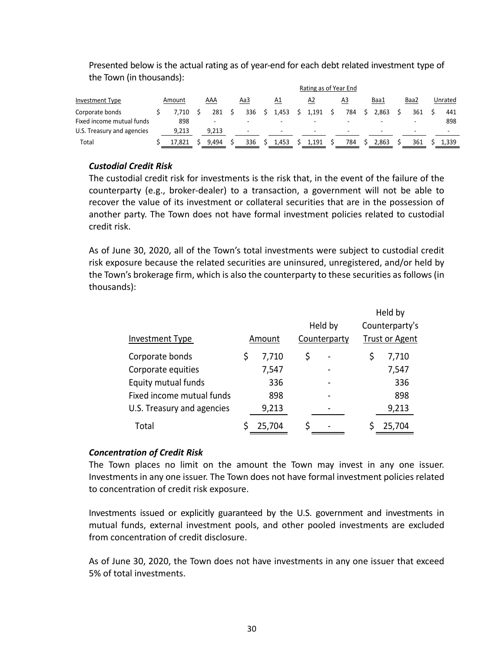|                            |        |       |     |                          | Rating as of Year End    |     |       |      |         |
|----------------------------|--------|-------|-----|--------------------------|--------------------------|-----|-------|------|---------|
| Investment Type            | Amount | AAA   | АаЗ | A1                       | A2                       | A3  | Baa1  | Baa2 | Unrated |
| Corporate bonds            | 7.710  | 281   | 336 | 1.453                    | 1,191                    | 784 | 2.863 | 361  | 441     |
| Fixed income mutual funds  | 898    |       |     | $\overline{\phantom{a}}$ |                          |     |       | -    | 898     |
| U.S. Treasury and agencies | 9,213  | 9.213 |     | -                        | $\overline{\phantom{a}}$ |     |       | -    |         |
| Total                      | 17.821 | 9.494 | 336 | 1,453                    | 1,191                    | 784 | 2,863 | 361  | 1,339   |

Presented below is the actual rating as of year-end for each debt related investment type of the Town (in thousands):

# *Custodial Credit Risk*

The custodial credit risk for investments is the risk that, in the event of the failure of the counterparty (e.g., broker‐dealer) to a transaction, a government will not be able to recover the value of its investment or collateral securities that are in the possession of another party. The Town does not have formal investment policies related to custodial credit risk.

As of June 30, 2020, all of the Town's total investments were subject to custodial credit risk exposure because the related securities are uninsured, unregistered, and/or held by the Town's brokerage firm, which is also the counterparty to these securities as follows (in thousands):

| Investment Type            | Amount      | Held by<br>Counterparty | Held by<br>Counterparty's<br><b>Trust or Agent</b> |
|----------------------------|-------------|-------------------------|----------------------------------------------------|
| Corporate bonds            | \$<br>7,710 | \$                      | \$<br>7,710                                        |
| Corporate equities         | 7,547       |                         | 7,547                                              |
| Equity mutual funds        | 336         |                         | 336                                                |
| Fixed income mutual funds  | 898         |                         | 898                                                |
| U.S. Treasury and agencies | 9,213       |                         | 9,213                                              |
| Total                      | 25,704      |                         | 25,704                                             |

### *Concentration of Credit Risk*

The Town places no limit on the amount the Town may invest in any one issuer. Investments in any one issuer. The Town does not have formal investment policies related to concentration of credit risk exposure.

Investments issued or explicitly guaranteed by the U.S. government and investments in mutual funds, external investment pools, and other pooled investments are excluded from concentration of credit disclosure.

As of June 30, 2020, the Town does not have investments in any one issuer that exceed 5% of total investments.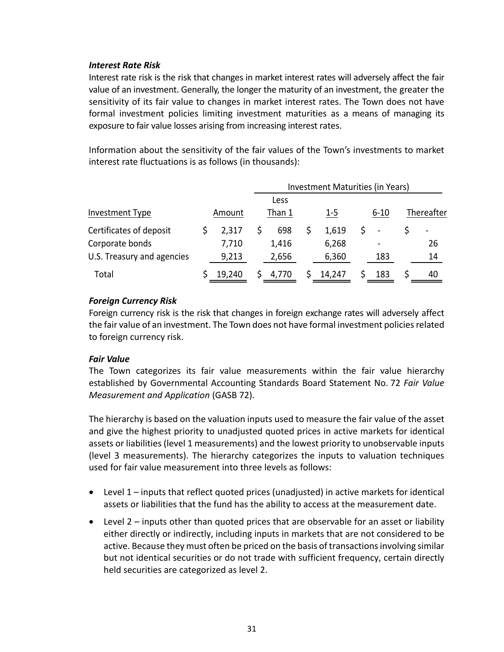### *Interest Rate Risk*

Interest rate risk is the risk that changes in market interest rates will adversely affect the fair value of an investment. Generally, the longer the maturity of an investment, the greater the sensitivity of its fair value to changes in market interest rates. The Town does not have formal investment policies limiting investment maturities as a means of managing its exposure to fair value losses arising from increasing interest rates.

Information about the sensitivity of the fair values of the Town's investments to market interest rate fluctuations is as follows (in thousands):

|                            |        | Investment Maturities (in Years) |  |         |  |          |  |                              |  |  |
|----------------------------|--------|----------------------------------|--|---------|--|----------|--|------------------------------|--|--|
|                            |        | Less                             |  |         |  |          |  |                              |  |  |
| Investment Type            | Amount | Than 1                           |  | $1 - 5$ |  | $6 - 10$ |  | Thereafter                   |  |  |
| Certificates of deposit    | 2,317  | 698                              |  | 1,619   |  | -        |  | $\qquad \qquad \blacksquare$ |  |  |
| Corporate bonds            | 7,710  | 1,416                            |  | 6,268   |  |          |  | 26                           |  |  |
| U.S. Treasury and agencies | 9,213  | 2,656                            |  | 6,360   |  | 183      |  | 14                           |  |  |
| Total                      | 19,240 | 4,770                            |  | 14,247  |  | 183      |  | 40                           |  |  |

## *Foreign Currency Risk*

Foreign currency risk is the risk that changes in foreign exchange rates will adversely affect the fair value of an investment. The Town does not have formal investment policies related to foreign currency risk.

# *Fair Value*

The Town categorizes its fair value measurements within the fair value hierarchy established by Governmental Accounting Standards Board Statement No. 72 *Fair Value Measurement and Application* (GASB 72).

The hierarchy is based on the valuation inputs used to measure the fair value of the asset and give the highest priority to unadjusted quoted prices in active markets for identical assets or liabilities (level 1 measurements) and the lowest priority to unobservable inputs (level 3 measurements). The hierarchy categorizes the inputs to valuation techniques used for fair value measurement into three levels as follows:

- Level 1 inputs that reflect quoted prices (unadjusted) in active markets for identical assets or liabilities that the fund has the ability to access at the measurement date.
- Level 2 inputs other than quoted prices that are observable for an asset or liability either directly or indirectly, including inputs in markets that are not considered to be active. Because they must often be priced on the basis of transactions involving similar but not identical securities or do not trade with sufficient frequency, certain directly held securities are categorized as level 2.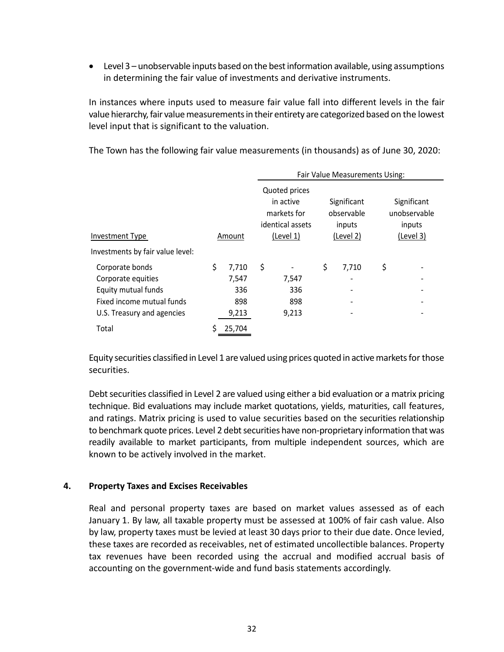Level 3 – unobservable inputs based on the best information available, using assumptions in determining the fair value of investments and derivative instruments.

In instances where inputs used to measure fair value fall into different levels in the fair value hierarchy, fair value measurements in their entirety are categorized based on the lowest level input that is significant to the valuation.

The Town has the following fair value measurements (in thousands) as of June 30, 2020:

|                                  |             | Fair Value Measurements Using: |                                                               |    |                                     |    |                                       |  |  |  |  |  |
|----------------------------------|-------------|--------------------------------|---------------------------------------------------------------|----|-------------------------------------|----|---------------------------------------|--|--|--|--|--|
|                                  |             |                                | Quoted prices<br>in active<br>markets for<br>identical assets |    | Significant<br>observable<br>inputs |    | Significant<br>unobservable<br>inputs |  |  |  |  |  |
| Investment Type                  | Amount      | (Level 2)<br>(Level 1)         |                                                               |    |                                     |    | (Level 3)                             |  |  |  |  |  |
| Investments by fair value level: |             |                                |                                                               |    |                                     |    |                                       |  |  |  |  |  |
| Corporate bonds                  | \$<br>7,710 | \$                             |                                                               | \$ | 7,710                               | \$ |                                       |  |  |  |  |  |
| Corporate equities               | 7,547       |                                | 7,547                                                         |    |                                     |    |                                       |  |  |  |  |  |
| Equity mutual funds              | 336         |                                | 336                                                           |    |                                     |    |                                       |  |  |  |  |  |
| Fixed income mutual funds        | 898         |                                | 898                                                           |    |                                     |    |                                       |  |  |  |  |  |
| U.S. Treasury and agencies       | 9,213       |                                | 9,213                                                         |    |                                     |    |                                       |  |  |  |  |  |
| Total                            | 25,704      |                                |                                                               |    |                                     |    |                                       |  |  |  |  |  |

Equity securities classified in Level 1 are valued using prices quoted in active markets for those securities.

Debt securities classified in Level 2 are valued using either a bid evaluation or a matrix pricing technique. Bid evaluations may include market quotations, yields, maturities, call features, and ratings. Matrix pricing is used to value securities based on the securities relationship to benchmark quote prices. Level 2 debt securities have non‐proprietary information that was readily available to market participants, from multiple independent sources, which are known to be actively involved in the market.

### **4. Property Taxes and Excises Receivables**

Real and personal property taxes are based on market values assessed as of each January 1. By law, all taxable property must be assessed at 100% of fair cash value. Also by law, property taxes must be levied at least 30 days prior to their due date. Once levied, these taxes are recorded as receivables, net of estimated uncollectible balances. Property tax revenues have been recorded using the accrual and modified accrual basis of accounting on the government‐wide and fund basis statements accordingly.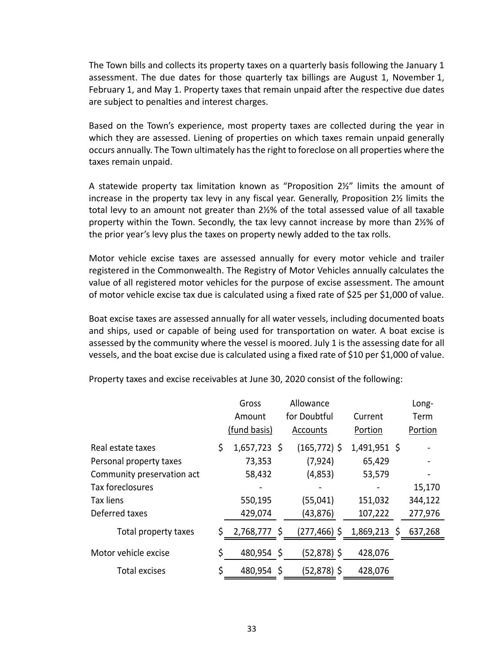The Town bills and collects its property taxes on a quarterly basis following the January 1 assessment. The due dates for those quarterly tax billings are August 1, November 1, February 1, and May 1. Property taxes that remain unpaid after the respective due dates are subject to penalties and interest charges.

Based on the Town's experience, most property taxes are collected during the year in which they are assessed. Liening of properties on which taxes remain unpaid generally occurs annually. The Town ultimately has the right to foreclose on all properties where the taxes remain unpaid.

A statewide property tax limitation known as "Proposition 2½" limits the amount of increase in the property tax levy in any fiscal year. Generally, Proposition 2½ limits the total levy to an amount not greater than 2½% of the total assessed value of all taxable property within the Town. Secondly, the tax levy cannot increase by more than 2½% of the prior year's levy plus the taxes on property newly added to the tax rolls.

Motor vehicle excise taxes are assessed annually for every motor vehicle and trailer registered in the Commonwealth. The Registry of Motor Vehicles annually calculates the value of all registered motor vehicles for the purpose of excise assessment. The amount of motor vehicle excise tax due is calculated using a fixed rate of \$25 per \$1,000 of value.

Boat excise taxes are assessed annually for all water vessels, including documented boats and ships, used or capable of being used for transportation on water. A boat excise is assessed by the community where the vessel is moored. July 1 is the assessing date for all vessels, and the boat excise due is calculated using a fixed rate of \$10 per \$1,000 of value.

|                            | Gross<br>Amount<br>(fund basis) | Allowance<br>for Doubtful<br>Accounts | Current<br>Portion | Long-<br>Term<br>Portion     |
|----------------------------|---------------------------------|---------------------------------------|--------------------|------------------------------|
| Real estate taxes          | \$<br>$1,657,723$ \$            | $(165, 772)$ \$                       | $1,491,951$ \$     | $\qquad \qquad \blacksquare$ |
| Personal property taxes    | 73,353                          | (7, 924)                              | 65,429             |                              |
| Community preservation act | 58,432                          | (4,853)                               | 53,579             |                              |
| <b>Tax foreclosures</b>    |                                 |                                       |                    | 15,170                       |
| <b>Tax liens</b>           | 550,195                         | (55,041)                              | 151,032            | 344,122                      |
| Deferred taxes             | 429,074                         | (43,876)                              | 107,222            | 277,976                      |
| Total property taxes       | \$<br>2,768,777 \$              | $(277,466)$ \$ 1,869,213 \$           |                    | 637,268                      |
| Motor vehicle excise       | \$<br>480,954 \$                | 52,878) \$                            | 428,076            |                              |

Property taxes and excise receivables at June 30, 2020 consist of the following:

Total excises  $\frac{1}{5}$  480,954 \$ (52,878) \$ 428,076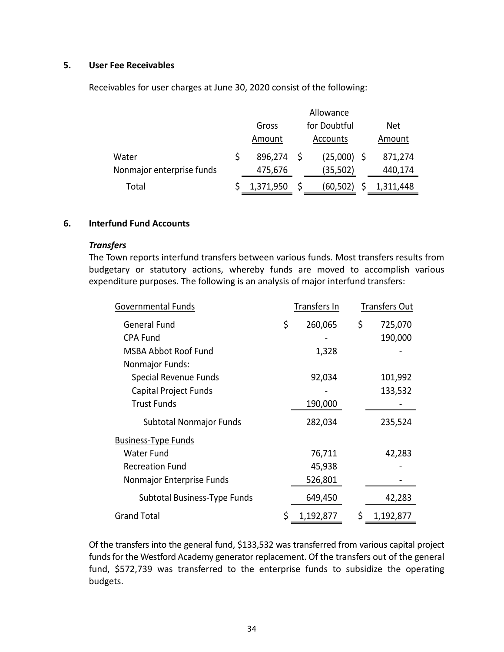### **5. User Fee Receivables**

Receivables for user charges at June 30, 2020 consist of the following:

|                           |   |                    |  | Allowance     |  |           |
|---------------------------|---|--------------------|--|---------------|--|-----------|
|                           |   | Gross              |  | for Doubtful  |  | Net       |
|                           |   | Amount<br>Accounts |  |               |  | Amount    |
| Water                     | Ś | 896,274            |  | $(25,000)$ \$ |  | 871,274   |
| Nonmajor enterprise funds |   | 475,676            |  | (35,502)      |  | 440,174   |
| Total                     |   | 1,371,950          |  | (60, 502)     |  | 1,311,448 |

### **6. Interfund Fund Accounts**

### *Transfers*

The Town reports interfund transfers between various funds. Most transfers results from budgetary or statutory actions, whereby funds are moved to accomplish various expenditure purposes. The following is an analysis of major interfund transfers:

| Governmental Funds           | Transfers In    | <b>Transfers Out</b> |
|------------------------------|-----------------|----------------------|
| <b>General Fund</b>          | \$<br>260,065   | \$<br>725,070        |
| <b>CPA Fund</b>              |                 | 190,000              |
| <b>MSBA Abbot Roof Fund</b>  | 1,328           |                      |
| Nonmajor Funds:              |                 |                      |
| Special Revenue Funds        | 92,034          | 101,992              |
| <b>Capital Project Funds</b> |                 | 133,532              |
| <b>Trust Funds</b>           | 190,000         |                      |
| Subtotal Nonmajor Funds      | 282,034         | 235,524              |
| <b>Business-Type Funds</b>   |                 |                      |
| <b>Water Fund</b>            | 76,711          | 42,283               |
| <b>Recreation Fund</b>       | 45,938          |                      |
| Nonmajor Enterprise Funds    | 526,801         |                      |
| Subtotal Business-Type Funds | 649,450         | 42,283               |
| <b>Grand Total</b>           | \$<br>1,192,877 | \$<br>1,192,877      |

Of the transfers into the general fund, \$133,532 was transferred from various capital project funds for the Westford Academy generator replacement. Of the transfers out of the general fund, \$572,739 was transferred to the enterprise funds to subsidize the operating budgets.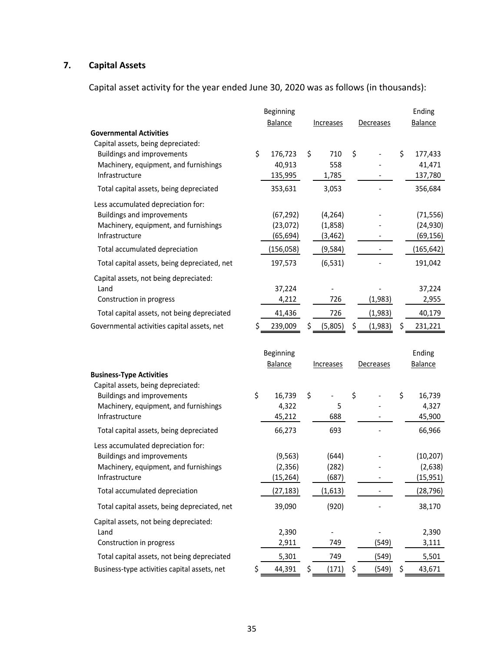# **7. Capital Assets**

Capital asset activity for the year ended June 30, 2020 was as follows (in thousands):

|                                              | Beginning      |                  |     |                  | Ending        |
|----------------------------------------------|----------------|------------------|-----|------------------|---------------|
|                                              | <b>Balance</b> | Increases        |     | <b>Decreases</b> | Balance       |
| <b>Governmental Activities</b>               |                |                  |     |                  |               |
| Capital assets, being depreciated:           |                |                  |     |                  |               |
| <b>Buildings and improvements</b>            | \$<br>176,723  | \$<br>710        | \$  |                  | \$<br>177,433 |
| Machinery, equipment, and furnishings        | 40,913         | 558              |     |                  | 41,471        |
| Infrastructure                               | 135,995        | 1,785            |     |                  | 137,780       |
| Total capital assets, being depreciated      | 353,631        | 3,053            |     |                  | 356,684       |
| Less accumulated depreciation for:           |                |                  |     |                  |               |
| <b>Buildings and improvements</b>            | (67, 292)      | (4, 264)         |     |                  | (71, 556)     |
| Machinery, equipment, and furnishings        | (23,072)       | (1,858)          |     |                  | (24, 930)     |
| Infrastructure                               | (65,694)       | (3, 462)         |     |                  | (69, 156)     |
| Total accumulated depreciation               | (156,058)      | (9,584)          |     |                  | (165, 642)    |
| Total capital assets, being depreciated, net | 197,573        | (6, 531)         |     |                  | 191,042       |
| Capital assets, not being depreciated:       |                |                  |     |                  |               |
| Land                                         | 37,224         |                  |     |                  | 37,224        |
| Construction in progress                     | 4,212          | 726              |     | (1,983)          | 2,955         |
| Total capital assets, not being depreciated  | 41,436         | 726              |     | (1,983)          | 40,179        |
| Governmental activities capital assets, net  | \$<br>239,009  | \$<br>(5,805)    | \$. | (1,983)          | \$<br>231,221 |
|                                              |                |                  |     |                  |               |
|                                              | Beginning      |                  |     |                  | Ending        |
|                                              | <b>Balance</b> | <b>Increases</b> |     | <b>Decreases</b> | Balance       |
| <b>Business-Type Activities</b>              |                |                  |     |                  |               |
| Capital assets, being depreciated:           |                |                  |     |                  |               |
| <b>Buildings and improvements</b>            | \$<br>16,739   | \$               | \$  |                  | \$<br>16,739  |
| Machinery, equipment, and furnishings        | 4,322          | 5                |     |                  | 4,327         |
| Infrastructure                               | 45,212         | 688              |     |                  | 45,900        |
| Total capital assets, being depreciated      | 66,273         | 693              |     |                  | 66,966        |
| Less accumulated depreciation for:           |                |                  |     |                  |               |
| <b>Buildings and improvements</b>            | (9, 563)       | (644)            |     |                  | (10, 207)     |
| Machinery, equipment, and furnishings        | (2, 356)       | (282)            |     |                  | (2,638)       |
| Infrastructure                               | (15, 264)      | (687)            |     |                  | (15, 951)     |
| Total accumulated depreciation               | (27, 183)      | (1,613)          |     |                  | (28,796)      |
| Total capital assets, being depreciated, net | 39,090         | (920)            |     |                  | 38,170        |
| Capital assets, not being depreciated:       |                |                  |     |                  |               |
| Land                                         | 2,390          |                  |     |                  | 2,390         |
| Construction in progress                     | 2,911          | 749              |     | (549)            | 3,111         |
| Total capital assets, not being depreciated  | 5,301          | 749              |     | (549)            | 5,501         |
| Business-type activities capital assets, net | \$<br>44,391   | \$<br>(171)      | \$  | (549)            | \$<br>43,671  |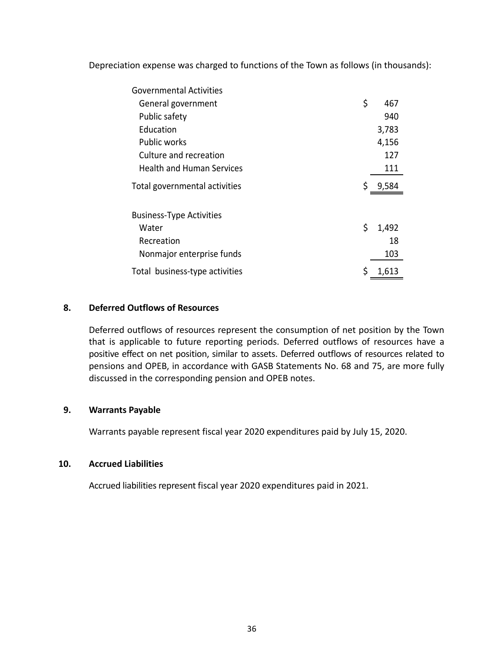Depreciation expense was charged to functions of the Town as follows (in thousands):

| <b>Governmental Activities</b>   |     |       |
|----------------------------------|-----|-------|
| General government               | \$  | 467   |
| Public safety                    |     | 940   |
| Education                        |     | 3,783 |
| Public works                     |     | 4,156 |
| Culture and recreation           |     | 127   |
| <b>Health and Human Services</b> |     | 111   |
| Total governmental activities    | \$. | 9,584 |
| <b>Business-Type Activities</b>  |     |       |
| Water                            | \$  | 1,492 |
| Recreation                       |     | 18    |
| Nonmajor enterprise funds        |     | 103   |
| Total business-type activities   |     | 1,613 |

# **8. Deferred Outflows of Resources**

Deferred outflows of resources represent the consumption of net position by the Town that is applicable to future reporting periods. Deferred outflows of resources have a positive effect on net position, similar to assets. Deferred outflows of resources related to pensions and OPEB, in accordance with GASB Statements No. 68 and 75, are more fully discussed in the corresponding pension and OPEB notes.

# **9. Warrants Payable**

Warrants payable represent fiscal year 2020 expenditures paid by July 15, 2020.

### **10. Accrued Liabilities**

Accrued liabilities represent fiscal year 2020 expenditures paid in 2021.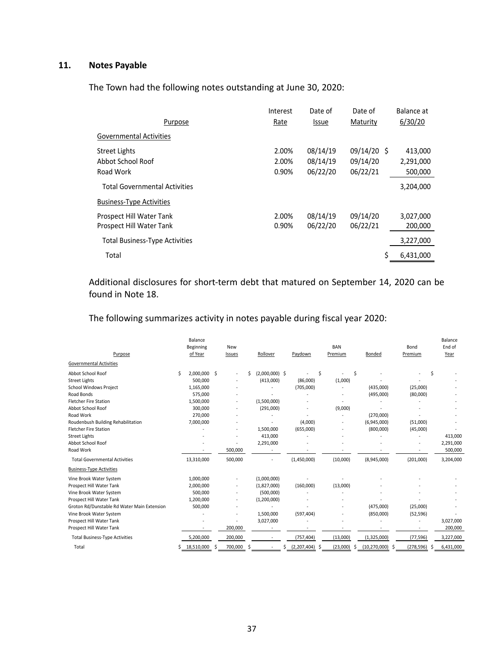# **11. Notes Payable**

The Town had the following notes outstanding at June 30, 2020:

| Interest<br>Rate | Date of<br>Issue | Date of<br>Maturity | Balance at<br>6/30/20 |
|------------------|------------------|---------------------|-----------------------|
|                  |                  |                     |                       |
| 2.00%            | 08/14/19         |                     | 413,000               |
| 2.00%            | 08/14/19         | 09/14/20            | 2,291,000             |
| 0.90%            | 06/22/20         | 06/22/21            | 500,000               |
|                  |                  |                     | 3,204,000             |
|                  |                  |                     |                       |
| 2.00%            | 08/14/19         | 09/14/20            | 3,027,000             |
| 0.90%            | 06/22/20         | 06/22/21            | 200,000               |
|                  |                  |                     | 3,227,000             |
|                  |                  |                     | 6,431,000             |
|                  |                  |                     | $09/14/20$ \$         |

Additional disclosures for short‐term debt that matured on September 14, 2020 can be found in Note 18.

The following summarizes activity in notes payable during fiscal year 2020:

|                                             | Balance        |                          |    |                  |                  |            |   |                |            |    | Balance   |
|---------------------------------------------|----------------|--------------------------|----|------------------|------------------|------------|---|----------------|------------|----|-----------|
|                                             | Beginning      | <b>New</b>               |    |                  |                  | <b>BAN</b> |   |                | Bond       |    | End of    |
| Purpose                                     | of Year        | Issues                   |    | Rollover         | Paydown          | Premium    |   | Bonded         | Premium    |    | Year      |
| Governmental Activities                     |                |                          |    |                  |                  |            |   |                |            |    |           |
| Abbot School Roof                           | Ś<br>2.000.000 | \$<br>٠                  | Ś  | $(2,000,000)$ \$ |                  | Ś          | Ś |                |            | Ś  |           |
| <b>Street Lights</b>                        | 500.000        |                          |    | (413,000)        | (86,000)         | (1,000)    |   |                |            |    |           |
| <b>School Windows Project</b>               | 1,165,000      |                          |    |                  | (705,000)        |            |   | (435,000)      | (25,000)   |    |           |
| Road Bonds                                  | 575,000        |                          |    |                  |                  |            |   | (495,000)      | (80,000)   |    |           |
| <b>Fletcher Fire Station</b>                | 1,500,000      |                          |    | (1,500,000)      |                  |            |   |                |            |    |           |
| Abbot School Roof                           | 300,000        | $\overline{\phantom{a}}$ |    | (291,000)        |                  | (9,000)    |   |                |            |    |           |
| Road Work                                   | 270,000        |                          |    |                  |                  |            |   | (270,000)      |            |    |           |
| Roudenbush Building Rehabilitation          | 7,000,000      |                          |    |                  | (4,000)          |            |   | (6,945,000)    | (51,000)   |    |           |
| <b>Fletcher Fire Station</b>                |                |                          |    | 1,500,000        | (655,000)        |            |   | (800,000)      | (45,000)   |    |           |
| <b>Street Lights</b>                        |                |                          |    | 413,000          |                  |            |   |                |            |    | 413,000   |
| Abbot School Roof                           |                |                          |    | 2,291,000        |                  |            |   |                |            |    | 2,291,000 |
| Road Work                                   |                | 500,000                  |    |                  |                  |            |   |                |            |    | 500,000   |
| <b>Total Governmental Activities</b>        | 13,310,000     | 500,000                  |    |                  | (1,450,000)      | (10,000)   |   | (8,945,000)    | (201,000)  |    | 3,204,000 |
| <b>Business-Type Activities</b>             |                |                          |    |                  |                  |            |   |                |            |    |           |
| Vine Brook Water System                     | 1,000,000      | ٠                        |    | (1,000,000)      |                  |            |   |                |            |    |           |
| Prospect Hill Water Tank                    | 2,000,000      |                          |    | (1,827,000)      | (160,000)        | (13,000)   |   |                |            |    |           |
| Vine Brook Water System                     | 500,000        |                          |    | (500,000)        |                  |            |   |                |            |    |           |
| Prospect Hill Water Tank                    | 1,200,000      |                          |    | (1,200,000)      |                  |            |   |                |            |    |           |
| Groton Rd/Dunstable Rd Water Main Extension | 500,000        |                          |    |                  |                  |            |   | (475,000)      | (25,000)   |    |           |
| Vine Brook Water System                     |                | ä,                       |    | 1,500,000        | (597, 404)       |            |   | (850,000)      | (52, 596)  |    |           |
| Prospect Hill Water Tank                    |                |                          |    | 3,027,000        |                  |            |   |                |            |    | 3,027,000 |
| Prospect Hill Water Tank                    |                | 200,000                  |    |                  |                  |            |   |                |            |    | 200,000   |
| <b>Total Business-Type Activities</b>       | 5,200,000      | 200,000                  |    |                  | (757, 404)       | (13,000)   |   | (1,325,000)    | (77, 596)  |    | 3,227,000 |
| Total                                       | 18,510,000     | 700,000                  | -Ś |                  | $(2,207,404)$ \$ | (23,000)   |   | (10, 270, 000) | (278, 596) | -S | 6,431,000 |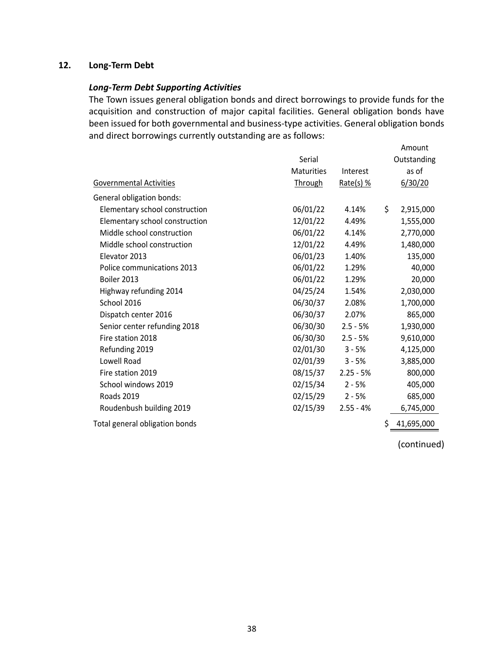# **12. Long‐Term Debt**

### *Long‐Term Debt Supporting Activities*

The Town issues general obligation bonds and direct borrowings to provide funds for the acquisition and construction of major capital facilities. General obligation bonds have been issued for both governmental and business‐type activities. General obligation bonds and direct borrowings currently outstanding are as follows:

|                                |                   |             | Amount           |
|--------------------------------|-------------------|-------------|------------------|
|                                | Serial            |             | Outstanding      |
|                                | <b>Maturities</b> | Interest    | as of            |
| <b>Governmental Activities</b> | <b>Through</b>    | Rate(s) %   | 6/30/20          |
| General obligation bonds:      |                   |             |                  |
| Elementary school construction | 06/01/22          | 4.14%       | \$<br>2,915,000  |
| Elementary school construction | 12/01/22          | 4.49%       | 1,555,000        |
| Middle school construction     | 06/01/22          | 4.14%       | 2,770,000        |
| Middle school construction     | 12/01/22          | 4.49%       | 1,480,000        |
| Elevator 2013                  | 06/01/23          | 1.40%       | 135,000          |
| Police communications 2013     | 06/01/22          | 1.29%       | 40,000           |
| Boiler 2013                    | 06/01/22          | 1.29%       | 20,000           |
| Highway refunding 2014         | 04/25/24          | 1.54%       | 2,030,000        |
| School 2016                    | 06/30/37          | 2.08%       | 1,700,000        |
| Dispatch center 2016           | 06/30/37          | 2.07%       | 865,000          |
| Senior center refunding 2018   | 06/30/30          | $2.5 - 5%$  | 1,930,000        |
| Fire station 2018              | 06/30/30          | $2.5 - 5%$  | 9,610,000        |
| Refunding 2019                 | 02/01/30          | $3 - 5%$    | 4,125,000        |
| Lowell Road                    | 02/01/39          | $3 - 5%$    | 3,885,000        |
| Fire station 2019              | 08/15/37          | $2.25 - 5%$ | 800,000          |
| School windows 2019            | 02/15/34          | $2 - 5%$    | 405,000          |
| <b>Roads 2019</b>              | 02/15/29          | $2 - 5%$    | 685,000          |
| Roudenbush building 2019       | 02/15/39          | $2.55 - 4%$ | 6,745,000        |
| Total general obligation bonds |                   |             | \$<br>41,695,000 |

(continued)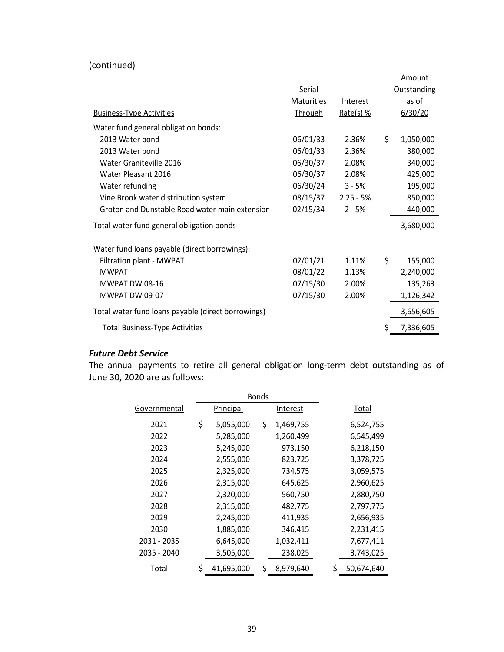# (continued)

|                                                    | Serial            |             | Amount<br>Outstanding |
|----------------------------------------------------|-------------------|-------------|-----------------------|
|                                                    | <b>Maturities</b> | Interest    | as of                 |
| <b>Business-Type Activities</b>                    | Through           | $Rate(s)$ % | 6/30/20               |
| Water fund general obligation bonds:               |                   |             |                       |
| 2013 Water bond                                    | 06/01/33          | 2.36%       | \$<br>1,050,000       |
| 2013 Water bond                                    | 06/01/33          | 2.36%       | 380,000               |
| Water Graniteville 2016                            | 06/30/37          | 2.08%       | 340,000               |
| Water Pleasant 2016                                | 06/30/37          | 2.08%       | 425,000               |
| Water refunding                                    | 06/30/24          | $3 - 5%$    | 195,000               |
| Vine Brook water distribution system               | 08/15/37          | $2.25 - 5%$ | 850,000               |
| Groton and Dunstable Road water main extension     | 02/15/34          | $2 - 5%$    | 440,000               |
| Total water fund general obligation bonds          |                   |             | 3,680,000             |
| Water fund loans payable (direct borrowings):      |                   |             |                       |
| Filtration plant - MWPAT                           | 02/01/21          | 1.11%       | \$<br>155,000         |
| <b>MWPAT</b>                                       | 08/01/22          | 1.13%       | 2,240,000             |
| <b>MWPAT DW 08-16</b>                              | 07/15/30          | 2.00%       | 135,263               |
| <b>MWPAT DW 09-07</b>                              | 07/15/30          | 2.00%       | 1,126,342             |
| Total water fund loans payable (direct borrowings) |                   |             | 3,656,605             |
| <b>Total Business-Type Activities</b>              |                   |             | \$<br>7,336,605       |

### *Future Debt Service*

The annual payments to retire all general obligation long-term debt outstanding as of June 30, 2020 are as follows:

|              |    |            | <b>Bonds</b> |           |   |            |
|--------------|----|------------|--------------|-----------|---|------------|
| Governmental |    | Principal  |              | Interest  |   | Total      |
| 2021         | \$ | 5,055,000  | \$           | 1,469,755 |   | 6,524,755  |
| 2022         |    | 5,285,000  |              | 1,260,499 |   | 6,545,499  |
| 2023         |    | 5,245,000  |              | 973,150   |   | 6,218,150  |
| 2024         |    | 2,555,000  |              | 823,725   |   | 3,378,725  |
| 2025         |    | 2,325,000  |              | 734,575   |   | 3,059,575  |
| 2026         |    | 2,315,000  |              | 645,625   |   | 2,960,625  |
| 2027         |    | 2,320,000  |              | 560,750   |   | 2,880,750  |
| 2028         |    | 2,315,000  |              | 482,775   |   | 2,797,775  |
| 2029         |    | 2,245,000  |              | 411,935   |   | 2,656,935  |
| 2030         |    | 1,885,000  |              | 346,415   |   | 2,231,415  |
| 2031 - 2035  |    | 6,645,000  |              | 1,032,411 |   | 7,677,411  |
| 2035 - 2040  |    | 3,505,000  |              | 238,025   |   | 3,743,025  |
| Total        | Ś. | 41,695,000 | Ś            | 8,979,640 | Ś | 50,674,640 |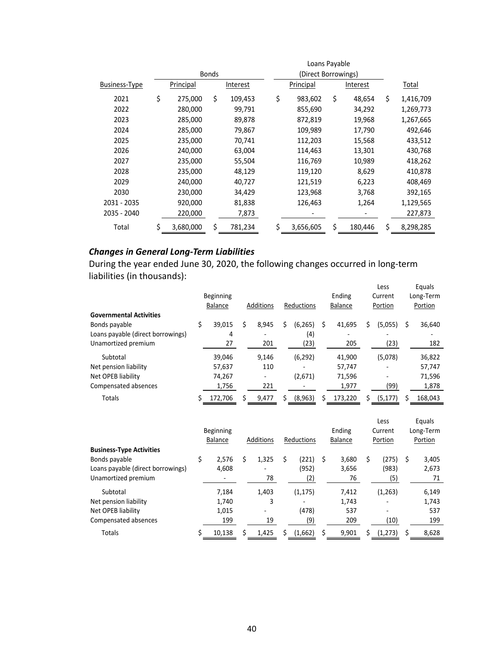|                      | <b>Bonds</b> |           |    |          |  | Loans Payable<br>(Direct Borrowings) |           |    |          |    |           |
|----------------------|--------------|-----------|----|----------|--|--------------------------------------|-----------|----|----------|----|-----------|
| <b>Business-Type</b> |              | Principal |    | Interest |  | Principal                            |           |    | Interest |    | Total     |
| 2021                 | \$           | 275,000   | \$ | 109,453  |  | \$                                   | 983,602   | \$ | 48,654   | \$ | 1,416,709 |
| 2022                 |              | 280,000   |    | 99,791   |  |                                      | 855,690   |    | 34,292   |    | 1,269,773 |
| 2023                 |              | 285,000   |    | 89,878   |  |                                      | 872,819   |    | 19,968   |    | 1,267,665 |
| 2024                 |              | 285,000   |    | 79,867   |  |                                      | 109,989   |    | 17,790   |    | 492,646   |
| 2025                 |              | 235,000   |    | 70,741   |  |                                      | 112,203   |    | 15,568   |    | 433,512   |
| 2026                 |              | 240,000   |    | 63,004   |  |                                      | 114,463   |    | 13,301   |    | 430,768   |
| 2027                 |              | 235,000   |    | 55,504   |  |                                      | 116,769   |    | 10,989   |    | 418,262   |
| 2028                 |              | 235,000   |    | 48,129   |  |                                      | 119,120   |    | 8,629    |    | 410,878   |
| 2029                 |              | 240,000   |    | 40,727   |  |                                      | 121,519   |    | 6,223    |    | 408,469   |
| 2030                 |              | 230,000   |    | 34,429   |  |                                      | 123,968   |    | 3,768    |    | 392,165   |
| 2031 - 2035          |              | 920,000   |    | 81,838   |  |                                      | 126,463   |    | 1,264    |    | 1,129,565 |
| 2035 - 2040          |              | 220,000   |    | 7,873    |  |                                      |           |    |          |    | 227,873   |
| Total                | \$           | 3,680,000 | \$ | 781,234  |  | \$                                   | 3,656,605 | Ś  | 180,446  | Ś  | 8,298,285 |

# *Changes in General Long‐Term Liabilities*

During the year ended June 30, 2020, the following changes occurred in long‐term liabilities (in thousands):

|                                   | <b>Beginning</b> |    |           |   |            |   | Ending         |   | Less<br>Current |   | Equals<br>Long-Term |
|-----------------------------------|------------------|----|-----------|---|------------|---|----------------|---|-----------------|---|---------------------|
|                                   | Balance          |    | Additions |   | Reductions |   | <b>Balance</b> |   | Portion         |   | Portion             |
| <b>Governmental Activities</b>    |                  |    |           |   |            |   |                |   |                 |   |                     |
| Bonds payable                     | \$<br>39,015     | Ś. | 8,945     | S | (6, 265)   | S | 41.695         | S | (5,055)         | S | 36,640              |
| Loans payable (direct borrowings) | 4                |    |           |   | (4)        |   |                |   |                 |   |                     |
| Unamortized premium               | 27               |    | 201       |   | (23)       |   | 205            |   | (23)            |   | 182                 |
| Subtotal                          | 39.046           |    | 9.146     |   | (6, 292)   |   | 41.900         |   | (5,078)         |   | 36,822              |
| Net pension liability             | 57,637           |    | 110       |   |            |   | 57,747         |   |                 |   | 57,747              |
| Net OPEB liability                | 74.267           |    |           |   | (2,671)    |   | 71,596         |   |                 |   | 71,596              |
| Compensated absences              | 1,756            |    | 221       |   |            |   | 1,977          |   | (99)            |   | 1,878               |
| <b>Totals</b>                     | 172.706          |    | 9,477     |   | (8,963)    |   | 173.220        |   | (5, 177)        |   | 168.043             |

|                                   |                  |   |           |            |   |                |   | Less     |   | Equals    |
|-----------------------------------|------------------|---|-----------|------------|---|----------------|---|----------|---|-----------|
|                                   | <b>Beginning</b> |   |           |            |   | Ending         |   | Current  |   | Long-Term |
|                                   | <b>Balance</b>   |   | Additions | Reductions |   | <b>Balance</b> |   | Portion  |   | Portion   |
| <b>Business-Type Activities</b>   |                  |   |           |            |   |                |   |          |   |           |
| Bonds payable                     | 2.576            | S | 1,325     | (221)      | S | 3,680          | S | (275)    | S | 3,405     |
| Loans payable (direct borrowings) | 4,608            |   |           | (952)      |   | 3,656          |   | (983)    |   | 2,673     |
| Unamortized premium               |                  |   | 78        | (2)        |   | 76             |   | (5)      |   | 71        |
| Subtotal                          | 7.184            |   | 1,403     | (1, 175)   |   | 7,412          |   | (1,263)  |   | 6,149     |
| Net pension liability             | 1,740            |   | 3         |            |   | 1,743          |   |          |   | 1,743     |
| Net OPEB liability                | 1,015            |   |           | (478)      |   | 537            |   |          |   | 537       |
| Compensated absences              | 199              |   | 19        | (9)        |   | 209            |   | (10)     |   | 199       |
| Totals                            | 10,138           |   | 1,425     | (1,662)    |   | 9,901          |   | (1, 273) |   | 8,628     |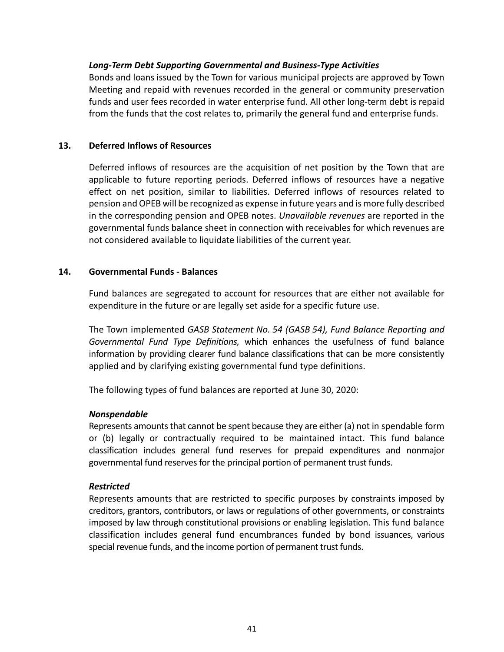## *Long‐Term Debt Supporting Governmental and Business‐Type Activities*

Bonds and loans issued by the Town for various municipal projects are approved by Town Meeting and repaid with revenues recorded in the general or community preservation funds and user fees recorded in water enterprise fund. All other long‐term debt is repaid from the funds that the cost relates to, primarily the general fund and enterprise funds.

### **13. Deferred Inflows of Resources**

Deferred inflows of resources are the acquisition of net position by the Town that are applicable to future reporting periods. Deferred inflows of resources have a negative effect on net position, similar to liabilities. Deferred inflows of resources related to pension and OPEB will be recognized as expense in future years and is more fully described in the corresponding pension and OPEB notes. *Unavailable revenues* are reported in the governmental funds balance sheet in connection with receivables for which revenues are not considered available to liquidate liabilities of the current year.

### **14. Governmental Funds ‐ Balances**

Fund balances are segregated to account for resources that are either not available for expenditure in the future or are legally set aside for a specific future use.

The Town implemented *GASB Statement No. 54 (GASB 54), Fund Balance Reporting and Governmental Fund Type Definitions,*  which enhances the usefulness of fund balance information by providing clearer fund balance classifications that can be more consistently applied and by clarifying existing governmental fund type definitions.

The following types of fund balances are reported at June 30, 2020:

### *Nonspendable*

Represents amounts that cannot be spent because they are either (a) not in spendable form or (b) legally or contractually required to be maintained intact. This fund balance classification includes general fund reserves for prepaid expenditures and nonmajor governmental fund reserves for the principal portion of permanent trust funds.

### *Restricted*

Represents amounts that are restricted to specific purposes by constraints imposed by creditors, grantors, contributors, or laws or regulations of other governments, or constraints imposed by law through constitutional provisions or enabling legislation. This fund balance classification includes general fund encumbrances funded by bond issuances, various special revenue funds, and the income portion of permanent trust funds.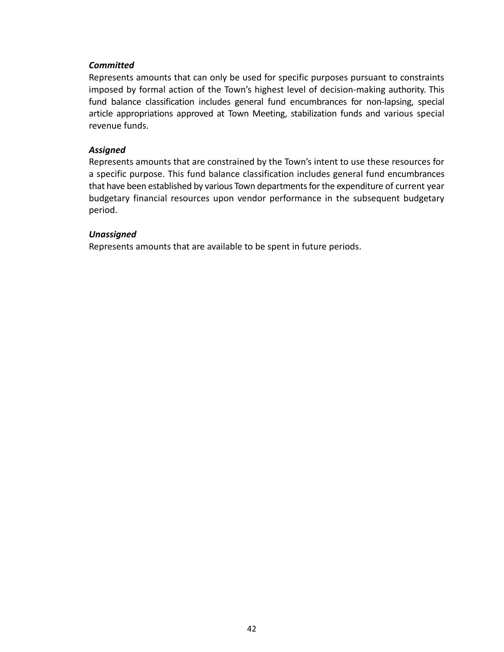### *Committed*

Represents amounts that can only be used for specific purposes pursuant to constraints imposed by formal action of the Town's highest level of decision-making authority. This fund balance classification includes general fund encumbrances for non-lapsing, special article appropriations approved at Town Meeting, stabilization funds and various special revenue funds.

### *Assigned*

Represents amounts that are constrained by the Town's intent to use these resources for a specific purpose. This fund balance classification includes general fund encumbrances that have been established by various Town departments for the expenditure of current year budgetary financial resources upon vendor performance in the subsequent budgetary period.

### *Unassigned*

Represents amounts that are available to be spent in future periods.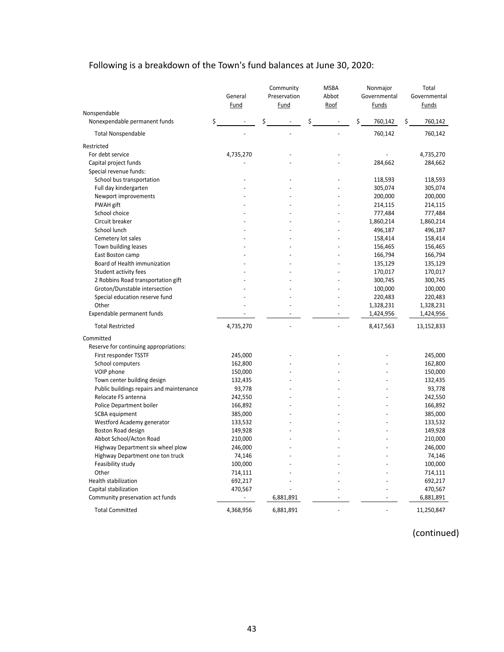# Following is a breakdown of the Town's fund balances at June 30, 2020:

|                                          |           | Community    | <b>MSBA</b> | Nonmajor      | Total         |
|------------------------------------------|-----------|--------------|-------------|---------------|---------------|
|                                          | General   | Preservation | Abbot       | Governmental  | Governmental  |
|                                          | Fund      | Fund         | Roof        | Funds         | Funds         |
| Nonspendable                             |           |              |             |               |               |
| Nonexpendable permanent funds            | \$        | \$           | \$          | \$<br>760,142 | \$<br>760,142 |
| <b>Total Nonspendable</b>                |           |              |             | 760,142       | 760,142       |
| Restricted                               |           |              |             |               |               |
| For debt service                         | 4,735,270 |              |             |               | 4,735,270     |
| Capital project funds                    |           |              |             | 284,662       | 284,662       |
| Special revenue funds:                   |           |              |             |               |               |
| School bus transportation                |           |              |             | 118,593       | 118,593       |
| Full day kindergarten                    |           |              |             | 305,074       | 305,074       |
| Newport improvements                     |           |              |             | 200,000       | 200,000       |
| PWAH gift                                |           |              |             | 214,115       | 214,115       |
| School choice                            |           |              |             | 777,484       | 777,484       |
| Circuit breaker                          |           |              |             | 1,860,214     | 1,860,214     |
| School lunch                             |           |              |             | 496,187       | 496,187       |
| Cemetery lot sales                       |           |              |             | 158,414       | 158,414       |
| Town building leases                     |           |              |             | 156,465       | 156,465       |
| East Boston camp                         |           |              |             | 166,794       | 166,794       |
| Board of Health immunization             |           |              |             | 135,129       | 135,129       |
| Student activity fees                    |           |              |             | 170,017       | 170,017       |
| 2 Robbins Road transportation gift       |           |              |             | 300,745       | 300,745       |
| Groton/Dunstable intersection            |           |              |             | 100,000       | 100,000       |
| Special education reserve fund           |           |              |             | 220,483       | 220,483       |
| Other                                    |           |              |             | 1,328,231     | 1,328,231     |
| Expendable permanent funds               |           |              |             | 1,424,956     | 1,424,956     |
| <b>Total Restricted</b>                  | 4,735,270 |              |             | 8,417,563     | 13,152,833    |
| Committed                                |           |              |             |               |               |
| Reserve for continuing appropriations:   |           |              |             |               |               |
| First responder TSSTF                    | 245,000   |              |             |               | 245,000       |
| School computers                         | 162,800   |              |             |               | 162,800       |
| VOIP phone                               | 150,000   |              |             |               | 150,000       |
| Town center building design              | 132,435   |              |             |               | 132,435       |
| Public buildings repairs and maintenance | 93,778    |              |             |               | 93,778        |
| Relocate FS antenna                      | 242,550   |              |             |               | 242,550       |
| Police Department boiler                 | 166,892   |              |             |               | 166,892       |
| SCBA equipment                           | 385,000   |              |             |               | 385,000       |
| Westford Academy generator               | 133,532   |              |             |               | 133,532       |
| Boston Road design                       | 149,928   |              |             |               | 149,928       |
| Abbot School/Acton Road                  | 210,000   |              |             |               | 210,000       |
| Highway Department six wheel plow        | 246,000   |              |             |               | 246,000       |
| Highway Department one ton truck         | 74,146    |              |             |               | 74,146        |
| Feasibility study                        | 100,000   |              |             |               | 100,000       |
| Other                                    | 714,111   |              |             |               | 714,111       |
| Health stabilization                     | 692,217   |              |             |               | 692,217       |
| Capital stabilization                    | 470,567   |              |             |               | 470,567       |
| Community preservation act funds         |           | 6,881,891    |             |               | 6,881,891     |
| <b>Total Committed</b>                   | 4,368,956 | 6,881,891    |             |               | 11,250,847    |
|                                          |           |              |             |               |               |

(continued)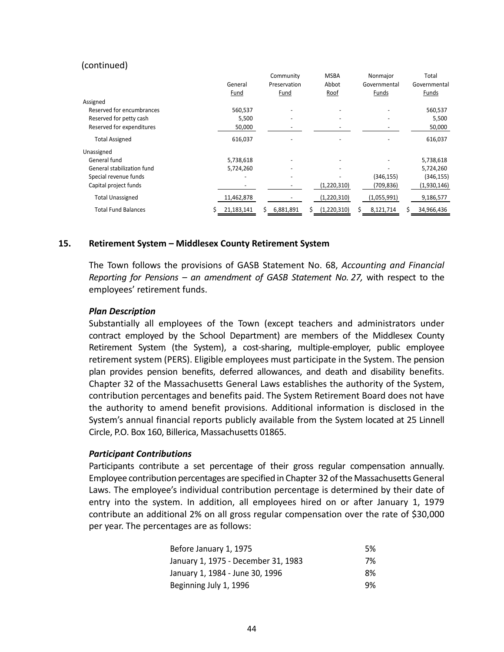### (continued)

|                            |            | Community    | <b>MSBA</b>       | Nonmajor        | Total        |
|----------------------------|------------|--------------|-------------------|-----------------|--------------|
|                            | General    | Preservation | Abbot             | Governmental    | Governmental |
|                            | Fund       | Fund         | Roof              | Funds           | Funds        |
| Assigned                   |            |              |                   |                 |              |
| Reserved for encumbrances  | 560,537    |              |                   |                 | 560,537      |
| Reserved for petty cash    | 5,500      |              |                   |                 | 5,500        |
| Reserved for expenditures  | 50,000     |              |                   |                 | 50,000       |
| <b>Total Assigned</b>      | 616,037    |              |                   |                 | 616,037      |
| Unassigned                 |            |              |                   |                 |              |
| General fund               | 5,738,618  |              |                   |                 | 5,738,618    |
| General stabilization fund | 5,724,260  |              |                   |                 | 5,724,260    |
| Special revenue funds      |            |              |                   | (346, 155)      | (346, 155)   |
| Capital project funds      |            |              | (1,220,310)       | (709, 836)      | (1,930,146)  |
| <b>Total Unassigned</b>    | 11,462,878 |              | (1,220,310)       | (1,055,991)     | 9,186,577    |
| <b>Total Fund Balances</b> | 21,183,141 | 6,881,891    | (1,220,310)<br>Ś. | 8,121,714<br>\$ | 34,966,436   |

### **15. Retirement System – Middlesex County Retirement System**

The Town follows the provisions of GASB Statement No. 68, *Accounting and Financial Reporting for Pensions – an amendment of GASB Statement No. 27,* with respect to the employees' retirement funds.

### *Plan Description*

Substantially all employees of the Town (except teachers and administrators under contract employed by the School Department) are members of the Middlesex County Retirement System (the System), a cost-sharing, multiple-employer, public employee retirement system (PERS). Eligible employees must participate in the System. The pension plan provides pension benefits, deferred allowances, and death and disability benefits. Chapter 32 of the Massachusetts General Laws establishes the authority of the System, contribution percentages and benefits paid. The System Retirement Board does not have the authority to amend benefit provisions. Additional information is disclosed in the System's annual financial reports publicly available from the System located at 25 Linnell Circle, P.O. Box 160, Billerica, Massachusetts 01865.

#### *Participant Contributions*

Participants contribute a set percentage of their gross regular compensation annually. Employee contribution percentages are specified in Chapter 32 of the Massachusetts General Laws. The employee's individual contribution percentage is determined by their date of entry into the system. In addition, all employees hired on or after January 1, 1979 contribute an additional 2% on all gross regular compensation over the rate of \$30,000 per year. The percentages are as follows:

| Before January 1, 1975              | 5% |
|-------------------------------------|----|
| January 1, 1975 - December 31, 1983 | 7% |
| January 1, 1984 - June 30, 1996     | 8% |
| Beginning July 1, 1996              | 9% |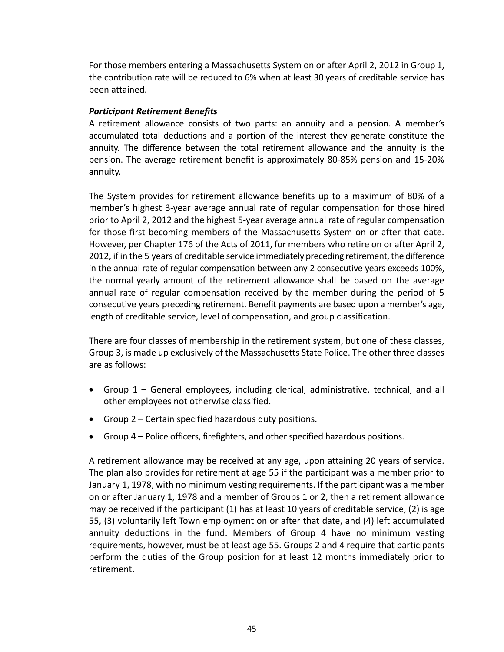For those members entering a Massachusetts System on or after April 2, 2012 in Group 1, the contribution rate will be reduced to 6% when at least 30 years of creditable service has been attained.

### *Participant Retirement Benefits*

A retirement allowance consists of two parts: an annuity and a pension. A member's accumulated total deductions and a portion of the interest they generate constitute the annuity. The difference between the total retirement allowance and the annuity is the pension. The average retirement benefit is approximately 80‐85% pension and 15‐20% annuity.

The System provides for retirement allowance benefits up to a maximum of 80% of a member's highest 3-year average annual rate of regular compensation for those hired prior to April 2, 2012 and the highest 5‐year average annual rate of regular compensation for those first becoming members of the Massachusetts System on or after that date. However, per Chapter 176 of the Acts of 2011, for members who retire on or after April 2, 2012, if in the 5 years of creditable service immediately preceding retirement, the difference in the annual rate of regular compensation between any 2 consecutive years exceeds 100%, the normal yearly amount of the retirement allowance shall be based on the average annual rate of regular compensation received by the member during the period of 5 consecutive years preceding retirement. Benefit payments are based upon a member's age, length of creditable service, level of compensation, and group classification.

There are four classes of membership in the retirement system, but one of these classes, Group 3, is made up exclusively of the Massachusetts State Police. The other three classes are as follows:

- Group 1 General employees, including clerical, administrative, technical, and all other employees not otherwise classified.
- Group 2 Certain specified hazardous duty positions.
- Group 4 Police officers, firefighters, and other specified hazardous positions.

A retirement allowance may be received at any age, upon attaining 20 years of service. The plan also provides for retirement at age 55 if the participant was a member prior to January 1, 1978, with no minimum vesting requirements. If the participant was a member on or after January 1, 1978 and a member of Groups 1 or 2, then a retirement allowance may be received if the participant (1) has at least 10 years of creditable service, (2) is age 55, (3) voluntarily left Town employment on or after that date, and (4) left accumulated annuity deductions in the fund. Members of Group 4 have no minimum vesting requirements, however, must be at least age 55. Groups 2 and 4 require that participants perform the duties of the Group position for at least 12 months immediately prior to retirement.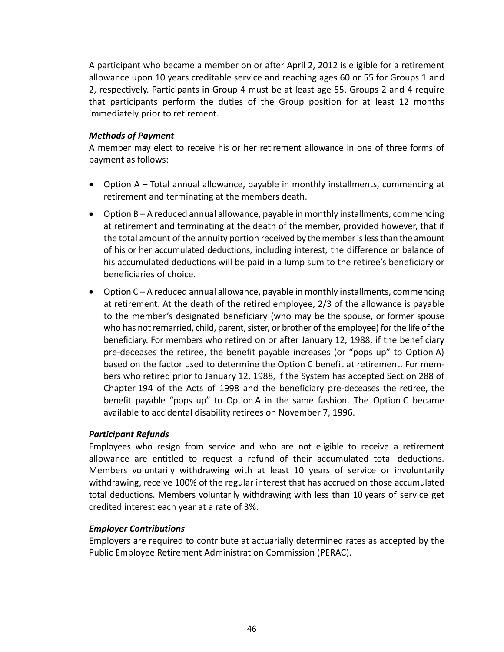A participant who became a member on or after April 2, 2012 is eligible for a retirement allowance upon 10 years creditable service and reaching ages 60 or 55 for Groups 1 and 2, respectively. Participants in Group 4 must be at least age 55. Groups 2 and 4 require that participants perform the duties of the Group position for at least 12 months immediately prior to retirement.

## *Methods of Payment*

A member may elect to receive his or her retirement allowance in one of three forms of payment as follows:

- Option A Total annual allowance, payable in monthly installments, commencing at retirement and terminating at the members death.
- Option B A reduced annual allowance, payable in monthly installments, commencing at retirement and terminating at the death of the member, provided however, that if the total amount of the annuity portion received by the member is less than the amount of his or her accumulated deductions, including interest, the difference or balance of his accumulated deductions will be paid in a lump sum to the retiree's beneficiary or beneficiaries of choice.
- Option C A reduced annual allowance, payable in monthly installments, commencing at retirement. At the death of the retired employee, 2/3 of the allowance is payable to the member's designated beneficiary (who may be the spouse, or former spouse who has not remarried, child, parent, sister, or brother of the employee) for the life of the beneficiary. For members who retired on or after January 12, 1988, if the beneficiary pre-deceases the retiree, the benefit payable increases (or "pops up" to Option A) based on the factor used to determine the Option C benefit at retirement. For mem‐ bers who retired prior to January 12, 1988, if the System has accepted Section 288 of Chapter 194 of the Acts of 1998 and the beneficiary pre‐deceases the retiree, the benefit payable "pops up" to Option A in the same fashion. The Option C became available to accidental disability retirees on November 7, 1996.

### *Participant Refunds*

Employees who resign from service and who are not eligible to receive a retirement allowance are entitled to request a refund of their accumulated total deductions. Members voluntarily withdrawing with at least 10 years of service or involuntarily withdrawing, receive 100% of the regular interest that has accrued on those accumulated total deductions. Members voluntarily withdrawing with less than 10 years of service get credited interest each year at a rate of 3%.

### *Employer Contributions*

Employers are required to contribute at actuarially determined rates as accepted by the Public Employee Retirement Administration Commission (PERAC).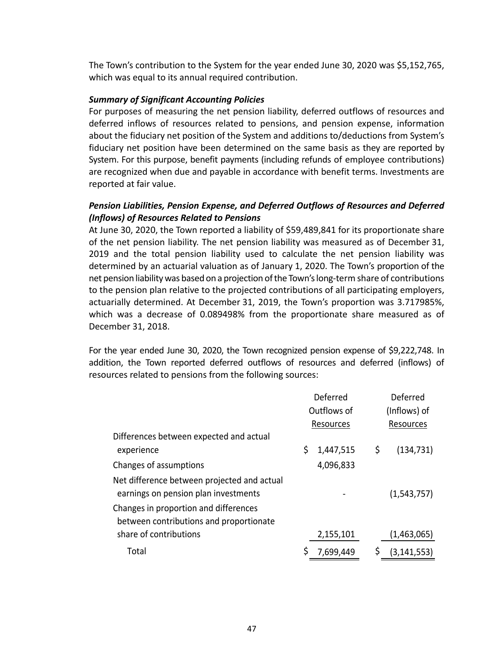The Town's contribution to the System for the year ended June 30, 2020 was \$5,152,765, which was equal to its annual required contribution.

### *Summary of Significant Accounting Policies*

For purposes of measuring the net pension liability, deferred outflows of resources and deferred inflows of resources related to pensions, and pension expense, information about the fiduciary net position of the System and additions to/deductions from System's fiduciary net position have been determined on the same basis as they are reported by System. For this purpose, benefit payments (including refunds of employee contributions) are recognized when due and payable in accordance with benefit terms. Investments are reported at fair value.

# *Pension Liabilities, Pension Expense, and Deferred Outflows of Resources and Deferred (Inflows) of Resources Related to Pensions*

At June 30, 2020, the Town reported a liability of \$59,489,841 for its proportionate share of the net pension liability. The net pension liability was measured as of December 31, 2019 and the total pension liability used to calculate the net pension liability was determined by an actuarial valuation as of January 1, 2020. The Town's proportion of the net pension liability was based on a projection of the Town's long‐term share of contributions to the pension plan relative to the projected contributions of all participating employers, actuarially determined. At December 31, 2019, the Town's proportion was 3.717985%, which was a decrease of 0.089498% from the proportionate share measured as of December 31, 2018.

For the year ended June 30, 2020, the Town recognized pension expense of \$9,222,748. In addition, the Town reported deferred outflows of resources and deferred (inflows) of resources related to pensions from the following sources:

|                                                                                     |             | Deferred  |    | Deferred      |
|-------------------------------------------------------------------------------------|-------------|-----------|----|---------------|
|                                                                                     | Outflows of |           |    | (Inflows) of  |
|                                                                                     |             | Resources |    | Resources     |
| Differences between expected and actual                                             |             |           |    |               |
| experience                                                                          | \$          | 1,447,515 | \$ | (134, 731)    |
| Changes of assumptions                                                              |             | 4,096,833 |    |               |
| Net difference between projected and actual<br>earnings on pension plan investments |             |           |    | (1,543,757)   |
| Changes in proportion and differences<br>between contributions and proportionate    |             |           |    |               |
| share of contributions                                                              |             | 2,155,101 |    | (1,463,065)   |
| Total                                                                               |             | 7,699,449 |    | (3, 141, 553) |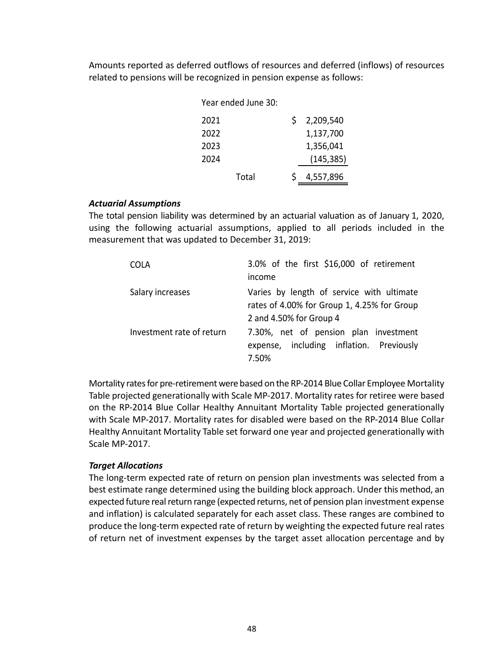Amounts reported as deferred outflows of resources and deferred (inflows) of resources related to pensions will be recognized in pension expense as follows:

| Year ended June 30: |   |            |
|---------------------|---|------------|
| 2021                | S | 2,209,540  |
| 2022                |   | 1,137,700  |
| 2023                |   | 1,356,041  |
| 2024                |   | (145, 385) |
| Total               | S | 4,557,896  |

### *Actuarial Assumptions*

The total pension liability was determined by an actuarial valuation as of January 1, 2020, using the following actuarial assumptions, applied to all periods included in the measurement that was updated to December 31, 2019:

| <b>COLA</b>               | 3.0% of the first \$16,000 of retirement    |
|---------------------------|---------------------------------------------|
|                           | income                                      |
| Salary increases          | Varies by length of service with ultimate   |
|                           | rates of 4.00% for Group 1, 4.25% for Group |
|                           | 2 and 4.50% for Group 4                     |
| Investment rate of return | 7.30%, net of pension plan investment       |
|                           | expense, including inflation. Previously    |
|                           | 7.50%                                       |

Mortality rates for pre‐retirement were based on the RP‐2014 Blue Collar Employee Mortality Table projected generationally with Scale MP‐2017. Mortality rates for retiree were based on the RP‐2014 Blue Collar Healthy Annuitant Mortality Table projected generationally with Scale MP‐2017. Mortality rates for disabled were based on the RP‐2014 Blue Collar Healthy Annuitant Mortality Table set forward one year and projected generationally with Scale MP‐2017.

# *Target Allocations*

The long‐term expected rate of return on pension plan investments was selected from a best estimate range determined using the building block approach. Under this method, an expected future real return range (expected returns, net of pension plan investment expense and inflation) is calculated separately for each asset class. These ranges are combined to produce the long‐term expected rate of return by weighting the expected future real rates of return net of investment expenses by the target asset allocation percentage and by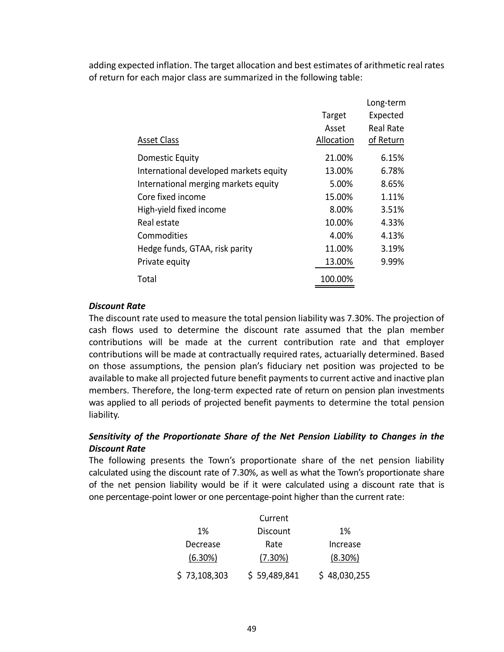adding expected inflation. The target allocation and best estimates of arithmetic real rates of return for each major class are summarized in the following table:

|                                        |            | Long-term |
|----------------------------------------|------------|-----------|
|                                        | Target     | Expected  |
|                                        | Asset      | Real Rate |
| <b>Asset Class</b>                     | Allocation | of Return |
| Domestic Equity                        | 21.00%     | 6.15%     |
| International developed markets equity | 13.00%     | 6.78%     |
| International merging markets equity   | 5.00%      | 8.65%     |
| Core fixed income                      | 15.00%     | 1.11%     |
| High-yield fixed income                | 8.00%      | 3.51%     |
| Real estate                            | 10.00%     | 4.33%     |
| Commodities                            | 4.00%      | 4.13%     |
| Hedge funds, GTAA, risk parity         | 11.00%     | 3.19%     |
| Private equity                         | 13.00%     | 9.99%     |
| Total                                  | 100.00%    |           |

### *Discount Rate*

The discount rate used to measure the total pension liability was 7.30%. The projection of cash flows used to determine the discount rate assumed that the plan member contributions will be made at the current contribution rate and that employer contributions will be made at contractually required rates, actuarially determined. Based on those assumptions, the pension plan's fiduciary net position was projected to be available to make all projected future benefit payments to current active and inactive plan members. Therefore, the long-term expected rate of return on pension plan investments was applied to all periods of projected benefit payments to determine the total pension liability.

# *Sensitivity of the Proportionate Share of the Net Pension Liability to Changes in the Discount Rate*

The following presents the Town's proportionate share of the net pension liability calculated using the discount rate of 7.30%, as well as what the Town's proportionate share of the net pension liability would be if it were calculated using a discount rate that is one percentage‐point lower or one percentage‐point higher than the current rate:

|              | Current      |              |
|--------------|--------------|--------------|
| 1%           | Discount     | 1%           |
| Decrease     | Rate         | Increase     |
| (6.30%)      | (7.30%)      | $(8.30\%)$   |
| \$73,108,303 | \$59,489,841 | \$48,030,255 |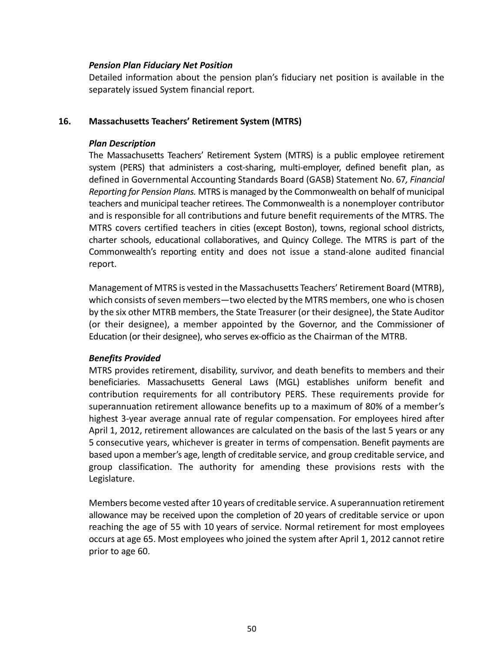### *Pension Plan Fiduciary Net Position*

Detailed information about the pension plan's fiduciary net position is available in the separately issued System financial report.

### **16. Massachusetts Teachers' Retirement System (MTRS)**

### *Plan Description*

The Massachusetts Teachers' Retirement System (MTRS) is a public employee retirement system (PERS) that administers a cost-sharing, multi-employer, defined benefit plan, as defined in Governmental Accounting Standards Board (GASB) Statement No. 67*, Financial Reporting for Pension Plans.* MTRS is managed by the Commonwealth on behalf of municipal teachers and municipal teacher retirees. The Commonwealth is a nonemployer contributor and is responsible for all contributions and future benefit requirements of the MTRS. The MTRS covers certified teachers in cities (except Boston), towns, regional school districts, charter schools, educational collaboratives, and Quincy College. The MTRS is part of the Commonwealth's reporting entity and does not issue a stand‐alone audited financial report.

Management of MTRS is vested in the Massachusetts Teachers' Retirement Board (MTRB), which consists of seven members—two elected by the MTRS members, one who is chosen by the six other MTRB members, the State Treasurer (or their designee), the State Auditor (or their designee), a member appointed by the Governor, and the Commissioner of Education (or their designee), who serves ex‐officio as the Chairman of the MTRB.

### *Benefits Provided*

MTRS provides retirement, disability, survivor, and death benefits to members and their beneficiaries. Massachusetts General Laws (MGL) establishes uniform benefit and contribution requirements for all contributory PERS. These requirements provide for superannuation retirement allowance benefits up to a maximum of 80% of a member's highest 3‐year average annual rate of regular compensation. For employees hired after April 1, 2012, retirement allowances are calculated on the basis of the last 5 years or any 5 consecutive years, whichever is greater in terms of compensation. Benefit payments are based upon a member's age, length of creditable service, and group creditable service, and group classification. The authority for amending these provisions rests with the Legislature.

Members become vested after 10 years of creditable service. A superannuation retirement allowance may be received upon the completion of 20 years of creditable service or upon reaching the age of 55 with 10 years of service. Normal retirement for most employees occurs at age 65. Most employees who joined the system after April 1, 2012 cannot retire prior to age 60.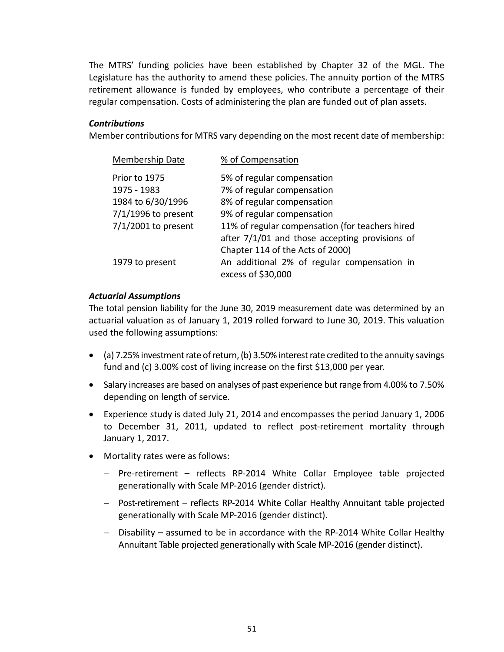The MTRS' funding policies have been established by Chapter 32 of the MGL. The Legislature has the authority to amend these policies. The annuity portion of the MTRS retirement allowance is funded by employees, who contribute a percentage of their regular compensation. Costs of administering the plan are funded out of plan assets.

### *Contributions*

Member contributions for MTRS vary depending on the most recent date of membership:

| Membership Date       | % of Compensation                                                                                                                     |
|-----------------------|---------------------------------------------------------------------------------------------------------------------------------------|
| Prior to 1975         | 5% of regular compensation                                                                                                            |
| 1975 - 1983           | 7% of regular compensation                                                                                                            |
| 1984 to 6/30/1996     | 8% of regular compensation                                                                                                            |
| $7/1/1996$ to present | 9% of regular compensation                                                                                                            |
| $7/1/2001$ to present | 11% of regular compensation (for teachers hired<br>after 7/1/01 and those accepting provisions of<br>Chapter 114 of the Acts of 2000) |
| 1979 to present       | An additional 2% of regular compensation in<br>excess of \$30,000                                                                     |

### *Actuarial Assumptions*

The total pension liability for the June 30, 2019 measurement date was determined by an actuarial valuation as of January 1, 2019 rolled forward to June 30, 2019. This valuation used the following assumptions:

- (a) 7.25% investment rate of return, (b) 3.50% interest rate credited to the annuity savings fund and (c) 3.00% cost of living increase on the first \$13,000 per year.
- Salary increases are based on analyses of past experience but range from 4.00% to 7.50% depending on length of service.
- Experience study is dated July 21, 2014 and encompasses the period January 1, 2006 to December 31, 2011, updated to reflect post-retirement mortality through January 1, 2017.
- Mortality rates were as follows:
	- Pre-retirement reflects RP-2014 White Collar Employee table projected generationally with Scale MP‐2016 (gender district).
	- Post-retirement reflects RP-2014 White Collar Healthy Annuitant table projected generationally with Scale MP‐2016 (gender distinct).
	- Disability assumed to be in accordance with the RP‐2014 White Collar Healthy Annuitant Table projected generationally with Scale MP‐2016 (gender distinct).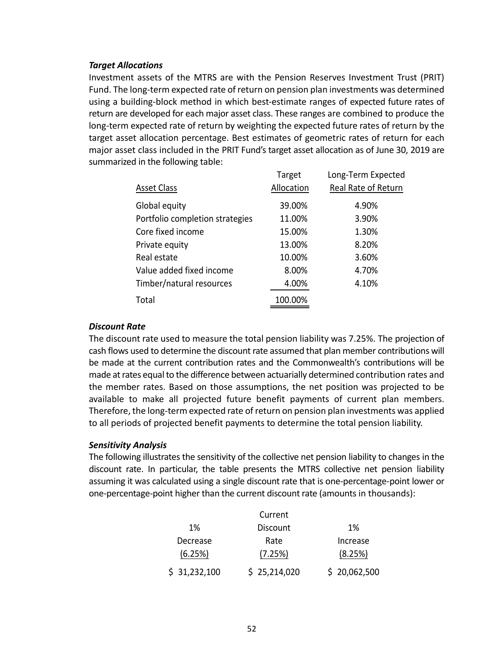### *Target Allocations*

Investment assets of the MTRS are with the Pension Reserves Investment Trust (PRIT) Fund. The long‐term expected rate of return on pension plan investments was determined using a building‐block method in which best‐estimate ranges of expected future rates of return are developed for each major asset class. These ranges are combined to produce the long-term expected rate of return by weighting the expected future rates of return by the target asset allocation percentage. Best estimates of geometric rates of return for each major asset class included in the PRIT Fund's target asset allocation as of June 30, 2019 are summarized in the following table:

|                                 | Target     | Long-Term Expected  |
|---------------------------------|------------|---------------------|
| <b>Asset Class</b>              | Allocation | Real Rate of Return |
| Global equity                   | 39.00%     | 4.90%               |
| Portfolio completion strategies | 11.00%     | 3.90%               |
| Core fixed income               | 15.00%     | 1.30%               |
| Private equity                  | 13.00%     | 8.20%               |
| Real estate                     | 10.00%     | 3.60%               |
| Value added fixed income        | 8.00%      | 4.70%               |
| Timber/natural resources        | 4.00%      | 4.10%               |
| Total                           | 100.00%    |                     |

### *Discount Rate*

The discount rate used to measure the total pension liability was 7.25%. The projection of cash flows used to determine the discount rate assumed that plan member contributions will be made at the current contribution rates and the Commonwealth's contributions will be made at rates equal to the difference between actuarially determined contribution rates and the member rates. Based on those assumptions, the net position was projected to be available to make all projected future benefit payments of current plan members. Therefore, the long‐term expected rate of return on pension plan investments was applied to all periods of projected benefit payments to determine the total pension liability.

### *Sensitivity Analysis*

The following illustrates the sensitivity of the collective net pension liability to changes in the discount rate. In particular, the table presents the MTRS collective net pension liability assuming it was calculated using a single discount rate that is one‐percentage‐point lower or one‐percentage‐point higher than the current discount rate (amounts in thousands):

|              | Current      |              |
|--------------|--------------|--------------|
| 1%           | Discount     | 1%           |
| Decrease     | Rate         | Increase     |
| (6.25%)      | (7.25%)      | (8.25%)      |
| \$31,232,100 | \$25,214,020 | \$20,062,500 |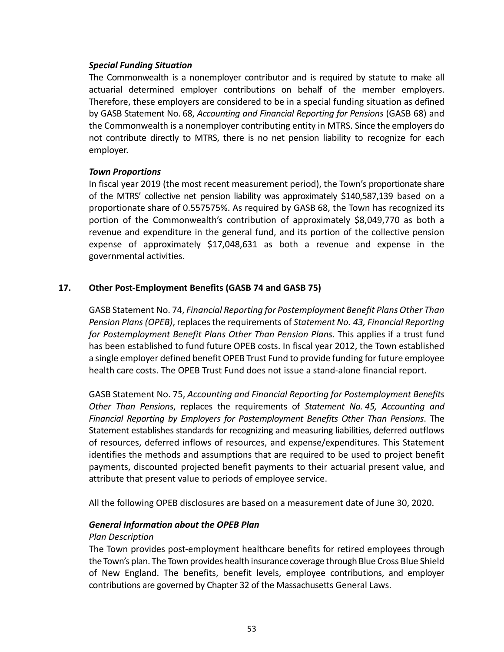### *Special Funding Situation*

The Commonwealth is a nonemployer contributor and is required by statute to make all actuarial determined employer contributions on behalf of the member employers. Therefore, these employers are considered to be in a special funding situation as defined by GASB Statement No. 68, *Accounting and Financial Reporting for Pensions* (GASB 68) and the Commonwealth is a nonemployer contributing entity in MTRS. Since the employers do not contribute directly to MTRS, there is no net pension liability to recognize for each employer.

### *Town Proportions*

In fiscal year 2019 (the most recent measurement period), the Town's proportionate share of the MTRS' collective net pension liability was approximately \$140,587,139 based on a proportionate share of 0.557575%. As required by GASB 68, the Town has recognized its portion of the Commonwealth's contribution of approximately \$8,049,770 as both a revenue and expenditure in the general fund, and its portion of the collective pension expense of approximately \$17,048,631 as both a revenue and expense in the governmental activities.

### **17. Other Post‐Employment Benefits (GASB 74 and GASB 75)**

GASB Statement No. 74, *Financial Reporting for Postemployment Benefit Plans Other Than Pension Plans (OPEB)*, replaces the requirements of *Statement No. 43, Financial Reporting for Postemployment Benefit Plans Other Than Pension Plans*. This applies if a trust fund has been established to fund future OPEB costs. In fiscal year 2012, the Town established a single employer defined benefit OPEB Trust Fund to provide funding for future employee health care costs. The OPEB Trust Fund does not issue a stand‐alone financial report.

GASB Statement No. 75, *Accounting and Financial Reporting for Postemployment Benefits Other Than Pensions*, replaces the requirements of *Statement No. 45, Accounting and Financial Reporting by Employers for Postemployment Benefits Other Than Pensions*. The Statement establishes standards for recognizing and measuring liabilities, deferred outflows of resources, deferred inflows of resources, and expense/expenditures. This Statement identifies the methods and assumptions that are required to be used to project benefit payments, discounted projected benefit payments to their actuarial present value, and attribute that present value to periods of employee service.

All the following OPEB disclosures are based on a measurement date of June 30, 2020.

### *General Information about the OPEB Plan*

### *Plan Description*

The Town provides post‐employment healthcare benefits for retired employees through the Town's plan. The Town provides health insurance coverage through Blue Cross Blue Shield of New England. The benefits, benefit levels, employee contributions, and employer contributions are governed by Chapter 32 of the Massachusetts General Laws.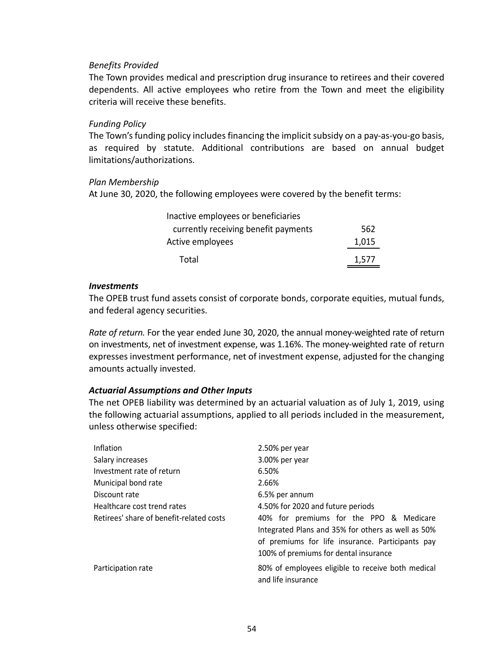### *Benefits Provided*

The Town provides medical and prescription drug insurance to retirees and their covered dependents. All active employees who retire from the Town and meet the eligibility criteria will receive these benefits.

### *Funding Policy*

The Town's funding policy includes financing the implicit subsidy on a pay‐as‐you‐go basis, as required by statute. Additional contributions are based on annual budget limitations/authorizations.

### *Plan Membership*

At June 30, 2020, the following employees were covered by the benefit terms:

| Inactive employees or beneficiaries  |       |
|--------------------------------------|-------|
| currently receiving benefit payments | 562   |
| Active employees                     | 1,015 |
| Total                                | 1,577 |

### *Investments*

The OPEB trust fund assets consist of corporate bonds, corporate equities, mutual funds, and federal agency securities.

*Rate of return.* For the year ended June 30, 2020, the annual money-weighted rate of return on investments, net of investment expense, was 1.16%. The money‐weighted rate of return expresses investment performance, net of investment expense, adjusted for the changing amounts actually invested.

### *Actuarial Assumptions and Other Inputs*

The net OPEB liability was determined by an actuarial valuation as of July 1, 2019, using the following actuarial assumptions, applied to all periods included in the measurement, unless otherwise specified:

| Inflation                                | 2.50% per year                                                                                                                                                                             |
|------------------------------------------|--------------------------------------------------------------------------------------------------------------------------------------------------------------------------------------------|
| Salary increases                         | 3.00% per year                                                                                                                                                                             |
| Investment rate of return                | 6.50%                                                                                                                                                                                      |
| Municipal bond rate                      | 2.66%                                                                                                                                                                                      |
| Discount rate                            | 6.5% per annum                                                                                                                                                                             |
| Healthcare cost trend rates              | 4.50% for 2020 and future periods                                                                                                                                                          |
| Retirees' share of benefit-related costs | 40% for premiums for the PPO & Medicare<br>Integrated Plans and 35% for others as well as 50%<br>of premiums for life insurance. Participants pay<br>100% of premiums for dental insurance |
| Participation rate                       | 80% of employees eligible to receive both medical<br>and life insurance                                                                                                                    |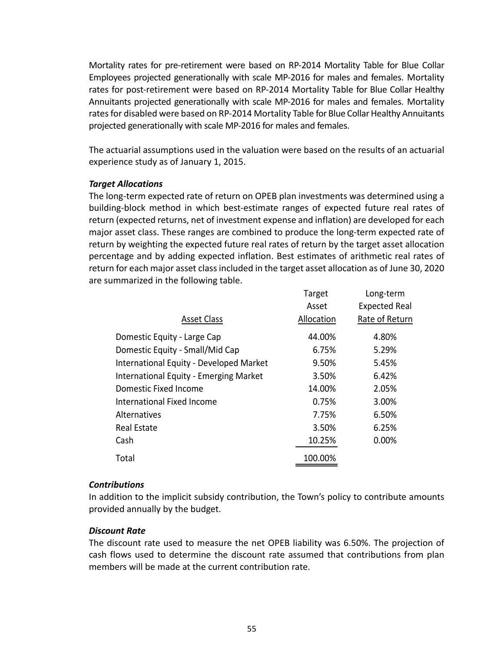Mortality rates for pre‐retirement were based on RP‐2014 Mortality Table for Blue Collar Employees projected generationally with scale MP‐2016 for males and females. Mortality rates for post-retirement were based on RP-2014 Mortality Table for Blue Collar Healthy Annuitants projected generationally with scale MP‐2016 for males and females. Mortality rates for disabled were based on RP‐2014 Mortality Table for Blue Collar Healthy Annuitants projected generationally with scale MP‐2016 for males and females.

The actuarial assumptions used in the valuation were based on the results of an actuarial experience study as of January 1, 2015.

### *Target Allocations*

The long‐term expected rate of return on OPEB plan investments was determined using a building‐block method in which best‐estimate ranges of expected future real rates of return (expected returns, net of investment expense and inflation) are developed for each major asset class. These ranges are combined to produce the long‐term expected rate of return by weighting the expected future real rates of return by the target asset allocation percentage and by adding expected inflation. Best estimates of arithmetic real rates of return for each major asset class included in the target asset allocation as of June 30, 2020 are summarized in the following table.

|                                                | <b>Target</b> | Long-term            |
|------------------------------------------------|---------------|----------------------|
|                                                | Asset         | <b>Expected Real</b> |
| <b>Asset Class</b>                             | Allocation    | Rate of Return       |
| Domestic Equity - Large Cap                    | 44.00%        | 4.80%                |
| Domestic Equity - Small/Mid Cap                | 6.75%         | 5.29%                |
| <b>International Equity - Developed Market</b> | 9.50%         | 5.45%                |
| <b>International Equity - Emerging Market</b>  | 3.50%         | 6.42%                |
| Domestic Fixed Income                          | 14.00%        | 2.05%                |
| International Fixed Income                     | 0.75%         | 3.00%                |
| Alternatives                                   | 7.75%         | 6.50%                |
| <b>Real Estate</b>                             | 3.50%         | 6.25%                |
| Cash                                           | 10.25%        | 0.00%                |
| Total                                          | 100.00%       |                      |

### *Contributions*

In addition to the implicit subsidy contribution, the Town's policy to contribute amounts provided annually by the budget.

### *Discount Rate*

The discount rate used to measure the net OPEB liability was 6.50%. The projection of cash flows used to determine the discount rate assumed that contributions from plan members will be made at the current contribution rate.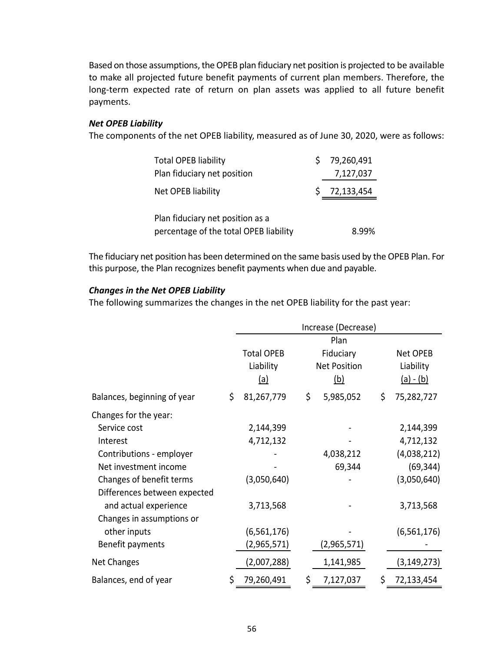Based on those assumptions, the OPEB plan fiduciary net position is projected to be available to make all projected future benefit payments of current plan members. Therefore, the long-term expected rate of return on plan assets was applied to all future benefit payments.

### *Net OPEB Liability*

The components of the net OPEB liability, measured as of June 30, 2020, were as follows:

| <b>Total OPEB liability</b>            | S  | 79,260,491 |
|----------------------------------------|----|------------|
| Plan fiduciary net position            |    | 7,127,037  |
| Net OPEB liability                     | S. | 72,133,454 |
| Plan fiduciary net position as a       |    |            |
| percentage of the total OPEB liability |    | 8.99%      |

The fiduciary net position has been determined on the same basis used by the OPEB Plan. For this purpose, the Plan recognizes benefit payments when due and payable.

### *Changes in the Net OPEB Liability*

The following summarizes the changes in the net OPEB liability for the past year:

|                              | Increase (Decrease) |                                       |    |                                                        |    |                                      |
|------------------------------|---------------------|---------------------------------------|----|--------------------------------------------------------|----|--------------------------------------|
|                              |                     | <b>Total OPEB</b><br>Liability<br>(a) |    | Plan<br>Fiduciary<br><b>Net Position</b><br><u>(b)</u> |    | Net OPEB<br>Liability<br>$(a) - (b)$ |
| Balances, beginning of year  | \$                  | 81,267,779                            | \$ | 5,985,052                                              | \$ | 75,282,727                           |
| Changes for the year:        |                     |                                       |    |                                                        |    |                                      |
| Service cost                 |                     | 2,144,399                             |    |                                                        |    | 2,144,399                            |
| Interest                     |                     | 4,712,132                             |    |                                                        |    | 4,712,132                            |
| Contributions - employer     |                     |                                       |    | 4,038,212                                              |    | (4,038,212)                          |
| Net investment income        |                     |                                       |    | 69,344                                                 |    | (69, 344)                            |
| Changes of benefit terms     |                     | (3,050,640)                           |    |                                                        |    | (3,050,640)                          |
| Differences between expected |                     |                                       |    |                                                        |    |                                      |
| and actual experience        |                     | 3,713,568                             |    |                                                        |    | 3,713,568                            |
| Changes in assumptions or    |                     |                                       |    |                                                        |    |                                      |
| other inputs                 |                     | (6, 561, 176)                         |    |                                                        |    | (6, 561, 176)                        |
| Benefit payments             |                     | (2,965,571)                           |    | (2,965,571)                                            |    |                                      |
| Net Changes                  |                     | (2,007,288)                           |    | 1,141,985                                              |    | (3,149,273)                          |
| Balances, end of year        | \$                  | 79,260,491                            | \$ | 7,127,037                                              | \$ | 72,133,454                           |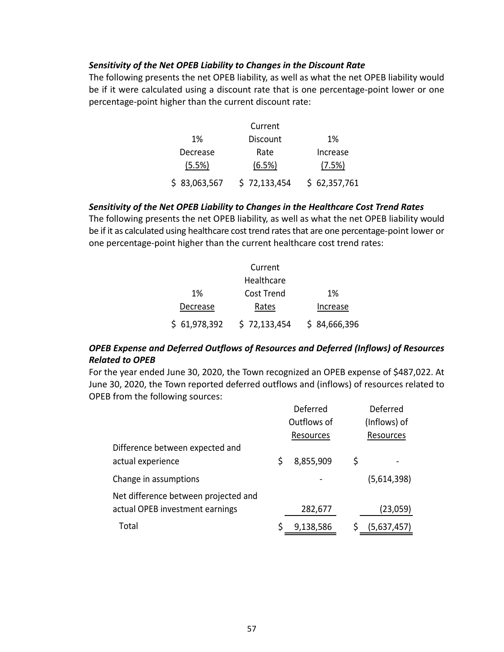### *Sensitivity of the Net OPEB Liability to Changes in the Discount Rate*

The following presents the net OPEB liability, as well as what the net OPEB liability would be if it were calculated using a discount rate that is one percentage-point lower or one percentage‐point higher than the current discount rate:

|             | Current      |              |
|-------------|--------------|--------------|
| 1%          | Discount     | 1%           |
| Decrease    | Rate         | Increase     |
| (5.5%)      | (6.5%)       | (7.5%)       |
| \$3,063,567 | \$72,133,454 | \$62,357,761 |

### *Sensitivity of the Net OPEB Liability to Changes in the Healthcare Cost Trend Rates*

The following presents the net OPEB liability, as well as what the net OPEB liability would be if it as calculated using healthcare cost trend rates that are one percentage‐point lower or one percentage‐point higher than the current healthcare cost trend rates:

|              | Current      |              |
|--------------|--------------|--------------|
|              | Healthcare   |              |
| 1%           | Cost Trend   | 1%           |
| Decrease     | Rates        | Increase     |
| \$61,978,392 | \$72,133,454 | \$84,666,396 |

# *OPEB Expense and Deferred Outflows of Resources and Deferred (Inflows) of Resources Related to OPEB*

For the year ended June 30, 2020, the Town recognized an OPEB expense of \$487,022. At June 30, 2020, the Town reported deferred outflows and (inflows) of resources related to OPEB from the following sources:

|                                      | Deferred        | Deferred     |
|--------------------------------------|-----------------|--------------|
|                                      | Outflows of     | (Inflows) of |
|                                      | Resources       | Resources    |
| Difference between expected and      |                 |              |
| actual experience                    | \$<br>8,855,909 | \$           |
| Change in assumptions                |                 | (5,614,398)  |
| Net difference between projected and |                 |              |
| actual OPEB investment earnings      | 282,677         | (23,059)     |
| Total                                | 9,138,586       | (5,637,457)  |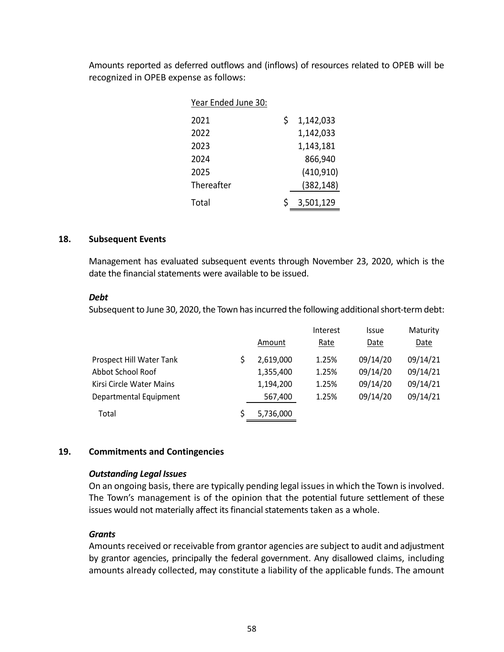Amounts reported as deferred outflows and (inflows) of resources related to OPEB will be recognized in OPEB expense as follows:

| Year Ended June 30: |   |            |
|---------------------|---|------------|
| 2021                | Ś | 1,142,033  |
| 2022                |   | 1,142,033  |
| 2023                |   | 1,143,181  |
| 2024                |   | 866,940    |
| 2025                |   | (410, 910) |
| Thereafter          |   | (382, 148) |
| Total               | S | 3,501,129  |
|                     |   |            |

### **18. Subsequent Events**

Management has evaluated subsequent events through November 23, 2020, which is the date the financial statements were available to be issued.

### *Debt*

Subsequent to June 30, 2020, the Town has incurred the following additional short-term debt:

|                          |   |           | Interest | <b>Issue</b> | Maturity |
|--------------------------|---|-----------|----------|--------------|----------|
|                          |   | Amount    | Rate     | Date         | Date     |
| Prospect Hill Water Tank |   | 2,619,000 | 1.25%    | 09/14/20     | 09/14/21 |
| Abbot School Roof        |   | 1,355,400 | 1.25%    | 09/14/20     | 09/14/21 |
| Kirsi Circle Water Mains |   | 1,194,200 | 1.25%    | 09/14/20     | 09/14/21 |
| Departmental Equipment   |   | 567,400   | 1.25%    | 09/14/20     | 09/14/21 |
| Total                    | S | 5,736,000 |          |              |          |

### **19. Commitments and Contingencies**

### *Outstanding Legal Issues*

On an ongoing basis, there are typically pending legal issues in which the Town is involved. The Town's management is of the opinion that the potential future settlement of these issues would not materially affect its financial statements taken as a whole.

### *Grants*

Amounts received or receivable from grantor agencies are subject to audit and adjustment by grantor agencies, principally the federal government. Any disallowed claims, including amounts already collected, may constitute a liability of the applicable funds. The amount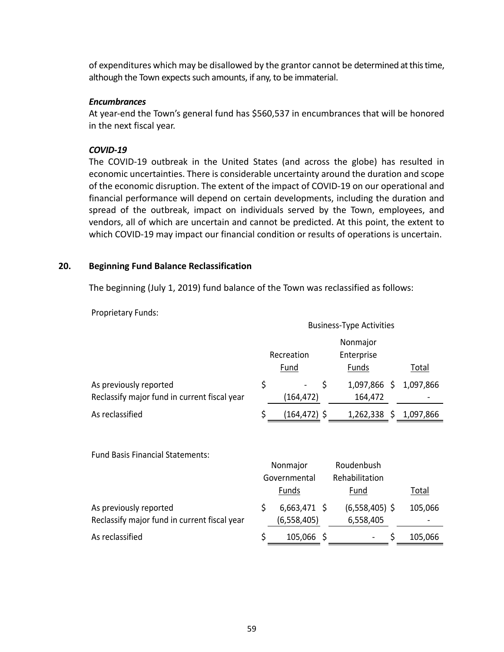of expenditures which may be disallowed by the grantor cannot be determined at this time, although the Town expects such amounts, if any, to be immaterial.

### *Encumbrances*

At year-end the Town's general fund has \$560,537 in encumbrances that will be honored in the next fiscal year.

# *COVID‐19*

The COVID-19 outbreak in the United States (and across the globe) has resulted in economic uncertainties. There is considerable uncertainty around the duration and scope of the economic disruption. The extent of the impact of COVID‐19 on our operational and financial performance will depend on certain developments, including the duration and spread of the outbreak, impact on individuals served by the Town, employees, and vendors, all of which are uncertain and cannot be predicted. At this point, the extent to which COVID-19 may impact our financial condition or results of operations is uncertain.

## **20. Beginning Fund Balance Reclassification**

The beginning (July 1, 2019) fund balance of the Town was reclassified as follows:

| Proprietary Funds: |  |
|--------------------|--|
|--------------------|--|

|                                                                        | <b>Business-Type Activities</b>     |                                      |           |  |  |  |  |
|------------------------------------------------------------------------|-------------------------------------|--------------------------------------|-----------|--|--|--|--|
|                                                                        | Recreation<br>Fund                  | Nonmajor<br>Enterprise<br>Funds      | Total     |  |  |  |  |
| As previously reported<br>Reclassify major fund in current fiscal year | \$<br>\$<br>(164,472)               | 1,097,866 \$<br>164,472              | 1,097,866 |  |  |  |  |
| As reclassified                                                        | \$<br>(164,472) \$                  | 1,262,338 \$ 1,097,866               |           |  |  |  |  |
| <b>Fund Basis Financial Statements:</b>                                | Nonmajor<br>Governmental<br>Funds   | Roudenbush<br>Rehabilitation<br>Fund | Total     |  |  |  |  |
| As previously reported<br>Reclassify major fund in current fiscal year | \$<br>$6,663,471$ \$<br>(6,558,405) | $(6,558,405)$ \$<br>6,558,405        | 105,066   |  |  |  |  |
| As reclassified                                                        | \$<br>$105,066$ \$                  | Ś                                    | 105,066   |  |  |  |  |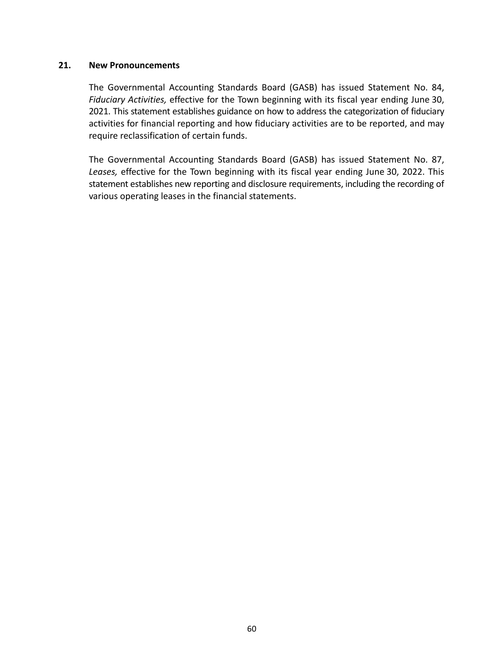### **21. New Pronouncements**

The Governmental Accounting Standards Board (GASB) has issued Statement No. 84, *Fiduciary Activities,* effective for the Town beginning with its fiscal year ending June 30, 2021. This statement establishes guidance on how to address the categorization of fiduciary activities for financial reporting and how fiduciary activities are to be reported, and may require reclassification of certain funds.

The Governmental Accounting Standards Board (GASB) has issued Statement No. 87, *Leases,* effective for the Town beginning with its fiscal year ending June 30, 2022. This statement establishes new reporting and disclosure requirements, including the recording of various operating leases in the financial statements.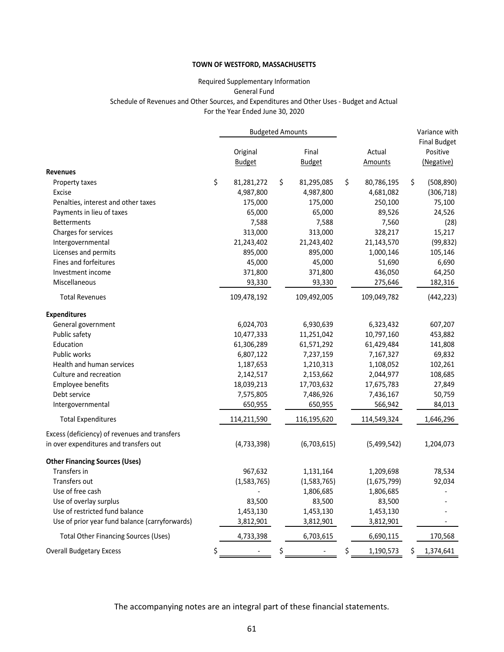### Required Supplementary Information For the Year Ended June 30, 2020 General Fund Schedule of Revenues and Other Sources, and Expenditures and Other Uses ‐ Budget and Actual

|                                                | <b>Budgeted Amounts</b> |    |               | Variance with    |                     |
|------------------------------------------------|-------------------------|----|---------------|------------------|---------------------|
|                                                |                         |    |               |                  | <b>Final Budget</b> |
|                                                | Original                |    | Final         | Actual           | Positive            |
|                                                | <b>Budget</b>           |    | <b>Budget</b> | <b>Amounts</b>   | (Negative)          |
| <b>Revenues</b>                                |                         |    |               |                  |                     |
| Property taxes                                 | \$<br>81,281,272        | \$ | 81,295,085    | \$<br>80,786,195 | \$<br>(508, 890)    |
| Excise                                         | 4,987,800               |    | 4,987,800     | 4,681,082        | (306, 718)          |
| Penalties, interest and other taxes            | 175,000                 |    | 175,000       | 250,100          | 75,100              |
| Payments in lieu of taxes                      | 65,000                  |    | 65,000        | 89,526           | 24,526              |
| <b>Betterments</b>                             | 7,588                   |    | 7,588         | 7,560            | (28)                |
| Charges for services                           | 313,000                 |    | 313,000       | 328,217          | 15,217              |
| Intergovernmental                              | 21,243,402              |    | 21,243,402    | 21,143,570       | (99, 832)           |
| Licenses and permits                           | 895,000                 |    | 895,000       | 1,000,146        | 105,146             |
| Fines and forfeitures                          | 45,000                  |    | 45,000        | 51,690           | 6,690               |
| Investment income                              | 371,800                 |    | 371,800       | 436,050          | 64,250              |
| Miscellaneous                                  | 93,330                  |    | 93,330        | 275,646          | 182,316             |
| <b>Total Revenues</b>                          | 109,478,192             |    | 109,492,005   | 109,049,782      | (442, 223)          |
| <b>Expenditures</b>                            |                         |    |               |                  |                     |
| General government                             | 6,024,703               |    | 6,930,639     | 6,323,432        | 607,207             |
| Public safety                                  | 10,477,333              |    | 11,251,042    | 10,797,160       | 453,882             |
| Education                                      | 61,306,289              |    | 61,571,292    | 61,429,484       | 141,808             |
| <b>Public works</b>                            | 6,807,122               |    | 7,237,159     | 7,167,327        | 69,832              |
| Health and human services                      | 1,187,653               |    | 1,210,313     | 1,108,052        | 102,261             |
| Culture and recreation                         | 2,142,517               |    | 2,153,662     | 2,044,977        | 108,685             |
| Employee benefits                              | 18,039,213              |    | 17,703,632    | 17,675,783       | 27,849              |
| Debt service                                   | 7,575,805               |    | 7,486,926     | 7,436,167        | 50,759              |
| Intergovernmental                              | 650,955                 |    | 650,955       | 566,942          | 84,013              |
| <b>Total Expenditures</b>                      | 114,211,590             |    | 116,195,620   | 114,549,324      | 1,646,296           |
| Excess (deficiency) of revenues and transfers  |                         |    |               |                  |                     |
| in over expenditures and transfers out         | (4, 733, 398)           |    | (6,703,615)   | (5,499,542)      | 1,204,073           |
| <b>Other Financing Sources (Uses)</b>          |                         |    |               |                  |                     |
| Transfers in                                   | 967,632                 |    | 1,131,164     | 1,209,698        | 78,534              |
| Transfers out                                  | (1,583,765)             |    | (1,583,765)   | (1,675,799)      | 92,034              |
| Use of free cash                               |                         |    | 1,806,685     | 1,806,685        |                     |
| Use of overlay surplus                         | 83,500                  |    | 83,500        | 83,500           |                     |
| Use of restricted fund balance                 | 1,453,130               |    | 1,453,130     | 1,453,130        |                     |
| Use of prior year fund balance (carryforwards) | 3,812,901               |    | 3,812,901     | 3,812,901        |                     |
| <b>Total Other Financing Sources (Uses)</b>    | 4,733,398               |    | 6,703,615     | 6,690,115        | 170,568             |
| <b>Overall Budgetary Excess</b>                | \$                      | \$ |               | \$<br>1,190,573  | \$<br>1,374,641     |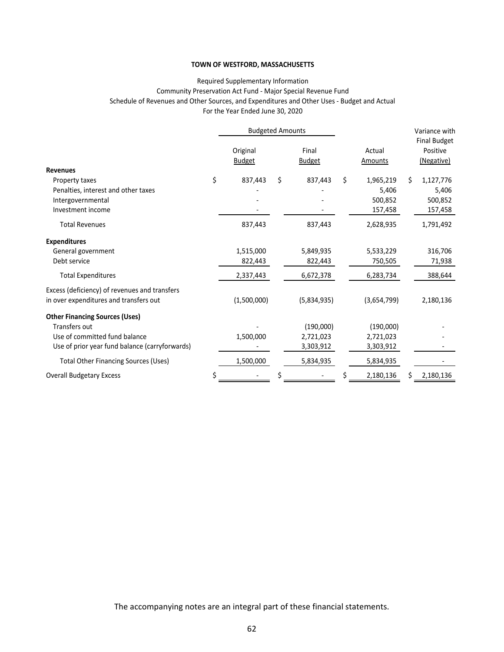#### Required Supplementary Information Community Preservation Act Fund ‐ Major Special Revenue Fund Schedule of Revenues and Other Sources, and Expenditures and Other Uses ‐ Budget and Actual For the Year Ended June 30, 2020

|                                                | <b>Budgeted Amounts</b>   |    |                        |    |                   |    | Variance with<br><b>Final Budget</b> |
|------------------------------------------------|---------------------------|----|------------------------|----|-------------------|----|--------------------------------------|
|                                                | Original<br><b>Budget</b> |    | Final<br><b>Budget</b> |    | Actual<br>Amounts |    | Positive<br>(Negative)               |
| <b>Revenues</b>                                |                           |    |                        |    |                   |    |                                      |
| Property taxes                                 | \$<br>837,443             | \$ | 837,443                | Ś. | 1,965,219         | Ś. | 1,127,776                            |
| Penalties, interest and other taxes            |                           |    |                        |    | 5,406             |    | 5,406                                |
| Intergovernmental                              |                           |    |                        |    | 500,852           |    | 500,852                              |
| Investment income                              |                           |    |                        |    | 157,458           |    | 157,458                              |
| <b>Total Revenues</b>                          | 837,443                   |    | 837,443                |    | 2,628,935         |    | 1,791,492                            |
| <b>Expenditures</b>                            |                           |    |                        |    |                   |    |                                      |
| General government                             | 1,515,000                 |    | 5,849,935              |    | 5,533,229         |    | 316,706                              |
| Debt service                                   | 822,443                   |    | 822,443                |    | 750,505           |    | 71,938                               |
| <b>Total Expenditures</b>                      | 2,337,443                 |    | 6,672,378              |    | 6,283,734         |    | 388,644                              |
| Excess (deficiency) of revenues and transfers  |                           |    |                        |    |                   |    |                                      |
| in over expenditures and transfers out         | (1,500,000)               |    | (5,834,935)            |    | (3,654,799)       |    | 2,180,136                            |
| <b>Other Financing Sources (Uses)</b>          |                           |    |                        |    |                   |    |                                      |
| Transfers out                                  |                           |    | (190,000)              |    | (190,000)         |    |                                      |
| Use of committed fund balance                  | 1,500,000                 |    | 2,721,023              |    | 2,721,023         |    |                                      |
| Use of prior year fund balance (carryforwards) |                           |    | 3,303,912              |    | 3,303,912         |    |                                      |
| <b>Total Other Financing Sources (Uses)</b>    | 1,500,000                 |    | 5,834,935              |    | 5,834,935         |    |                                      |
| <b>Overall Budgetary Excess</b>                |                           |    |                        |    | 2,180,136         | Ś. | 2,180,136                            |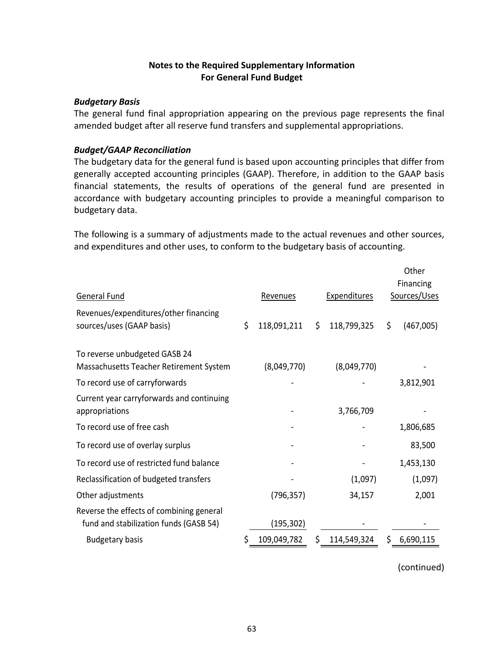# **Notes to the Required Supplementary Information For General Fund Budget**

### *Budgetary Basis*

The general fund final appropriation appearing on the previous page represents the final amended budget after all reserve fund transfers and supplemental appropriations.

### *Budget/GAAP Reconciliation*

The budgetary data for the general fund is based upon accounting principles that differ from generally accepted accounting principles (GAAP). Therefore, in addition to the GAAP basis financial statements, the results of operations of the general fund are presented in accordance with budgetary accounting principles to provide a meaningful comparison to budgetary data.

The following is a summary of adjustments made to the actual revenues and other sources, and expenditures and other uses, to conform to the budgetary basis of accounting.

|                                                                                    |                   |                     |                     |     | Other<br>Financing |
|------------------------------------------------------------------------------------|-------------------|---------------------|---------------------|-----|--------------------|
| <b>General Fund</b>                                                                | Revenues          |                     | <b>Expenditures</b> |     | Sources/Uses       |
| Revenues/expenditures/other financing<br>sources/uses (GAAP basis)                 | \$<br>118,091,211 | $\ddot{\mathsf{S}}$ | 118,799,325         | \$  | (467,005)          |
| To reverse unbudgeted GASB 24<br>Massachusetts Teacher Retirement System           | (8,049,770)       |                     | (8,049,770)         |     |                    |
| To record use of carryforwards                                                     |                   |                     |                     |     | 3,812,901          |
| Current year carryforwards and continuing<br>appropriations                        |                   |                     | 3,766,709           |     |                    |
| To record use of free cash                                                         |                   |                     |                     |     | 1,806,685          |
| To record use of overlay surplus                                                   |                   |                     |                     |     | 83,500             |
| To record use of restricted fund balance                                           |                   |                     |                     |     | 1,453,130          |
| Reclassification of budgeted transfers                                             |                   |                     | (1,097)             |     | (1,097)            |
| Other adjustments                                                                  | (796, 357)        |                     | 34,157              |     | 2,001              |
| Reverse the effects of combining general<br>fund and stabilization funds (GASB 54) | (195, 302)        |                     |                     |     |                    |
| <b>Budgetary basis</b>                                                             | 109,049,782       | \$                  | 114,549,324         | \$. | 6,690,115          |

(continued)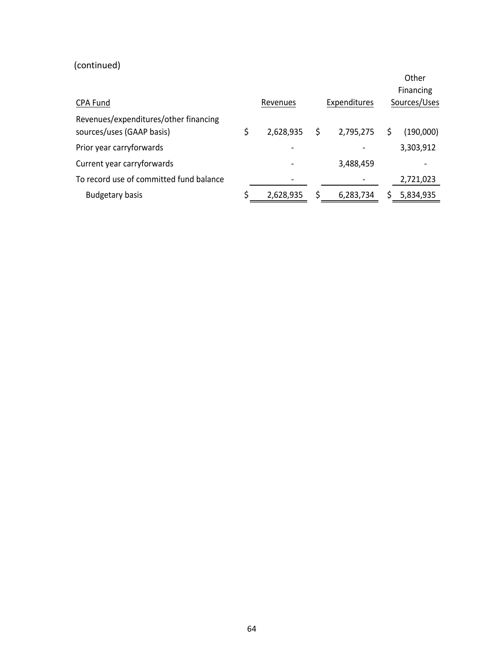# (continued)

|                                                                    |   |                              |   |              | Other<br>Financing |
|--------------------------------------------------------------------|---|------------------------------|---|--------------|--------------------|
| CPA Fund                                                           |   | Revenues                     |   | Expenditures | Sources/Uses       |
| Revenues/expenditures/other financing<br>sources/uses (GAAP basis) | S | 2,628,935                    | S | 2,795,275    | (190,000)          |
| Prior year carryforwards                                           |   | $\qquad \qquad \blacksquare$ |   |              | 3,303,912          |
| Current year carryforwards                                         |   | $\overline{\phantom{a}}$     |   | 3,488,459    |                    |
| To record use of committed fund balance                            |   |                              |   |              | 2,721,023          |
| <b>Budgetary basis</b>                                             |   | 2,628,935                    |   | 6,283,734    | 5,834,935          |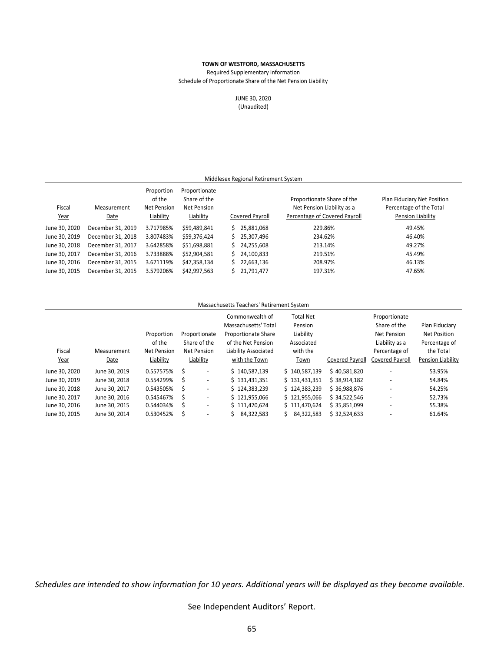Required Supplementary Information

### Schedule of Proportionate Share of the Net Pension Liability

JUNE 30, 2020 (Unaudited)

|                       | Middlesex Regional Retirement System |                                                  |                                                           |                  |                                                                                           |                                                                             |  |  |  |  |  |  |
|-----------------------|--------------------------------------|--------------------------------------------------|-----------------------------------------------------------|------------------|-------------------------------------------------------------------------------------------|-----------------------------------------------------------------------------|--|--|--|--|--|--|
| Fiscal<br><u>Year</u> | Measurement<br>Date                  | Proportion<br>of the<br>Net Pension<br>Liability | Proportionate<br>Share of the<br>Net Pension<br>Liability | Covered Payroll  | Proportionate Share of the<br>Net Pension Liability as a<br>Percentage of Covered Payroll | Plan Fiduciary Net Position<br>Percentage of the Total<br>Pension Liability |  |  |  |  |  |  |
| June 30, 2020         | December 31, 2019                    | 3.717985%                                        | \$59,489,841                                              | 25,881,068<br>S. | 229.86%                                                                                   | 49.45%                                                                      |  |  |  |  |  |  |
| June 30, 2019         | December 31, 2018                    | 3.807483%                                        | \$59,376,424                                              | \$25,307,496     | 234.62%                                                                                   | 46.40%                                                                      |  |  |  |  |  |  |
| June 30, 2018         | December 31, 2017                    | 3.642858%                                        | \$51,698,881                                              | 24,255,608<br>S. | 213.14%                                                                                   | 49.27%                                                                      |  |  |  |  |  |  |
| June 30, 2017         | December 31, 2016                    | 3.733888%                                        | \$52,904,581                                              | 24,100,833<br>S. | 219.51%                                                                                   | 45.49%                                                                      |  |  |  |  |  |  |
| June 30, 2016         | December 31, 2015                    | 3.671119%                                        | \$47,358,134                                              | 22,663,136<br>S. | 208.97%                                                                                   | 46.13%                                                                      |  |  |  |  |  |  |
| June 30, 2015         | December 31, 2015                    | 3.579206%                                        | \$42,997,563                                              | 21,791,477<br>S. | 197.31%                                                                                   | 47.65%                                                                      |  |  |  |  |  |  |

#### Massachusetts Teachers' Retirement System

|               |               | Proportion<br>of the |   | Proportionate<br>Share of the | Commonwealth of<br>Massachusetts' Total<br><b>Proportionate Share</b><br>of the Net Pension | <b>Total Net</b><br>Pension<br>Liability<br>Associated |                        | Proportionate<br>Share of the<br>Net Pension<br>Liability as a | Plan Fiduciary<br><b>Net Position</b><br>Percentage of |
|---------------|---------------|----------------------|---|-------------------------------|---------------------------------------------------------------------------------------------|--------------------------------------------------------|------------------------|----------------------------------------------------------------|--------------------------------------------------------|
| Fiscal        | Measurement   | <b>Net Pension</b>   |   | <b>Net Pension</b>            | Liability Associated                                                                        | with the                                               |                        | Percentage of                                                  | the Total                                              |
| <u>Year</u>   | Date          | Liability            |   | Liability                     | with the Town                                                                               | Town                                                   | <b>Covered Payroll</b> | <b>Covered Payroll</b>                                         | Pension Liability                                      |
| June 30, 2020 | June 30, 2019 | 0.557575%            |   | ٠                             | \$140.587.139                                                                               | \$140.587.139                                          | \$40,581,820           | $\overline{a}$                                                 | 53.95%                                                 |
| June 30, 2019 | June 30, 2018 | 0.554299%            |   | $\overline{\phantom{a}}$      | \$131,431,351                                                                               | \$131,431,351                                          | \$38,914,182           |                                                                | 54.84%                                                 |
| June 30, 2018 | June 30, 2017 | 0.543505%            | S | $\overline{\phantom{a}}$      | \$124.383.239                                                                               | \$124.383.239                                          | \$36.988.876           | $\overline{\phantom{a}}$                                       | 54.25%                                                 |
| June 30, 2017 | June 30, 2016 | 0.545467%            |   | $\overline{\phantom{a}}$      | \$121,955,066                                                                               | \$121,955,066                                          | \$34.522.546           | $\overline{\phantom{a}}$                                       | 52.73%                                                 |
| June 30, 2016 | June 30, 2015 | 0.544034%            |   | $\overline{\phantom{a}}$      | \$111,470,624                                                                               | \$111,470,624                                          | \$35,851,099           | $\overline{\phantom{a}}$                                       | 55.38%                                                 |
| June 30, 2015 | June 30, 2014 | 0.530452%            |   | ٠                             | 84,322,583                                                                                  | 84,322,583                                             | \$32,524,633           | -                                                              | 61.64%                                                 |

*Schedules are intended to show information for 10 years. Additional years will be displayed as they become available.*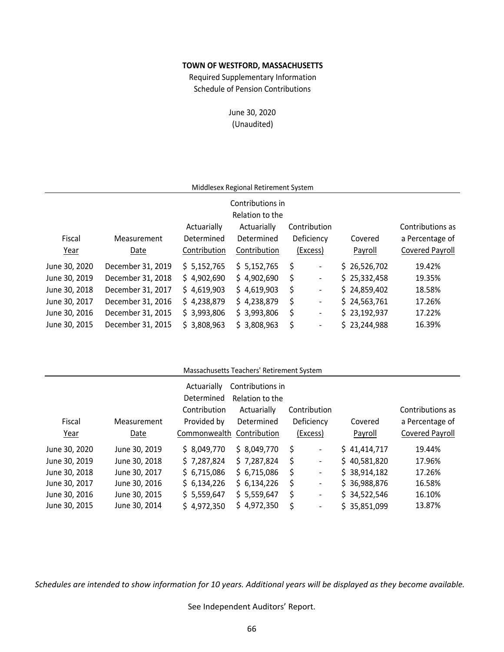Schedule of Pension Contributions Required Supplementary Information

> June 30, 2020 (Unaudited)

|  | Middlesex Regional Retirement System |
|--|--------------------------------------|
|  |                                      |

|               |                   |              | Contributions in |    |                          |              |                  |
|---------------|-------------------|--------------|------------------|----|--------------------------|--------------|------------------|
|               |                   |              | Relation to the  |    |                          |              |                  |
|               |                   | Actuarially  | Actuarially      |    | Contribution             |              | Contributions as |
| Fiscal        | Measurement       | Determined   | Determined       |    | Deficiency               | Covered      | a Percentage of  |
| Year          | Date              | Contribution | Contribution     |    | (Excess)                 | Payroll      | Covered Payroll  |
| June 30, 2020 | December 31, 2019 | \$5,152,765  | \$5,152,765      | Ŝ  | -                        | \$26,526,702 | 19.42%           |
| June 30, 2019 | December 31, 2018 | \$4,902,690  | \$4,902,690      | \$ | $\overline{\phantom{a}}$ | \$25,332,458 | 19.35%           |
| June 30, 2018 | December 31, 2017 | \$4,619,903  | \$4,619,903      | \$ | $\overline{\phantom{a}}$ | \$24,859,402 | 18.58%           |
| June 30, 2017 | December 31, 2016 | \$4,238,879  | \$4,238,879      | \$ | $\overline{\phantom{a}}$ | \$24,563,761 | 17.26%           |
| June 30, 2016 | December 31, 2015 | \$3,993,806  | \$3,993,806      | S  | $\overline{\phantom{a}}$ | \$23,192,937 | 17.22%           |
| June 30, 2015 | December 31, 2015 | \$3,808,963  | \$3,808,963      | \$ | -                        | \$23,244,988 | 16.39%           |

#### Massachusetts Teachers' Retirement System

|               |               | Actuarially  | Contributions in |                                |              |                  |  |  |
|---------------|---------------|--------------|------------------|--------------------------------|--------------|------------------|--|--|
|               |               | Determined   | Relation to the  |                                |              |                  |  |  |
|               |               | Contribution | Actuarially      | Contribution                   |              | Contributions as |  |  |
| Fiscal        | Measurement   | Provided by  | Determined       | Deficiency                     | Covered      | a Percentage of  |  |  |
| Year          | Date          | Commonwealth | Contribution     | (Excess)                       | Payroll      | Covered Payroll  |  |  |
| June 30, 2020 | June 30, 2019 | \$8,049,770  | \$8,049,770      | \$<br>$\overline{\phantom{a}}$ | \$41,414,717 | 19.44%           |  |  |
| June 30, 2019 | June 30, 2018 | \$7,287,824  | \$7,287,824      | \$<br>$\overline{\phantom{a}}$ | \$40,581,820 | 17.96%           |  |  |
| June 30, 2018 | June 30, 2017 | \$6,715,086  | \$6,715,086      | \$<br>-                        | \$38,914,182 | 17.26%           |  |  |
| June 30, 2017 | June 30, 2016 | \$6,134,226  | \$6,134,226      | \$<br>-                        | \$36,988,876 | 16.58%           |  |  |
| June 30, 2016 | June 30, 2015 | \$5,559,647  | \$5,559,647      | \$<br>-                        | \$34,522,546 | 16.10%           |  |  |
| June 30, 2015 | June 30, 2014 | \$4,972,350  | \$4,972,350      | \$<br>$\overline{\phantom{a}}$ | \$35,851,099 | 13.87%           |  |  |

*Schedules are intended to show information for 10 years. Additional years will be displayed as they become available.*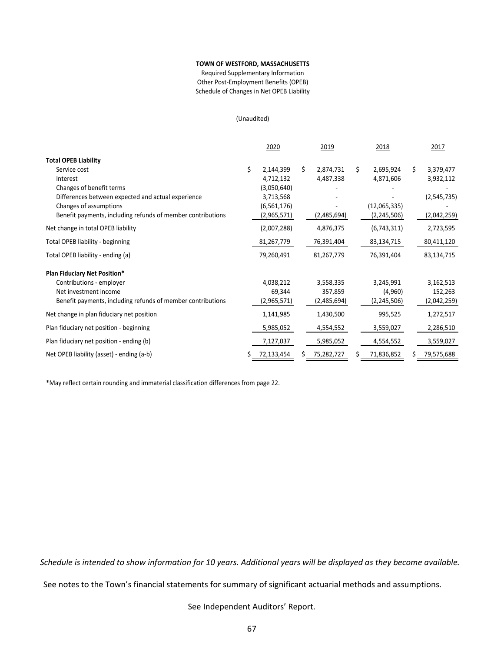Other Post‐Employment Benefits (OPEB) Required Supplementary Information Schedule of Changes in Net OPEB Liability

(Unaudited)

|                                                             | 2020            |    | 2019        |    | 2018          |    | 2017        |
|-------------------------------------------------------------|-----------------|----|-------------|----|---------------|----|-------------|
| <b>Total OPEB Liability</b>                                 |                 |    |             |    |               |    |             |
| Service cost                                                | \$<br>2,144,399 | Ś. | 2,874,731   | Ŝ. | 2,695,924     | Ś. | 3,379,477   |
| Interest                                                    | 4,712,132       |    | 4,487,338   |    | 4,871,606     |    | 3,932,112   |
| Changes of benefit terms                                    | (3,050,640)     |    |             |    |               |    |             |
| Differences between expected and actual experience          | 3,713,568       |    |             |    |               |    | (2,545,735) |
| Changes of assumptions                                      | (6, 561, 176)   |    |             |    | (12,065,335)  |    |             |
| Benefit payments, including refunds of member contributions | (2,965,571)     |    | (2,485,694) |    | (2, 245, 506) |    | (2,042,259) |
| Net change in total OPEB liability                          | (2,007,288)     |    | 4,876,375   |    | (6,743,311)   |    | 2,723,595   |
| <b>Total OPEB liability - beginning</b>                     | 81,267,779      |    | 76,391,404  |    | 83,134,715    |    | 80,411,120  |
| Total OPEB liability - ending (a)                           | 79,260,491      |    | 81,267,779  |    | 76,391,404    |    | 83,134,715  |
| <b>Plan Fiduciary Net Position*</b>                         |                 |    |             |    |               |    |             |
| Contributions - employer                                    | 4,038,212       |    | 3,558,335   |    | 3,245,991     |    | 3,162,513   |
| Net investment income                                       | 69,344          |    | 357,859     |    | (4,960)       |    | 152,263     |
| Benefit payments, including refunds of member contributions | (2,965,571)     |    | (2,485,694) |    | (2, 245, 506) |    | (2,042,259) |
| Net change in plan fiduciary net position                   | 1,141,985       |    | 1,430,500   |    | 995,525       |    | 1,272,517   |
| Plan fiduciary net position - beginning                     | 5,985,052       |    | 4,554,552   |    | 3,559,027     |    | 2,286,510   |
| Plan fiduciary net position - ending (b)                    | 7,127,037       |    | 5,985,052   |    | 4,554,552     |    | 3,559,027   |
| Net OPEB liability (asset) - ending (a-b)                   | 72,133,454      |    | 75,282,727  |    | 71,836,852    |    | 79,575,688  |

\*May reflect certain rounding and immaterial classification differences from page 22.

*Schedule is intended to show information for 10 years. Additional years will be displayed as they become available.* 

See notes to the Town's financial statements for summary of significant actuarial methods and assumptions.